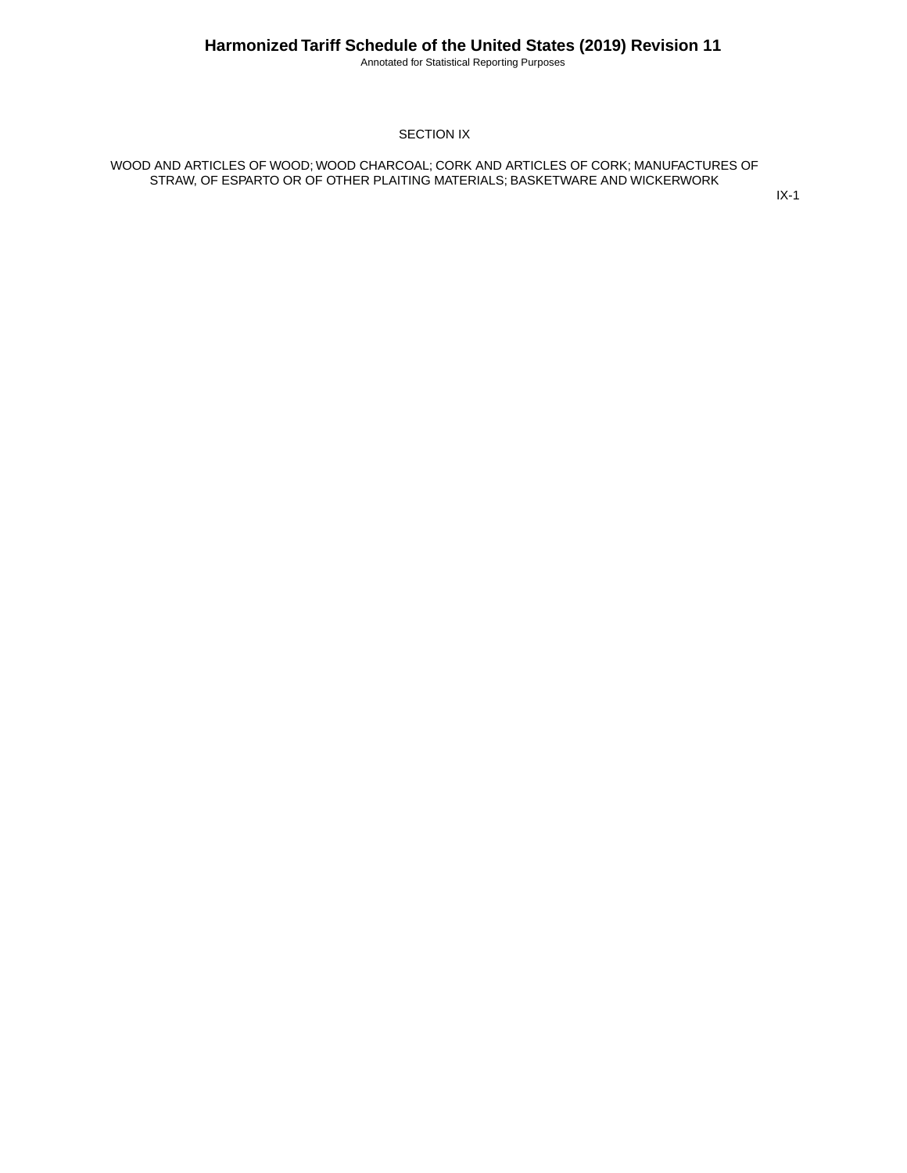Annotated for Statistical Reporting Purposes

#### SECTION IX

WOOD AND ARTICLES OF WOOD; WOOD CHARCOAL; CORK AND ARTICLES OF CORK; MANUFACTURES OF STRAW, OF ESPARTO OR OF OTHER PLAITING MATERIALS; BASKETWARE AND WICKERWORK

IX-1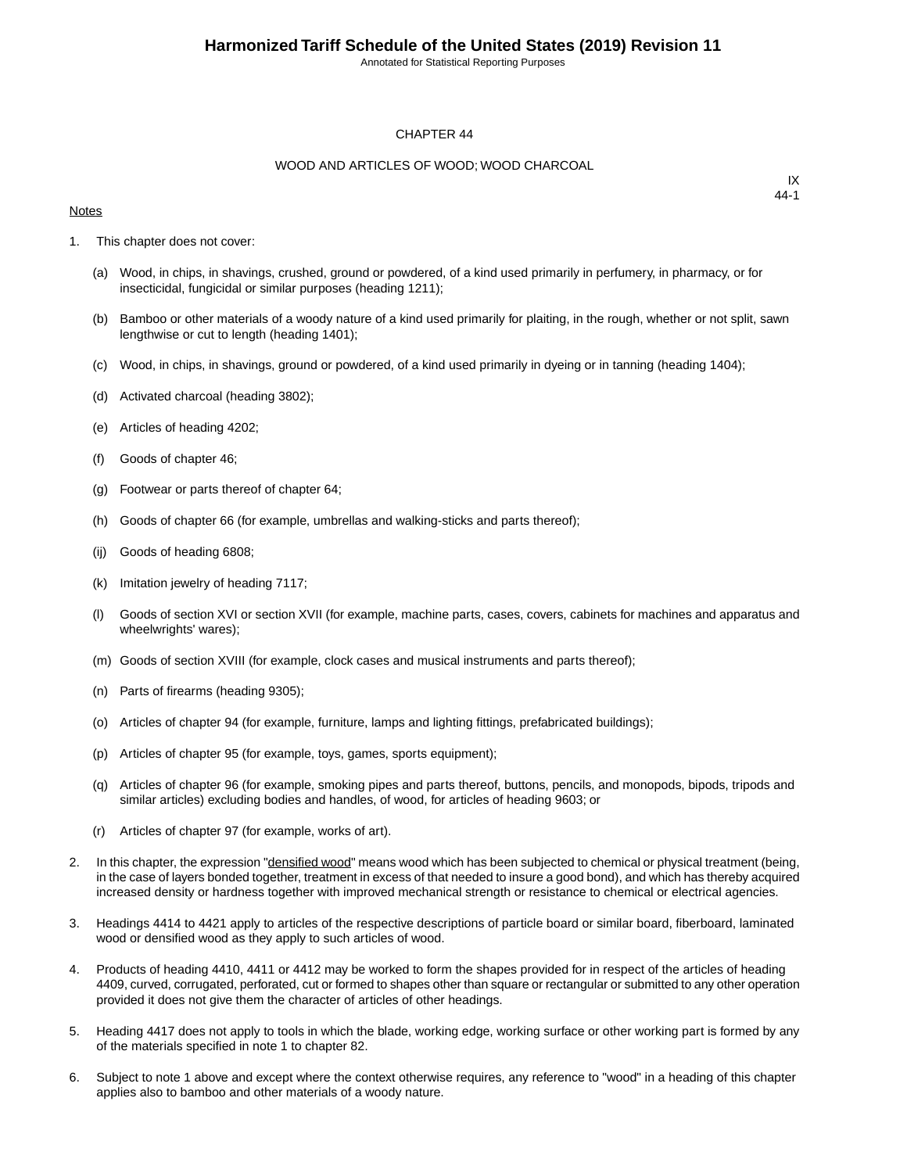Annotated for Statistical Reporting Purposes

#### CHAPTER 44

#### WOOD AND ARTICLES OF WOOD; WOOD CHARCOAL

#### **Notes**

- 1. This chapter does not cover:
	- (a) Wood, in chips, in shavings, crushed, ground or powdered, of a kind used primarily in perfumery, in pharmacy, or for insecticidal, fungicidal or similar purposes (heading 1211);
	- (b) Bamboo or other materials of a woody nature of a kind used primarily for plaiting, in the rough, whether or not split, sawn lengthwise or cut to length (heading 1401);
	- (c) Wood, in chips, in shavings, ground or powdered, of a kind used primarily in dyeing or in tanning (heading 1404);
	- (d) Activated charcoal (heading 3802);
	- (e) Articles of heading 4202;
	- (f) Goods of chapter 46;
	- (g) Footwear or parts thereof of chapter 64;
	- (h) Goods of chapter 66 (for example, umbrellas and walking-sticks and parts thereof);
	- (ij) Goods of heading 6808;
	- (k) Imitation jewelry of heading 7117;
	- (l) Goods of section XVI or section XVII (for example, machine parts, cases, covers, cabinets for machines and apparatus and wheelwrights' wares);
	- (m) Goods of section XVIII (for example, clock cases and musical instruments and parts thereof);
	- (n) Parts of firearms (heading 9305);
	- (o) Articles of chapter 94 (for example, furniture, lamps and lighting fittings, prefabricated buildings);
	- (p) Articles of chapter 95 (for example, toys, games, sports equipment);
	- (q) Articles of chapter 96 (for example, smoking pipes and parts thereof, buttons, pencils, and monopods, bipods, tripods and similar articles) excluding bodies and handles, of wood, for articles of heading 9603; or
	- (r) Articles of chapter 97 (for example, works of art).
- 2. In this chapter, the expression "densified wood" means wood which has been subjected to chemical or physical treatment (being, in the case of layers bonded together, treatment in excess of that needed to insure a good bond), and which has thereby acquired increased density or hardness together with improved mechanical strength or resistance to chemical or electrical agencies.
- 3. Headings 4414 to 4421 apply to articles of the respective descriptions of particle board or similar board, fiberboard, laminated wood or densified wood as they apply to such articles of wood.
- 4. Products of heading 4410, 4411 or 4412 may be worked to form the shapes provided for in respect of the articles of heading 4409, curved, corrugated, perforated, cut or formed to shapes other than square or rectangular or submitted to any other operation provided it does not give them the character of articles of other headings.
- 5. Heading 4417 does not apply to tools in which the blade, working edge, working surface or other working part is formed by any of the materials specified in note 1 to chapter 82.
- 6. Subject to note 1 above and except where the context otherwise requires, any reference to "wood" in a heading of this chapter applies also to bamboo and other materials of a woody nature.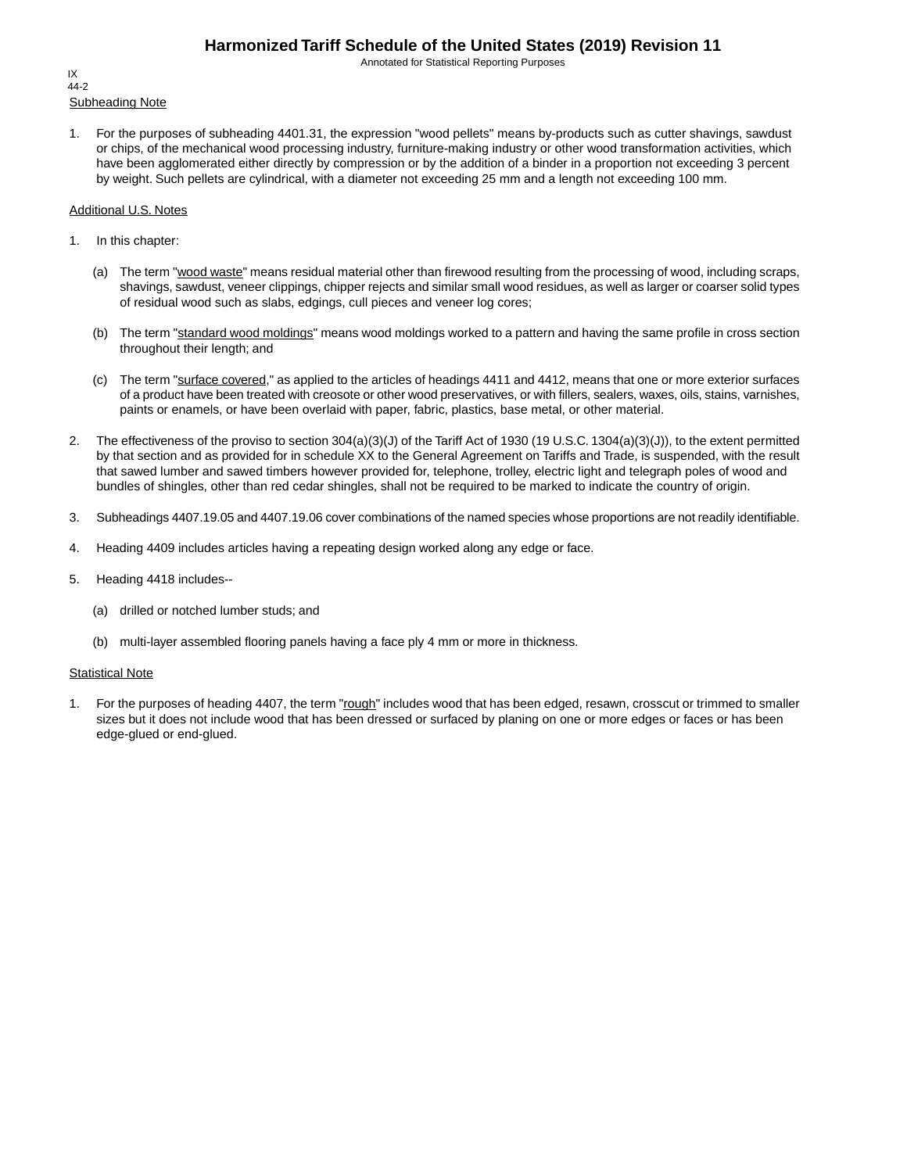Annotated for Statistical Reporting Purposes

Subheading Note IX 44-2

1. For the purposes of subheading 4401.31, the expression "wood pellets" means by-products such as cutter shavings, sawdust or chips, of the mechanical wood processing industry, furniture-making industry or other wood transformation activities, which have been agglomerated either directly by compression or by the addition of a binder in a proportion not exceeding 3 percent by weight. Such pellets are cylindrical, with a diameter not exceeding 25 mm and a length not exceeding 100 mm.

#### Additional U.S. Notes

- 1. In this chapter:
	- (a) The term "wood waste" means residual material other than firewood resulting from the processing of wood, including scraps, shavings, sawdust, veneer clippings, chipper rejects and similar small wood residues, as well as larger or coarser solid types of residual wood such as slabs, edgings, cull pieces and veneer log cores;
	- (b) The term "standard wood moldings" means wood moldings worked to a pattern and having the same profile in cross section throughout their length; and
	- (c) The term "surface covered," as applied to the articles of headings 4411 and 4412, means that one or more exterior surfaces of a product have been treated with creosote or other wood preservatives, or with fillers, sealers, waxes, oils, stains, varnishes, paints or enamels, or have been overlaid with paper, fabric, plastics, base metal, or other material.
- 2. The effectiveness of the proviso to section 304(a)(3)(J) of the Tariff Act of 1930 (19 U.S.C. 1304(a)(3)(J)), to the extent permitted by that section and as provided for in schedule XX to the General Agreement on Tariffs and Trade, is suspended, with the result that sawed lumber and sawed timbers however provided for, telephone, trolley, electric light and telegraph poles of wood and bundles of shingles, other than red cedar shingles, shall not be required to be marked to indicate the country of origin.
- 3. Subheadings 4407.19.05 and 4407.19.06 cover combinations of the named species whose proportions are not readily identifiable.
- 4. Heading 4409 includes articles having a repeating design worked along any edge or face.
- 5. Heading 4418 includes--
	- (a) drilled or notched lumber studs; and
	- (b) multi-layer assembled flooring panels having a face ply 4 mm or more in thickness.

#### **Statistical Note**

1. For the purposes of heading 4407, the term "rough" includes wood that has been edged, resawn, crosscut or trimmed to smaller sizes but it does not include wood that has been dressed or surfaced by planing on one or more edges or faces or has been edge-glued or end-glued.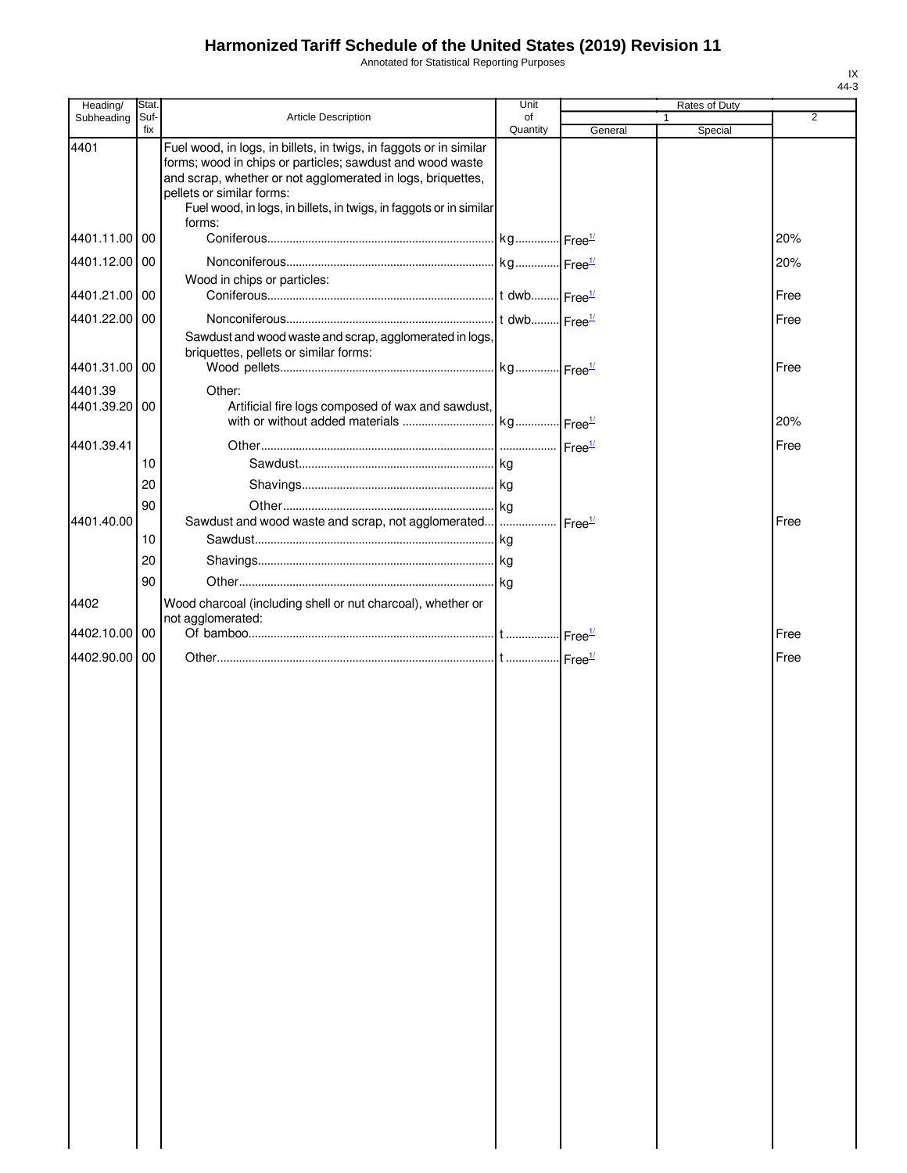Annotated for Statistical Reporting Purposes

| Heading/      | Stat.       |                                                                                                                                                                                                                                                                                                   | Unit           |         | Rates of Duty          |                |
|---------------|-------------|---------------------------------------------------------------------------------------------------------------------------------------------------------------------------------------------------------------------------------------------------------------------------------------------------|----------------|---------|------------------------|----------------|
| Subheading    | Suf-<br>fix | Article Description                                                                                                                                                                                                                                                                               | of<br>Quantity | General | $\mathbf 1$<br>Special | $\overline{2}$ |
| 4401          |             | Fuel wood, in logs, in billets, in twigs, in faggots or in similar<br>forms; wood in chips or particles; sawdust and wood waste<br>and scrap, whether or not agglomerated in logs, briquettes,<br>pellets or similar forms:<br>Fuel wood, in logs, in billets, in twigs, in faggots or in similar |                |         |                        |                |
| 4401.11.00 00 |             | forms:                                                                                                                                                                                                                                                                                            |                |         |                        | 20%            |
| 4401.12.00 00 |             |                                                                                                                                                                                                                                                                                                   |                |         |                        | 20%            |
|               |             | Wood in chips or particles:                                                                                                                                                                                                                                                                       |                |         |                        |                |
| 4401.21.00 00 |             |                                                                                                                                                                                                                                                                                                   |                |         |                        | Free           |
| 4401.22.00 00 |             |                                                                                                                                                                                                                                                                                                   |                |         |                        | Free           |
|               |             | Sawdust and wood waste and scrap, agglomerated in logs,<br>briquettes, pellets or similar forms:                                                                                                                                                                                                  |                |         |                        |                |
| 4401.31.00 00 |             |                                                                                                                                                                                                                                                                                                   |                |         |                        | Free           |
| 4401.39       |             | Other:                                                                                                                                                                                                                                                                                            |                |         |                        |                |
| 4401.39.20 00 |             | Artificial fire logs composed of wax and sawdust,                                                                                                                                                                                                                                                 |                |         |                        | 20%            |
| 4401.39.41    |             |                                                                                                                                                                                                                                                                                                   |                |         |                        | Free           |
|               | 10          |                                                                                                                                                                                                                                                                                                   |                |         |                        |                |
|               | 20          |                                                                                                                                                                                                                                                                                                   |                |         |                        |                |
|               | 90          |                                                                                                                                                                                                                                                                                                   |                |         |                        |                |
| 4401.40.00    |             | Sawdust and wood waste and scrap, not agglomerated      Free <sup>1/</sup>                                                                                                                                                                                                                        |                |         |                        | Free           |
|               | 10          |                                                                                                                                                                                                                                                                                                   |                |         |                        |                |
|               | 20          |                                                                                                                                                                                                                                                                                                   |                |         |                        |                |
|               | 90          |                                                                                                                                                                                                                                                                                                   |                |         |                        |                |
| 4402          |             | Wood charcoal (including shell or nut charcoal), whether or<br>not agglomerated:                                                                                                                                                                                                                  |                |         |                        |                |
| 4402.10.00    | l 00        |                                                                                                                                                                                                                                                                                                   |                |         |                        | Free           |
| 4402.90.00 00 |             |                                                                                                                                                                                                                                                                                                   |                |         |                        | Free           |
|               |             |                                                                                                                                                                                                                                                                                                   |                |         |                        |                |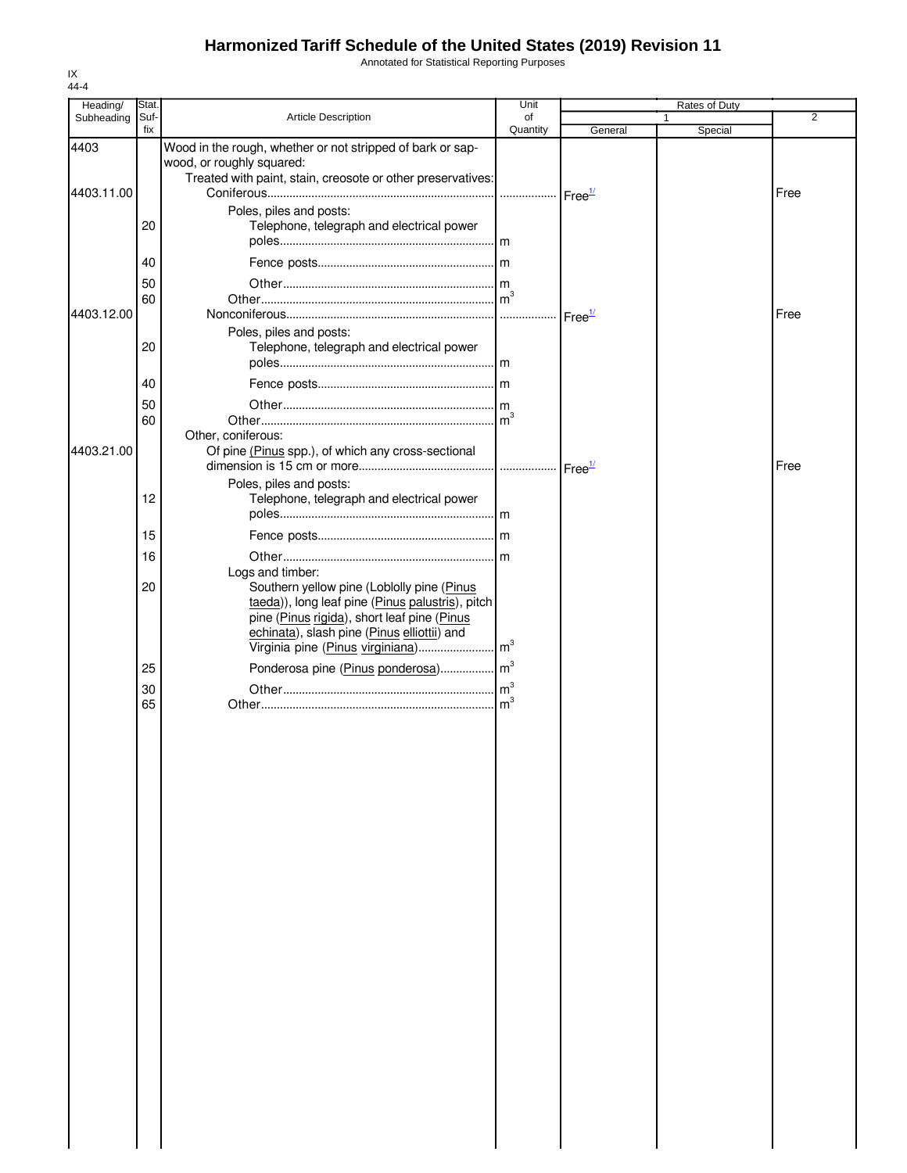Annotated for Statistical Reporting Purposes

| Heading/   | Stat.          |                                                                                                                                                                                                                  | Unit            |         | Rates of Duty |                |
|------------|----------------|------------------------------------------------------------------------------------------------------------------------------------------------------------------------------------------------------------------|-----------------|---------|---------------|----------------|
| Subheading | Suf-<br>fix    | Article Description                                                                                                                                                                                              | of              |         |               | $\overline{2}$ |
| 4403       |                | Wood in the rough, whether or not stripped of bark or sap-<br>wood, or roughly squared:<br>Treated with paint, stain, creosote or other preservatives:                                                           | Quantity        | General | Special       |                |
| 4403.11.00 | 20             | Poles, piles and posts:<br>Telephone, telegraph and electrical power                                                                                                                                             |                 |         |               | Free           |
|            | 40<br>50<br>60 |                                                                                                                                                                                                                  | $\mathsf{m}^3$  |         |               |                |
| 4403.12.00 | 20             | Poles, piles and posts:<br>Telephone, telegraph and electrical power                                                                                                                                             |                 |         |               | Free           |
|            | 40<br>50<br>60 |                                                                                                                                                                                                                  | $\mathsf{Im}^3$ |         |               |                |
| 4403.21.00 |                | Other, coniferous:<br>Of pine (Pinus spp.), of which any cross-sectional<br>Poles, piles and posts:                                                                                                              |                 |         |               | Free           |
|            | 12<br>15       | Telephone, telegraph and electrical power                                                                                                                                                                        |                 |         |               |                |
|            | 16<br>20       | Logs and timber:<br>Southern yellow pine (Loblolly pine (Pinus<br>taeda)), long leaf pine (Pinus palustris), pitch<br>pine (Pinus rigida), short leaf pine (Pinus<br>echinata), slash pine (Pinus elliottii) and |                 |         |               |                |
|            | 25<br>30       | Ponderosa pine (Pinus ponderosa) m <sup>3</sup>                                                                                                                                                                  |                 |         |               |                |
|            | 65             |                                                                                                                                                                                                                  | $\mathsf{Im}^3$ |         |               |                |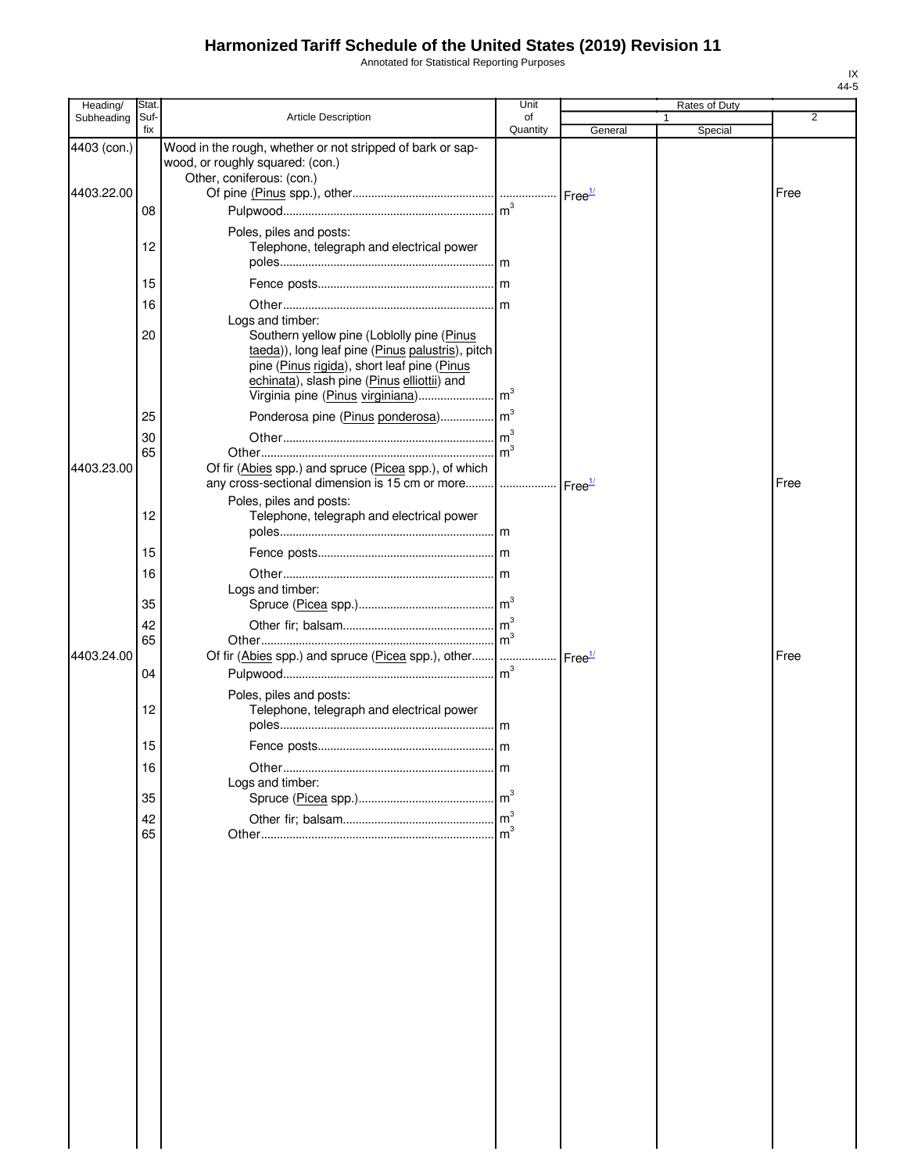Annotated for Statistical Reporting Purposes

| Heading/    | Stat.       |                                                                                                                                                                                                                  | Unit     |                    | Rates of Duty |      |
|-------------|-------------|------------------------------------------------------------------------------------------------------------------------------------------------------------------------------------------------------------------|----------|--------------------|---------------|------|
| Subheading  | Suf-<br>fix | <b>Article Description</b>                                                                                                                                                                                       | of       |                    |               | 2    |
| 4403 (con.) |             | Wood in the rough, whether or not stripped of bark or sap-<br>wood, or roughly squared: (con.)                                                                                                                   | Quantity | General            | Special       |      |
| 4403.22.00  |             | Other, coniferous: (con.)                                                                                                                                                                                        |          |                    |               | Free |
|             | 08          |                                                                                                                                                                                                                  |          |                    |               |      |
|             | 12          | Poles, piles and posts:<br>Telephone, telegraph and electrical power                                                                                                                                             |          |                    |               |      |
|             | 15          |                                                                                                                                                                                                                  |          |                    |               |      |
|             | 16          |                                                                                                                                                                                                                  |          |                    |               |      |
|             | 20          | Logs and timber:<br>Southern yellow pine (Loblolly pine (Pinus<br>taeda)), long leaf pine (Pinus palustris), pitch<br>pine (Pinus rigida), short leaf pine (Pinus<br>echinata), slash pine (Pinus elliottii) and |          |                    |               |      |
|             | 25          |                                                                                                                                                                                                                  |          |                    |               |      |
|             | 30          |                                                                                                                                                                                                                  |          |                    |               |      |
| 4403.23.00  | 65          | Of fir (Abies spp.) and spruce (Picea spp.), of which<br>any cross-sectional dimension is 15 cm or more    Free <sup>1/</sup>                                                                                    |          |                    |               | Free |
|             | 12          | Poles, piles and posts:<br>Telephone, telegraph and electrical power                                                                                                                                             |          |                    |               |      |
|             | 15          |                                                                                                                                                                                                                  |          |                    |               |      |
|             | 16          |                                                                                                                                                                                                                  |          |                    |               |      |
|             | 35          | Logs and timber:                                                                                                                                                                                                 |          |                    |               |      |
|             | 42          |                                                                                                                                                                                                                  |          |                    |               |      |
| 4403.24.00  | 65          | Of fir (Abies spp.) and spruce (Picea spp.), other                                                                                                                                                               |          | Free <sup>1/</sup> |               | Free |
|             | 04          |                                                                                                                                                                                                                  |          |                    |               |      |
|             | 12          | Poles, piles and posts:<br>Telephone, telegraph and electrical power                                                                                                                                             |          |                    |               |      |
|             | 15          |                                                                                                                                                                                                                  |          |                    |               |      |
|             | 16          |                                                                                                                                                                                                                  | m        |                    |               |      |
|             | 35          | Logs and timber:                                                                                                                                                                                                 |          |                    |               |      |
|             | 42          |                                                                                                                                                                                                                  |          |                    |               |      |
|             | 65          |                                                                                                                                                                                                                  |          |                    |               |      |
|             |             |                                                                                                                                                                                                                  |          |                    |               |      |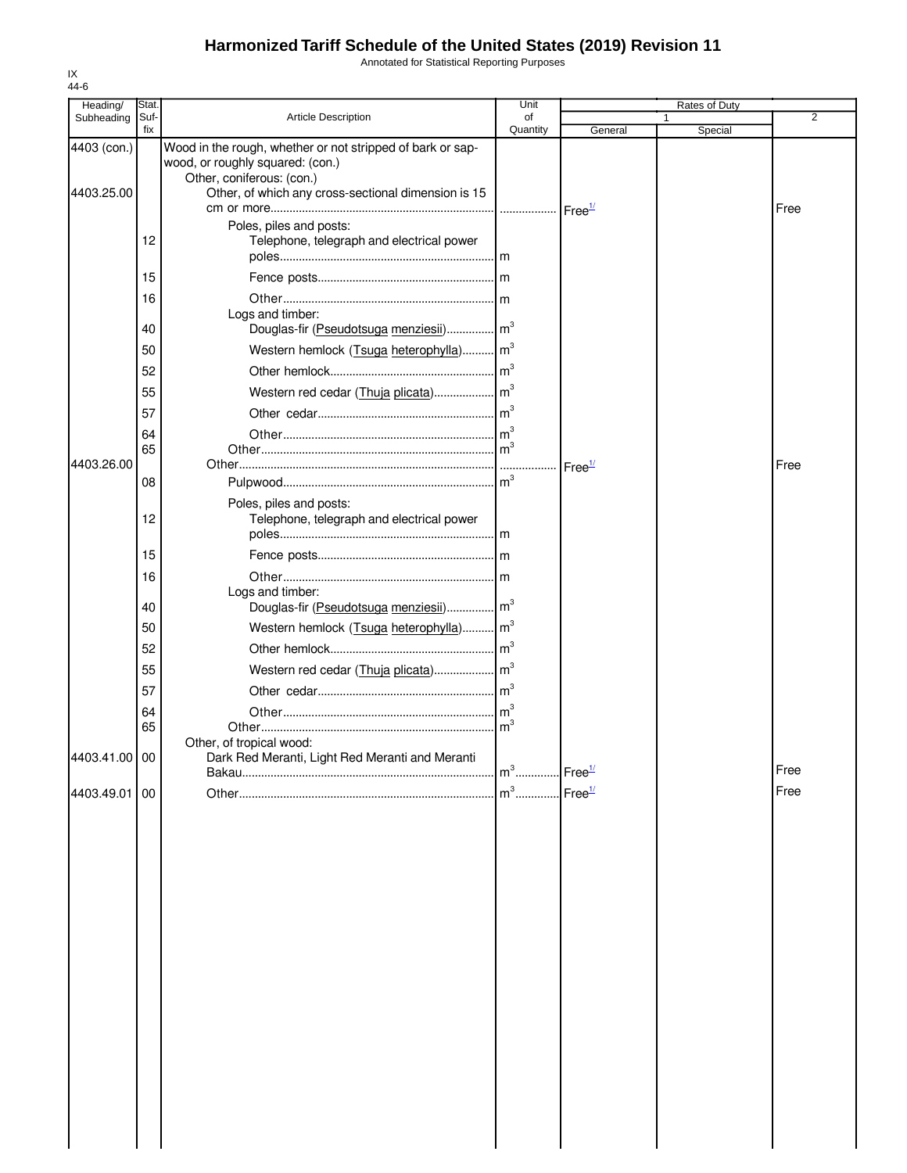Annotated for Statistical Reporting Purposes

| Heading/      | Stat.       |                                                                                                | Unit           |                    | Rates of Duty |                |
|---------------|-------------|------------------------------------------------------------------------------------------------|----------------|--------------------|---------------|----------------|
| Subheading    | Suf-<br>fix | <b>Article Description</b>                                                                     | of<br>Quantity | General            | 1<br>Special  | $\overline{2}$ |
| 4403 (con.)   |             | Wood in the rough, whether or not stripped of bark or sap-<br>wood, or roughly squared: (con.) |                |                    |               |                |
| 4403.25.00    |             | Other, coniferous: (con.)<br>Other, of which any cross-sectional dimension is 15               |                |                    |               | Free           |
|               | 12          | Poles, piles and posts:<br>Telephone, telegraph and electrical power                           |                |                    |               |                |
|               | 15          |                                                                                                |                |                    |               |                |
|               | 16          |                                                                                                |                |                    |               |                |
|               | 40          | Logs and timber:<br>Douglas-fir (Pseudotsuga menziesii) m <sup>3</sup>                         |                |                    |               |                |
|               | 50          | Western hemlock (Tsuga heterophylla) m <sup>3</sup>                                            |                |                    |               |                |
|               | 52          |                                                                                                |                |                    |               |                |
|               | 55          |                                                                                                |                |                    |               |                |
|               | 57          |                                                                                                |                |                    |               |                |
|               | 64          |                                                                                                |                |                    |               |                |
|               | 65          |                                                                                                |                |                    |               |                |
| 4403.26.00    |             |                                                                                                |                | Free <sup>1/</sup> |               | Free           |
|               | 08          |                                                                                                |                |                    |               |                |
|               | 12          | Poles, piles and posts:<br>Telephone, telegraph and electrical power                           |                |                    |               |                |
|               | 15          |                                                                                                |                |                    |               |                |
|               | 16          |                                                                                                |                |                    |               |                |
|               | 40          | Logs and timber:<br>Douglas-fir (Pseudotsuga menziesii) m <sup>3</sup>                         |                |                    |               |                |
|               |             |                                                                                                |                |                    |               |                |
|               | 50          | Western hemlock (Tsuga heterophylla) m <sup>3</sup>                                            |                |                    |               |                |
|               | 52          |                                                                                                |                |                    |               |                |
|               | 55          |                                                                                                |                |                    |               |                |
|               | 57          |                                                                                                |                |                    |               |                |
|               | 64<br>65    |                                                                                                |                |                    |               |                |
|               |             | Other, of tropical wood:                                                                       |                |                    |               |                |
| 4403.41.00 00 |             | Dark Red Meranti, Light Red Meranti and Meranti                                                | $m3$           | Free <sup>1/</sup> |               | Free           |
| 4403.49.01    | 00          |                                                                                                | $m3$           | Free <sup>1/</sup> |               | Free           |
|               |             |                                                                                                |                |                    |               |                |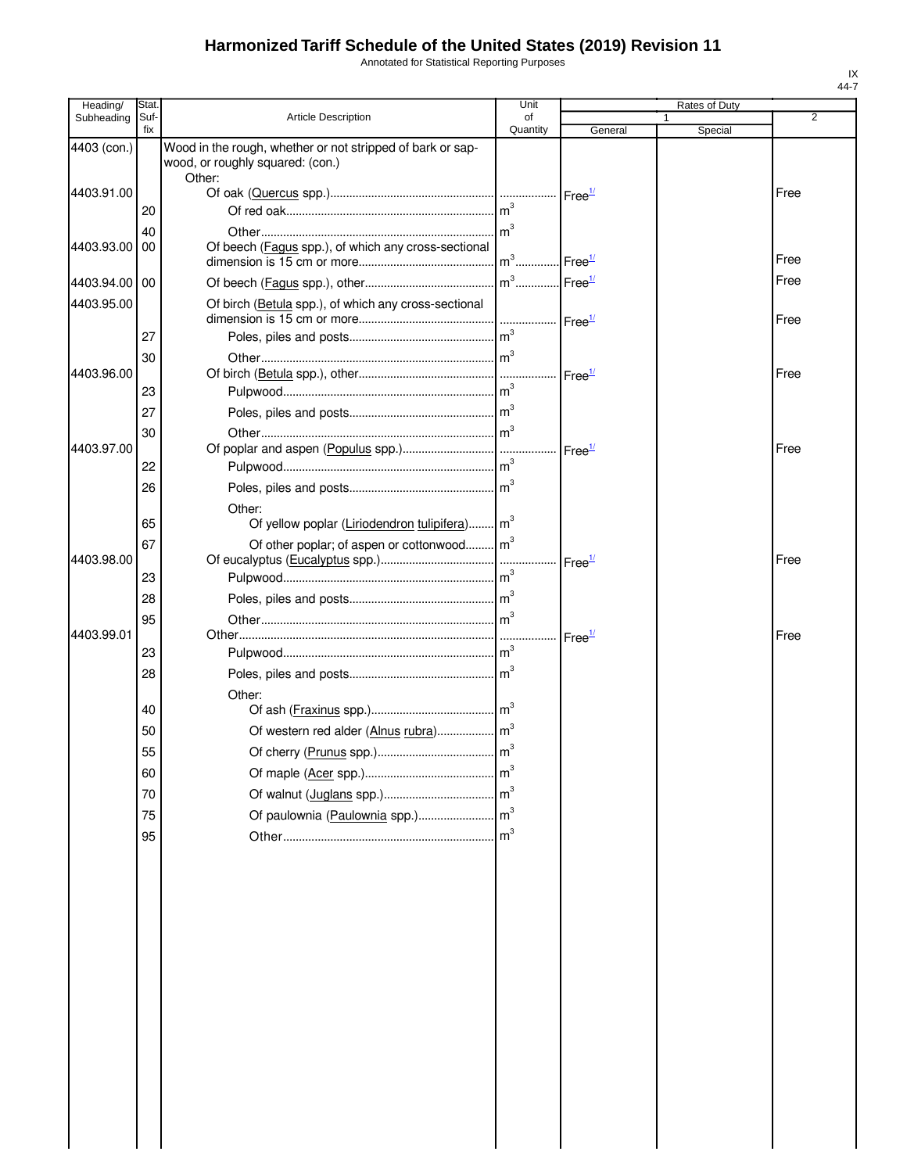Annotated for Statistical Reporting Purposes

| Heading/      | Stat.       |                                                            | Unit            |                                                    | Rates of Duty |      |
|---------------|-------------|------------------------------------------------------------|-----------------|----------------------------------------------------|---------------|------|
| Subheading    | Suf-<br>fix | <b>Article Description</b>                                 | of<br>Quantity  | General                                            | Special       | 2    |
| 4403 (con.)   |             | Wood in the rough, whether or not stripped of bark or sap- |                 |                                                    |               |      |
|               |             | wood, or roughly squared: (con.)                           |                 |                                                    |               |      |
| 4403.91.00    |             | Other:                                                     |                 | Free <sup>1/</sup>                                 |               | Free |
|               | 20          |                                                            | m <sup>3</sup>  |                                                    |               |      |
|               | 40          |                                                            | m <sup>3</sup>  |                                                    |               |      |
| 4403.93.00    | 00          | Of beech (Fagus spp.), of which any cross-sectional        |                 |                                                    |               |      |
|               |             |                                                            | $m^3$           | $\mathsf{Free}^{\underline{\mathsf{1}\mathsf{1}}}$ |               | Free |
| 4403.94.00 00 |             |                                                            | $m^3$           | $\mathsf{I}$ Free $\frac{1}{2}$                    |               | Free |
| 4403.95.00    |             | Of birch (Betula spp.), of which any cross-sectional       |                 |                                                    |               |      |
|               |             |                                                            | m <sup>3</sup>  | Free <sup>1/</sup>                                 |               | Free |
|               | 27          |                                                            | $\mathsf{Im}^3$ |                                                    |               |      |
| 4403.96.00    | 30          |                                                            |                 | $r$ Free $\frac{1}{2}$                             |               | Free |
|               | 23          |                                                            |                 |                                                    |               |      |
|               | 27          |                                                            |                 |                                                    |               |      |
|               | 30          |                                                            | m <sup>3</sup>  |                                                    |               |      |
| 4403.97.00    |             |                                                            |                 | Free <sup>1/</sup>                                 |               | Free |
|               | 22          |                                                            |                 |                                                    |               |      |
|               | 26          |                                                            |                 |                                                    |               |      |
|               |             | Other:                                                     |                 |                                                    |               |      |
|               | 65          | Of yellow poplar (Liriodendron tulipifera) m <sup>3</sup>  |                 |                                                    |               |      |
| 4403.98.00    | 67          | Of other poplar; of aspen or cottonwood m <sup>3</sup>     |                 |                                                    |               | Free |
|               | 23          |                                                            |                 | Free <sup>1/</sup>                                 |               |      |
|               | 28          |                                                            |                 |                                                    |               |      |
|               | 95          |                                                            | $\text{m}^3$    |                                                    |               |      |
| 4403.99.01    |             |                                                            |                 | Free <sup>1/</sup>                                 |               | Free |
|               | 23          |                                                            |                 |                                                    |               |      |
|               | 28          |                                                            |                 |                                                    |               |      |
|               |             | Other:                                                     |                 |                                                    |               |      |
|               | 40          |                                                            |                 |                                                    |               |      |
|               | 50          |                                                            |                 |                                                    |               |      |
|               | 55          |                                                            |                 |                                                    |               |      |
|               | 60          |                                                            | m <sup>3</sup>  |                                                    |               |      |
|               | 70          |                                                            |                 |                                                    |               |      |
|               | 75          | Of paulownia (Paulownia spp.)                              | m <sup>3</sup>  |                                                    |               |      |
|               | 95          |                                                            | m <sup>3</sup>  |                                                    |               |      |
|               |             |                                                            |                 |                                                    |               |      |
|               |             |                                                            |                 |                                                    |               |      |
|               |             |                                                            |                 |                                                    |               |      |
|               |             |                                                            |                 |                                                    |               |      |
|               |             |                                                            |                 |                                                    |               |      |
|               |             |                                                            |                 |                                                    |               |      |
|               |             |                                                            |                 |                                                    |               |      |
|               |             |                                                            |                 |                                                    |               |      |
|               |             |                                                            |                 |                                                    |               |      |
|               |             |                                                            |                 |                                                    |               |      |
|               |             |                                                            |                 |                                                    |               |      |
|               |             |                                                            |                 |                                                    |               |      |
|               |             |                                                            |                 |                                                    |               |      |
|               |             |                                                            |                 |                                                    |               |      |
|               |             |                                                            |                 |                                                    |               |      |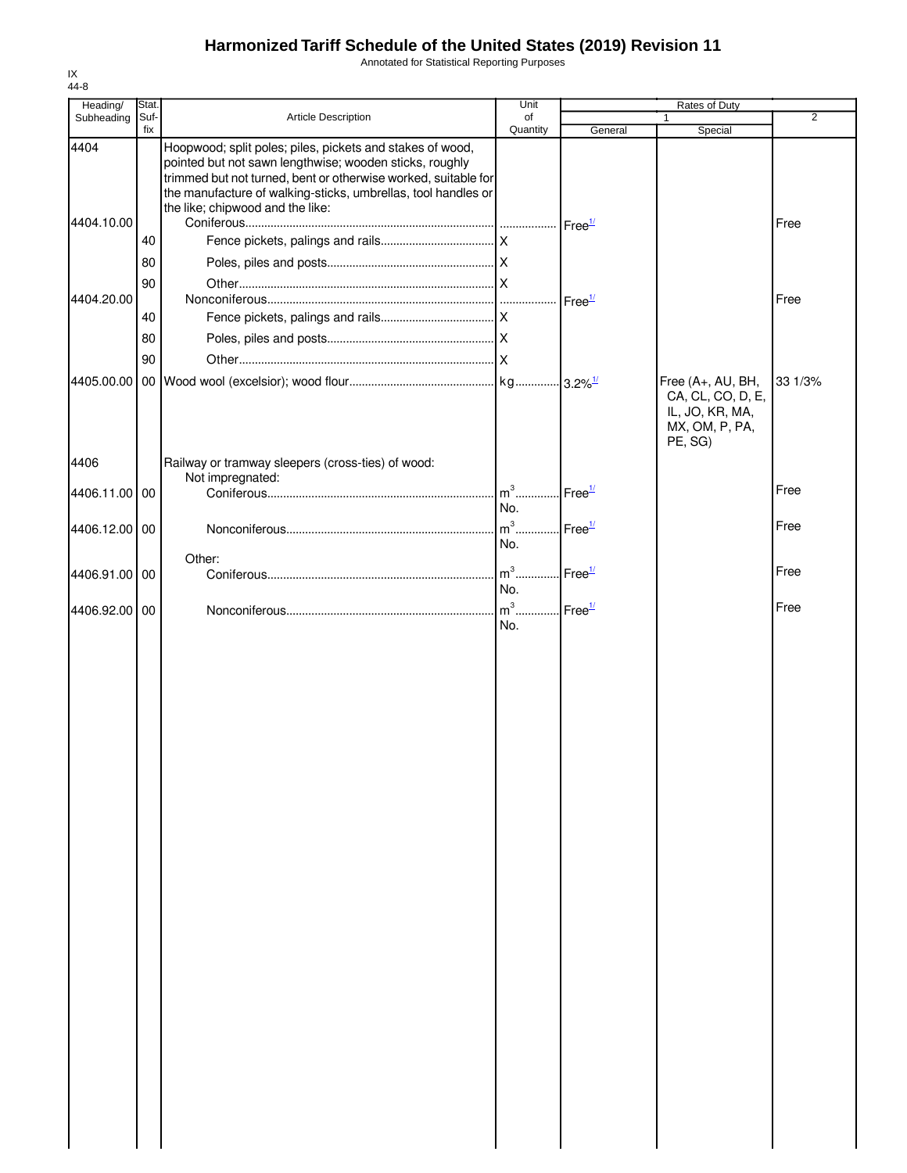Annotated for Statistical Reporting Purposes

| Heading/           | Stat.       |                                                                                                                                                                                                                                                                                             | Unit           | Rates of Duty      |                                                                                        |                |
|--------------------|-------------|---------------------------------------------------------------------------------------------------------------------------------------------------------------------------------------------------------------------------------------------------------------------------------------------|----------------|--------------------|----------------------------------------------------------------------------------------|----------------|
| Subheading         | Suf-<br>fix | Article Description                                                                                                                                                                                                                                                                         | of<br>Quantity | General            | $\mathbf{1}$<br>Special                                                                | $\overline{2}$ |
| 4404<br>4404.10.00 | 40<br>80    | Hoopwood; split poles; piles, pickets and stakes of wood,<br>pointed but not sawn lengthwise; wooden sticks, roughly<br>trimmed but not turned, bent or otherwise worked, suitable for<br>the manufacture of walking-sticks, umbrellas, tool handles or<br>the like; chipwood and the like: |                | Free <sup>1/</sup> |                                                                                        | Free           |
|                    |             |                                                                                                                                                                                                                                                                                             |                |                    |                                                                                        |                |
| 4404.20.00         | 90<br>40    |                                                                                                                                                                                                                                                                                             |                | Free <sup>1/</sup> |                                                                                        | Free           |
|                    | 80          |                                                                                                                                                                                                                                                                                             |                |                    |                                                                                        |                |
|                    | 90          |                                                                                                                                                                                                                                                                                             |                |                    |                                                                                        |                |
| 4405.00.00         |             |                                                                                                                                                                                                                                                                                             |                |                    | Free (A+, AU, BH,<br>CA, CL, CO, D, E,<br>IL, JO, KR, MA,<br>MX, OM, P, PA,<br>PE, SG) | 33 1/3%        |
| 4406               |             | Railway or tramway sleepers (cross-ties) of wood:<br>Not impregnated:                                                                                                                                                                                                                       |                |                    |                                                                                        |                |
| 4406.11.00 00      |             |                                                                                                                                                                                                                                                                                             | $m3$<br>No.    | Free <sup>1/</sup> |                                                                                        | Free           |
| 4406.12.00 00      |             |                                                                                                                                                                                                                                                                                             | $m^3$          | Free <sup>1/</sup> |                                                                                        | Free           |
|                    |             |                                                                                                                                                                                                                                                                                             | No.            |                    |                                                                                        |                |
| 4406.91.00         | 00          | Other:                                                                                                                                                                                                                                                                                      | $m3$ .<br>No.  | Free $\frac{1}{2}$ |                                                                                        | Free           |
| 4406.92.00         | 00          |                                                                                                                                                                                                                                                                                             | $m3$ .<br>No.  | Free <sup>1/</sup> |                                                                                        | Free           |
|                    |             |                                                                                                                                                                                                                                                                                             |                |                    |                                                                                        |                |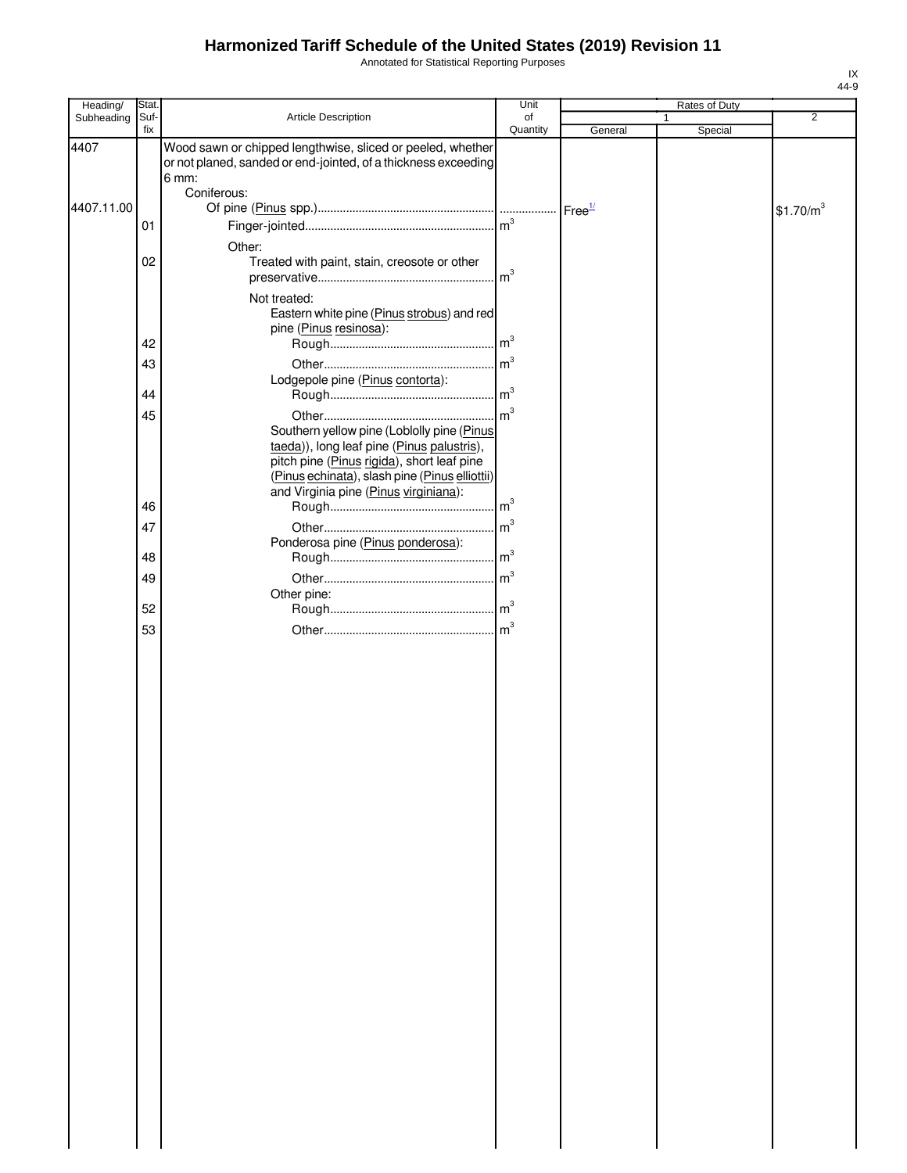Annotated for Statistical Reporting Purposes

| Heading/   | Stat. |                                                                | Unit            |         | Rates of Duty |                       |
|------------|-------|----------------------------------------------------------------|-----------------|---------|---------------|-----------------------|
| Subheading | Suf-  | Article Description                                            | of              |         | 1             | $\overline{2}$        |
|            | fix   |                                                                | Quantity        | General | Special       |                       |
| 4407       |       | Wood sawn or chipped lengthwise, sliced or peeled, whether     |                 |         |               |                       |
|            |       | or not planed, sanded or end-jointed, of a thickness exceeding |                 |         |               |                       |
|            |       | 6 mm:                                                          |                 |         |               |                       |
|            |       | Coniferous:                                                    |                 |         |               |                       |
| 4407.11.00 |       |                                                                |                 |         |               | \$1.70/m <sup>3</sup> |
|            | 01    |                                                                |                 |         |               |                       |
|            |       | Other:                                                         |                 |         |               |                       |
|            | 02    | Treated with paint, stain, creosote or other                   |                 |         |               |                       |
|            |       |                                                                |                 |         |               |                       |
|            |       |                                                                |                 |         |               |                       |
|            |       | Not treated:                                                   |                 |         |               |                       |
|            |       | Eastern white pine (Pinus strobus) and red                     |                 |         |               |                       |
|            |       | pine (Pinus resinosa):                                         |                 |         |               |                       |
|            | 42    |                                                                |                 |         |               |                       |
|            | 43    |                                                                |                 |         |               |                       |
|            |       | Lodgepole pine (Pinus contorta):                               |                 |         |               |                       |
|            | 44    |                                                                |                 |         |               |                       |
|            | 45    |                                                                |                 |         |               |                       |
|            |       | Southern yellow pine (Loblolly pine (Pinus                     |                 |         |               |                       |
|            |       | taeda)), long leaf pine (Pinus palustris),                     |                 |         |               |                       |
|            |       | pitch pine (Pinus rigida), short leaf pine                     |                 |         |               |                       |
|            |       | (Pinus echinata), slash pine (Pinus elliottii)                 |                 |         |               |                       |
|            |       | and Virginia pine (Pinus virginiana):                          |                 |         |               |                       |
|            | 46    |                                                                |                 |         |               |                       |
|            | 47    |                                                                |                 |         |               |                       |
|            |       | Ponderosa pine (Pinus ponderosa):                              |                 |         |               |                       |
|            | 48    |                                                                |                 |         |               |                       |
|            | 49    |                                                                | $\mathsf{Im}^3$ |         |               |                       |
|            |       | Other pine:                                                    |                 |         |               |                       |
|            | 52    |                                                                |                 |         |               |                       |
|            |       |                                                                |                 |         |               |                       |
|            | 53    |                                                                |                 |         |               |                       |
|            |       |                                                                |                 |         |               |                       |
|            |       |                                                                |                 |         |               |                       |
|            |       |                                                                |                 |         |               |                       |
|            |       |                                                                |                 |         |               |                       |
|            |       |                                                                |                 |         |               |                       |
|            |       |                                                                |                 |         |               |                       |
|            |       |                                                                |                 |         |               |                       |
|            |       |                                                                |                 |         |               |                       |
|            |       |                                                                |                 |         |               |                       |
|            |       |                                                                |                 |         |               |                       |
|            |       |                                                                |                 |         |               |                       |
|            |       |                                                                |                 |         |               |                       |
|            |       |                                                                |                 |         |               |                       |
|            |       |                                                                |                 |         |               |                       |
|            |       |                                                                |                 |         |               |                       |
|            |       |                                                                |                 |         |               |                       |
|            |       |                                                                |                 |         |               |                       |
|            |       |                                                                |                 |         |               |                       |
|            |       |                                                                |                 |         |               |                       |
|            |       |                                                                |                 |         |               |                       |
|            |       |                                                                |                 |         |               |                       |
|            |       |                                                                |                 |         |               |                       |
|            |       |                                                                |                 |         |               |                       |
|            |       |                                                                |                 |         |               |                       |
|            |       |                                                                |                 |         |               |                       |
|            |       |                                                                |                 |         |               |                       |
|            |       |                                                                |                 |         |               |                       |
|            |       |                                                                |                 |         |               |                       |
|            |       |                                                                |                 |         |               |                       |
|            |       |                                                                |                 |         |               |                       |
|            |       |                                                                |                 |         |               |                       |
|            |       |                                                                |                 |         |               |                       |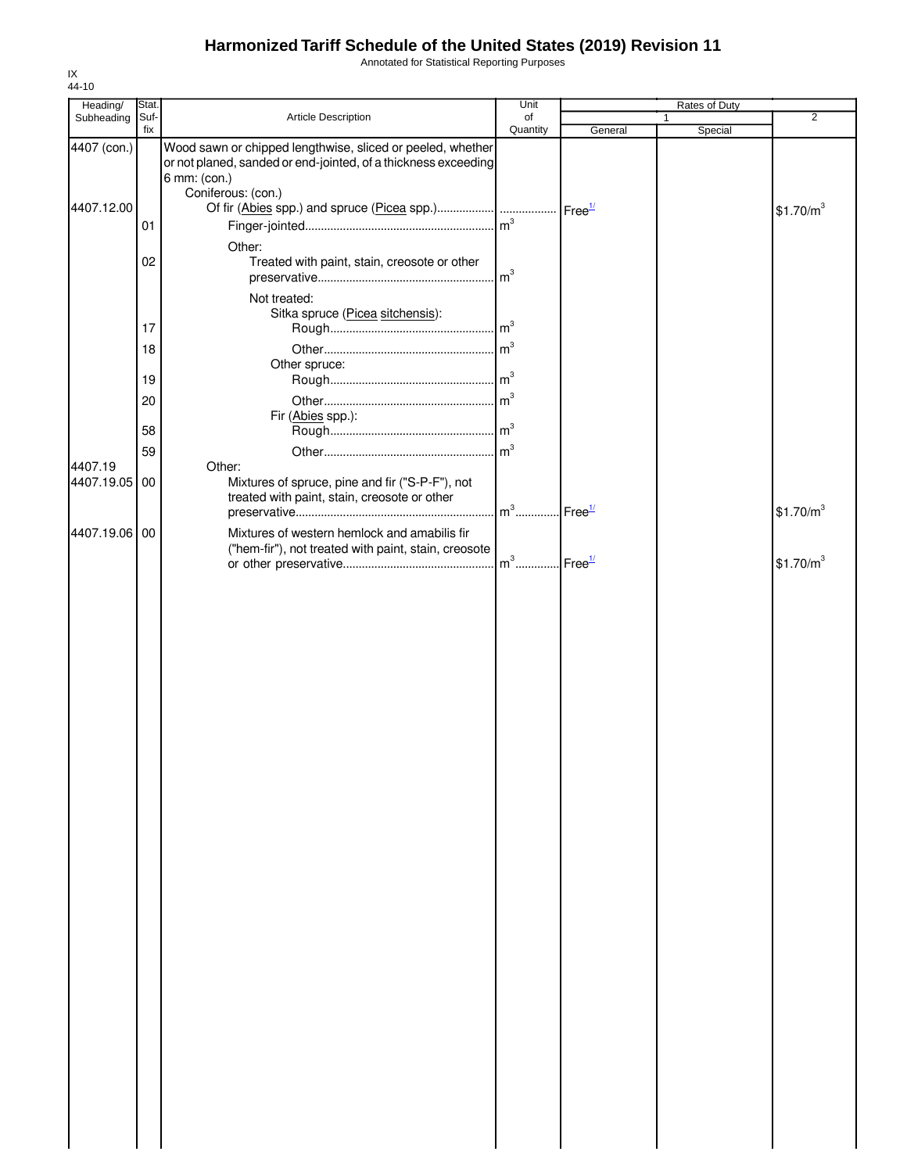Annotated for Statistical Reporting Purposes

| Heading/    | Stat. |                                                                                                                                              | Unit                              |         | Rates of Duty |                       |
|-------------|-------|----------------------------------------------------------------------------------------------------------------------------------------------|-----------------------------------|---------|---------------|-----------------------|
| Subheading  | Suf-  | Article Description                                                                                                                          | of                                |         |               | $\overline{2}$        |
| 4407 (con.) | fix   | Wood sawn or chipped lengthwise, sliced or peeled, whether<br>or not planed, sanded or end-jointed, of a thickness exceeding<br>6 mm: (con.) | Quantity                          | General | Special       |                       |
| 4407.12.00  | 01    | Coniferous: (con.)                                                                                                                           |                                   |         |               | \$1.70/m <sup>3</sup> |
|             | 02    | Other:<br>Treated with paint, stain, creosote or other                                                                                       | $\mathsf{Im}^3$                   |         |               |                       |
|             |       | Not treated:<br>Sitka spruce (Picea sitchensis):                                                                                             |                                   |         |               |                       |
|             | 17    |                                                                                                                                              | $\mathsf{Im}^3$                   |         |               |                       |
|             | 18    | Other spruce:                                                                                                                                | $\mathsf{Im}^3$                   |         |               |                       |
|             | 19    |                                                                                                                                              |                                   |         |               |                       |
|             | 20    | Fir (Abies spp.):                                                                                                                            | m <sup>3</sup>                    |         |               |                       |
|             | 58    |                                                                                                                                              |                                   |         |               |                       |
| 4407.19     | 59    | Other:                                                                                                                                       | $\mathsf{m}^3$                    |         |               |                       |
| 4407.19.05  | 00    | Mixtures of spruce, pine and fir ("S-P-F"), not<br>treated with paint, stain, creosote or other                                              | m <sup>3</sup> Free <sup>1/</sup> |         |               | \$1.70/m <sup>3</sup> |
| 4407.19.06  | 00    | Mixtures of western hemlock and amabilis fir<br>("hem-fir"), not treated with paint, stain, creosote                                         |                                   |         |               |                       |
|             |       |                                                                                                                                              |                                   |         |               | \$1.70/m <sup>3</sup> |
|             |       |                                                                                                                                              |                                   |         |               |                       |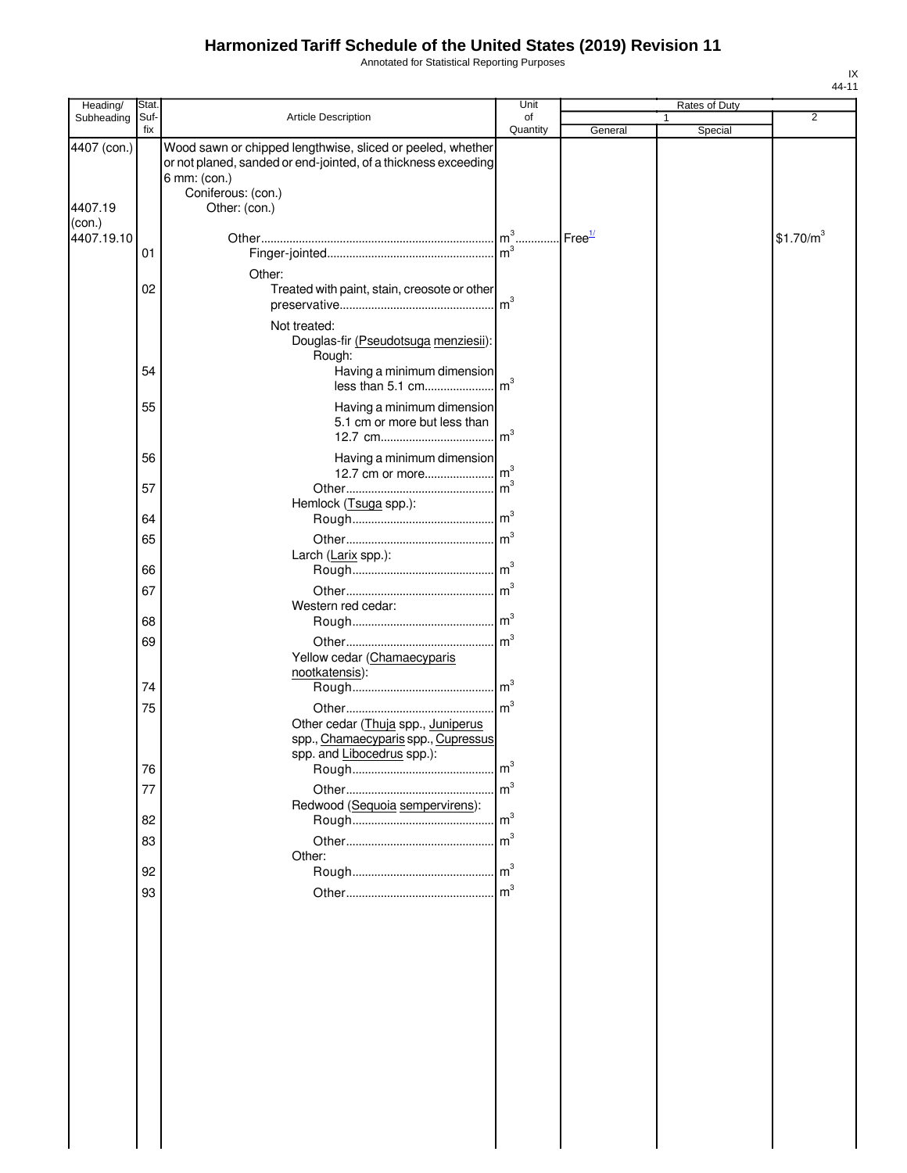Annotated for Statistical Reporting Purposes

| Heading/          | Stat.       |                                                                                                                                                                    | Unit                             |               | Rates of Duty |                       |
|-------------------|-------------|--------------------------------------------------------------------------------------------------------------------------------------------------------------------|----------------------------------|---------------|---------------|-----------------------|
| Subheading        | Suf-<br>fix | Article Description                                                                                                                                                | of<br>Quantity                   | General       | 1<br>Special  | $\overline{2}$        |
| 4407 (con.)       |             | Wood sawn or chipped lengthwise, sliced or peeled, whether<br>or not planed, sanded or end-jointed, of a thickness exceeding<br>6 mm: (con.)<br>Coniferous: (con.) |                                  |               |               |                       |
| 4407.19<br>(con.) |             | Other: (con.)                                                                                                                                                      |                                  |               |               |                       |
| 4407.19.10        |             |                                                                                                                                                                    |                                  | $I$ Free $1/$ |               | \$1.70/m <sup>3</sup> |
|                   | 01          |                                                                                                                                                                    |                                  |               |               |                       |
|                   | 02          | Other:<br>Treated with paint, stain, creosote or other<br>Not treated:                                                                                             |                                  |               |               |                       |
|                   |             | Douglas-fir (Pseudotsuga menziesii):                                                                                                                               |                                  |               |               |                       |
|                   |             | Rough:                                                                                                                                                             |                                  |               |               |                       |
|                   | 54          | Having a minimum dimension<br>less than 5.1 cm                                                                                                                     | m <sup>3</sup>                   |               |               |                       |
|                   | 55          | Having a minimum dimension<br>5.1 cm or more but less than                                                                                                         |                                  |               |               |                       |
|                   | 56          | Having a minimum dimension                                                                                                                                         |                                  |               |               |                       |
|                   | 57          |                                                                                                                                                                    | m <sup>3</sup>                   |               |               |                       |
|                   | 64          | Hemlock (Tsuga spp.):                                                                                                                                              |                                  |               |               |                       |
|                   | 65          |                                                                                                                                                                    |                                  |               |               |                       |
|                   | 66          | Larch (Larix spp.):                                                                                                                                                |                                  |               |               |                       |
|                   | 67          |                                                                                                                                                                    |                                  |               |               |                       |
|                   |             | Western red cedar:                                                                                                                                                 |                                  |               |               |                       |
|                   | 68          |                                                                                                                                                                    |                                  |               |               |                       |
|                   | 69          | Yellow cedar (Chamaecyparis<br>nootkatensis):                                                                                                                      |                                  |               |               |                       |
|                   | 74          |                                                                                                                                                                    | m <sup>3</sup>                   |               |               |                       |
|                   | 75          | Other cedar (Thuja spp., Juniperus<br>spp., Chamaecyparis spp., Cupressus                                                                                          | $\mathsf{Im}^3$                  |               |               |                       |
|                   |             | spp. and Libocedrus spp.):                                                                                                                                         |                                  |               |               |                       |
|                   | 76          |                                                                                                                                                                    | m <sup>3</sup><br>m <sup>3</sup> |               |               |                       |
|                   | 77          | Redwood (Sequoia sempervirens):                                                                                                                                    |                                  |               |               |                       |
|                   | 82          |                                                                                                                                                                    | m <sup>3</sup>                   |               |               |                       |
|                   | 83          |                                                                                                                                                                    |                                  |               |               |                       |
|                   | 92          | Other:                                                                                                                                                             |                                  |               |               |                       |
|                   | 93          |                                                                                                                                                                    | m <sup>3</sup>                   |               |               |                       |
|                   |             |                                                                                                                                                                    |                                  |               |               |                       |
|                   |             |                                                                                                                                                                    |                                  |               |               |                       |
|                   |             |                                                                                                                                                                    |                                  |               |               |                       |
|                   |             |                                                                                                                                                                    |                                  |               |               |                       |
|                   |             |                                                                                                                                                                    |                                  |               |               |                       |
|                   |             |                                                                                                                                                                    |                                  |               |               |                       |
|                   |             |                                                                                                                                                                    |                                  |               |               |                       |
|                   |             |                                                                                                                                                                    |                                  |               |               |                       |
|                   |             |                                                                                                                                                                    |                                  |               |               |                       |
|                   |             |                                                                                                                                                                    |                                  |               |               |                       |
|                   |             |                                                                                                                                                                    |                                  |               |               |                       |
|                   |             |                                                                                                                                                                    |                                  |               |               |                       |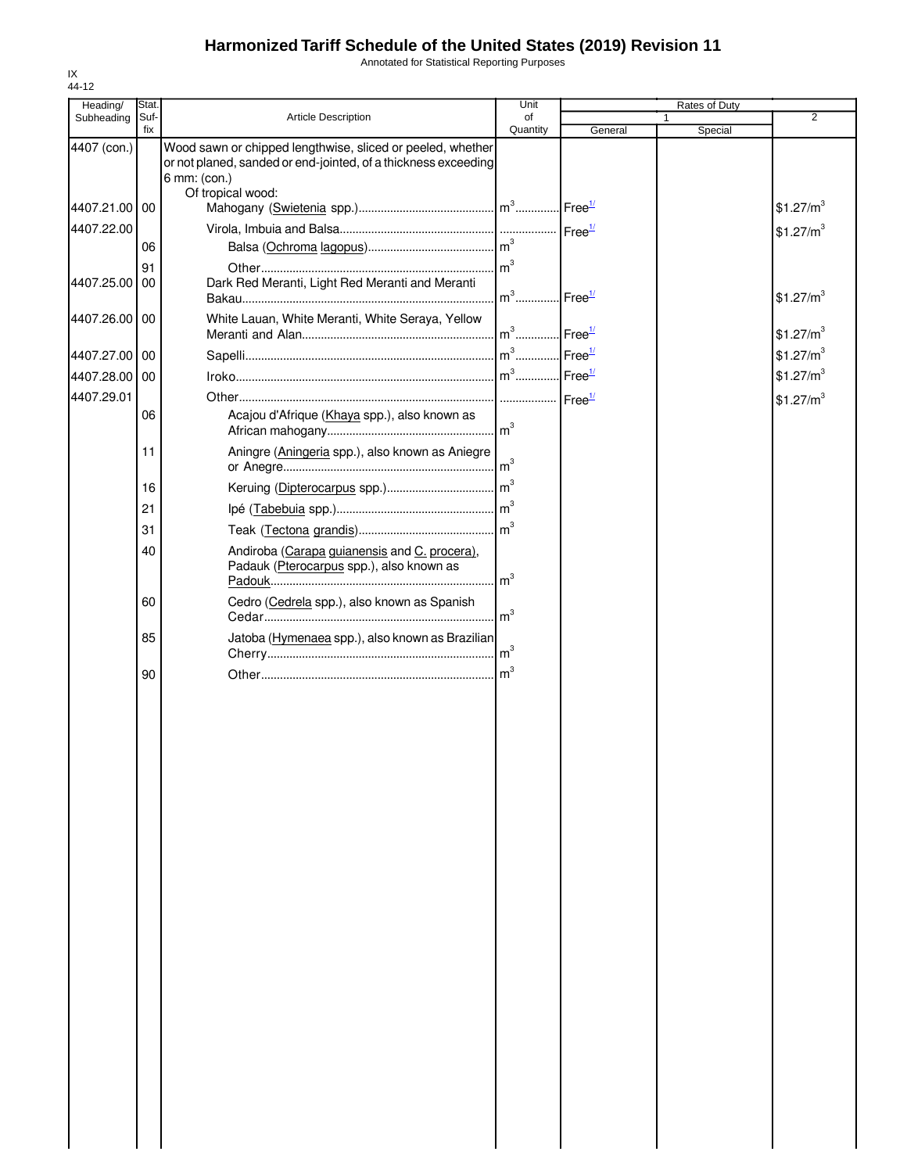Annotated for Statistical Reporting Purposes

| Heading/      | Stat. |                                                                                                     | Unit                              |                    | Rates of Duty |                       |
|---------------|-------|-----------------------------------------------------------------------------------------------------|-----------------------------------|--------------------|---------------|-----------------------|
| Subheading    | Suf-  | Article Description                                                                                 | of                                |                    |               | $\overline{2}$        |
| 4407 (con.)   | fix   | Wood sawn or chipped lengthwise, sliced or peeled, whether                                          | Quantity                          | General            | Special       |                       |
|               |       | or not planed, sanded or end-jointed, of a thickness exceeding<br>6 mm: (con.)<br>Of tropical wood: |                                   |                    |               |                       |
| 4407.21.00 00 |       |                                                                                                     |                                   |                    |               | \$1.27/m <sup>3</sup> |
| 4407.22.00    |       |                                                                                                     |                                   |                    |               | \$1.27/m <sup>3</sup> |
|               | 06    |                                                                                                     |                                   |                    |               |                       |
|               | 91    |                                                                                                     |                                   |                    |               |                       |
| 4407.25.00 00 |       | Dark Red Meranti, Light Red Meranti and Meranti                                                     | $m^3$                             | Free <sup>1/</sup> |               | \$1.27/m <sup>3</sup> |
| 4407.26.00 00 |       | White Lauan, White Meranti, White Seraya, Yellow                                                    | m <sup>3</sup> Free <sup>1/</sup> |                    |               | \$1.27/m <sup>3</sup> |
| 4407.27.00 00 |       |                                                                                                     |                                   |                    |               | \$1.27/m <sup>3</sup> |
| 4407.28.00 00 |       |                                                                                                     |                                   |                    |               | \$1.27/m <sup>3</sup> |
| 4407.29.01    |       |                                                                                                     |                                   |                    |               | \$1.27/m <sup>3</sup> |
|               | 06    | Acajou d'Afrique (Khaya spp.), also known as                                                        |                                   |                    |               |                       |
|               | 11    | Aningre (Aningeria spp.), also known as Aniegre                                                     |                                   |                    |               |                       |
|               | 16    |                                                                                                     |                                   |                    |               |                       |
|               | 21    |                                                                                                     |                                   |                    |               |                       |
|               | 31    |                                                                                                     |                                   |                    |               |                       |
|               | 40    | Andiroba (Carapa guianensis and C. procera),<br>Padauk (Pterocarpus spp.), also known as            | $\mathsf{Im}^3$                   |                    |               |                       |
|               | 60    | Cedro (Cedrela spp.), also known as Spanish                                                         | $\mathsf{Im}^3$                   |                    |               |                       |
|               | 85    | Jatoba (Hymenaea spp.), also known as Brazilian                                                     |                                   |                    |               |                       |
|               | 90    |                                                                                                     |                                   |                    |               |                       |
|               |       |                                                                                                     |                                   |                    |               |                       |
|               |       |                                                                                                     |                                   |                    |               |                       |
|               |       |                                                                                                     |                                   |                    |               |                       |
|               |       |                                                                                                     |                                   |                    |               |                       |
|               |       |                                                                                                     |                                   |                    |               |                       |
|               |       |                                                                                                     |                                   |                    |               |                       |
|               |       |                                                                                                     |                                   |                    |               |                       |
|               |       |                                                                                                     |                                   |                    |               |                       |
|               |       |                                                                                                     |                                   |                    |               |                       |
|               |       |                                                                                                     |                                   |                    |               |                       |
|               |       |                                                                                                     |                                   |                    |               |                       |
|               |       |                                                                                                     |                                   |                    |               |                       |
|               |       |                                                                                                     |                                   |                    |               |                       |
|               |       |                                                                                                     |                                   |                    |               |                       |
|               |       |                                                                                                     |                                   |                    |               |                       |
|               |       |                                                                                                     |                                   |                    |               |                       |
|               |       |                                                                                                     |                                   |                    |               |                       |
|               |       |                                                                                                     |                                   |                    |               |                       |
|               |       |                                                                                                     |                                   |                    |               |                       |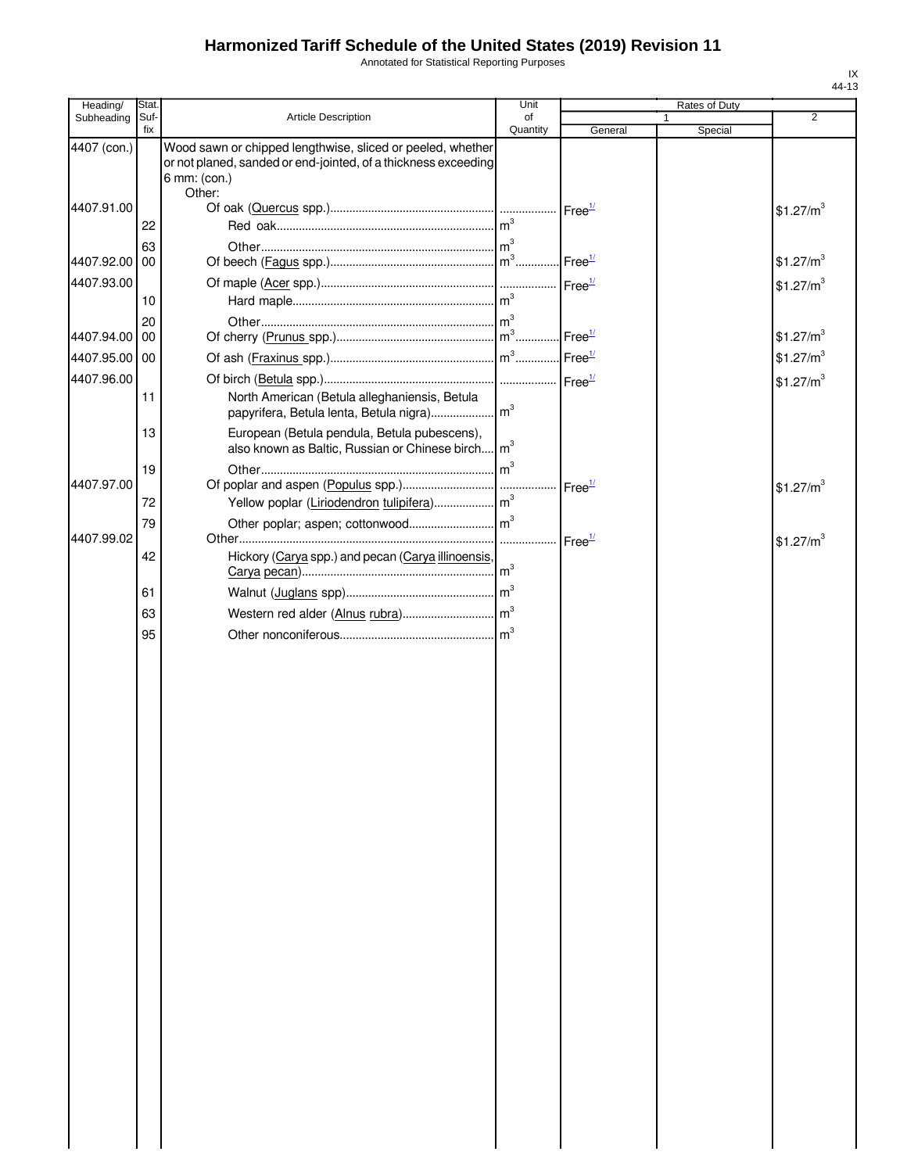Annotated for Statistical Reporting Purposes

| Heading/      | Stat.       |                                                                                                                                                        | Unit           |                    | Rates of Duty           |                       |
|---------------|-------------|--------------------------------------------------------------------------------------------------------------------------------------------------------|----------------|--------------------|-------------------------|-----------------------|
| Subheading    | Suf-<br>fix | Article Description                                                                                                                                    | of<br>Quantity | General            | $\mathbf{1}$<br>Special | 2                     |
| 4407 (con.)   |             | Wood sawn or chipped lengthwise, sliced or peeled, whether<br>or not planed, sanded or end-jointed, of a thickness exceeding<br>6 mm: (con.)<br>Other: |                |                    |                         |                       |
| 4407.91.00    | 22          |                                                                                                                                                        |                | Free <sup>1/</sup> |                         | \$1.27/m <sup>3</sup> |
| 4407.92.00    | 63<br>00    |                                                                                                                                                        |                | Free $\frac{1}{2}$ |                         | \$1.27/m <sup>3</sup> |
| 4407.93.00    | 10          |                                                                                                                                                        |                | Free <sup>1/</sup> |                         | \$1.27/m <sup>3</sup> |
| 4407.94.00    | 20<br>00    |                                                                                                                                                        |                | Free <sup>1/</sup> |                         | \$1.27/m <sup>3</sup> |
| 4407.95.00 00 |             |                                                                                                                                                        |                |                    |                         | \$1.27/m <sup>3</sup> |
| 4407.96.00    | 11          | North American (Betula alleghaniensis, Betula                                                                                                          |                |                    |                         | \$1.27/m <sup>3</sup> |
|               | 13          | European (Betula pendula, Betula pubescens),<br>also known as Baltic, Russian or Chinese birch m <sup>3</sup>                                          |                |                    |                         |                       |
| 4407.97.00    | 19          |                                                                                                                                                        | m <sup>3</sup> | Free <sup>1/</sup> |                         | \$1.27/m <sup>3</sup> |
|               | 72          |                                                                                                                                                        |                |                    |                         |                       |
| 4407.99.02    | 79          |                                                                                                                                                        | .              | Free <sup>1/</sup> |                         | \$1.27/m <sup>3</sup> |
|               | 42          | Hickory (Carya spp.) and pecan (Carya illinoensis,                                                                                                     |                |                    |                         |                       |
|               | 61          |                                                                                                                                                        |                |                    |                         |                       |
|               | 63          |                                                                                                                                                        |                |                    |                         |                       |
|               | 95          |                                                                                                                                                        |                |                    |                         |                       |
|               |             |                                                                                                                                                        |                |                    |                         |                       |
|               |             |                                                                                                                                                        |                |                    |                         |                       |
|               |             |                                                                                                                                                        |                |                    |                         |                       |
|               |             |                                                                                                                                                        |                |                    |                         |                       |
|               |             |                                                                                                                                                        |                |                    |                         |                       |
|               |             |                                                                                                                                                        |                |                    |                         |                       |
|               |             |                                                                                                                                                        |                |                    |                         |                       |
|               |             |                                                                                                                                                        |                |                    |                         |                       |
|               |             |                                                                                                                                                        |                |                    |                         |                       |
|               |             |                                                                                                                                                        |                |                    |                         |                       |
|               |             |                                                                                                                                                        |                |                    |                         |                       |
|               |             |                                                                                                                                                        |                |                    |                         |                       |
|               |             |                                                                                                                                                        |                |                    |                         |                       |
|               |             |                                                                                                                                                        |                |                    |                         |                       |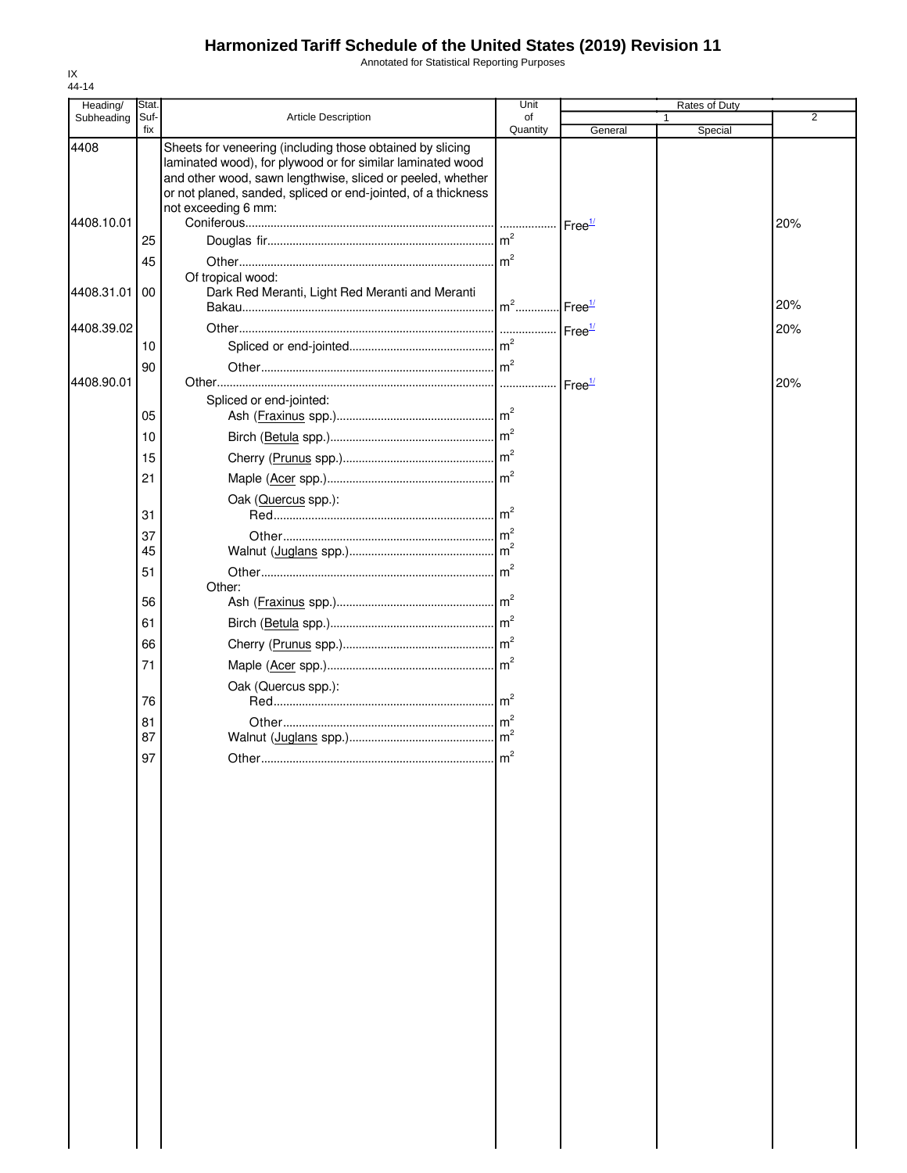Annotated for Statistical Reporting Purposes

| Heading/   | Stat.       |                                                                                                                                                                                                                                                                               | Unit            |                    | Rates of Duty |     |
|------------|-------------|-------------------------------------------------------------------------------------------------------------------------------------------------------------------------------------------------------------------------------------------------------------------------------|-----------------|--------------------|---------------|-----|
| Subheading | Suf-<br>fix | <b>Article Description</b>                                                                                                                                                                                                                                                    | of<br>Quantity  | General            | Special       | 2   |
| 4408       |             | Sheets for veneering (including those obtained by slicing<br>laminated wood), for plywood or for similar laminated wood<br>and other wood, sawn lengthwise, sliced or peeled, whether<br>or not planed, sanded, spliced or end-jointed, of a thickness<br>not exceeding 6 mm: |                 |                    |               |     |
| 4408.10.01 |             |                                                                                                                                                                                                                                                                               |                 | Free <sup>1/</sup> |               | 20% |
|            | 25          |                                                                                                                                                                                                                                                                               |                 |                    |               |     |
|            | 45          |                                                                                                                                                                                                                                                                               |                 |                    |               |     |
| 4408.31.01 | 00          | Of tropical wood:<br>Dark Red Meranti, Light Red Meranti and Meranti                                                                                                                                                                                                          | $m2$            | Free <sup>1/</sup> |               | 20% |
| 4408.39.02 |             |                                                                                                                                                                                                                                                                               |                 | Free <sup>1/</sup> |               | 20% |
|            | 10          |                                                                                                                                                                                                                                                                               |                 |                    |               |     |
|            | 90          |                                                                                                                                                                                                                                                                               | $\mathsf{Im}^2$ |                    |               |     |
| 4408.90.01 |             |                                                                                                                                                                                                                                                                               |                 | Free <sup>1/</sup> |               | 20% |
|            | 05          | Spliced or end-jointed:                                                                                                                                                                                                                                                       |                 |                    |               |     |
|            |             |                                                                                                                                                                                                                                                                               |                 |                    |               |     |
|            | 10          |                                                                                                                                                                                                                                                                               |                 |                    |               |     |
|            | 15          |                                                                                                                                                                                                                                                                               |                 |                    |               |     |
|            | 21          |                                                                                                                                                                                                                                                                               |                 |                    |               |     |
|            | 31          | Oak (Quercus spp.):                                                                                                                                                                                                                                                           |                 |                    |               |     |
|            | 37          |                                                                                                                                                                                                                                                                               |                 |                    |               |     |
|            | 45          |                                                                                                                                                                                                                                                                               |                 |                    |               |     |
|            | 51          |                                                                                                                                                                                                                                                                               |                 |                    |               |     |
|            | 56          | Other:                                                                                                                                                                                                                                                                        |                 |                    |               |     |
|            | 61          |                                                                                                                                                                                                                                                                               |                 |                    |               |     |
|            | 66          |                                                                                                                                                                                                                                                                               |                 |                    |               |     |
|            | 71          |                                                                                                                                                                                                                                                                               |                 |                    |               |     |
|            |             |                                                                                                                                                                                                                                                                               |                 |                    |               |     |
|            | 76          | Oak (Quercus spp.):                                                                                                                                                                                                                                                           |                 |                    |               |     |
|            | 81          |                                                                                                                                                                                                                                                                               |                 |                    |               |     |
|            | 87          |                                                                                                                                                                                                                                                                               |                 |                    |               |     |
|            | 97          |                                                                                                                                                                                                                                                                               | $\mathsf{Im}^2$ |                    |               |     |
|            |             |                                                                                                                                                                                                                                                                               |                 |                    |               |     |
|            |             |                                                                                                                                                                                                                                                                               |                 |                    |               |     |
|            |             |                                                                                                                                                                                                                                                                               |                 |                    |               |     |
|            |             |                                                                                                                                                                                                                                                                               |                 |                    |               |     |
|            |             |                                                                                                                                                                                                                                                                               |                 |                    |               |     |
|            |             |                                                                                                                                                                                                                                                                               |                 |                    |               |     |
|            |             |                                                                                                                                                                                                                                                                               |                 |                    |               |     |
|            |             |                                                                                                                                                                                                                                                                               |                 |                    |               |     |
|            |             |                                                                                                                                                                                                                                                                               |                 |                    |               |     |
|            |             |                                                                                                                                                                                                                                                                               |                 |                    |               |     |
|            |             |                                                                                                                                                                                                                                                                               |                 |                    |               |     |
|            |             |                                                                                                                                                                                                                                                                               |                 |                    |               |     |
|            |             |                                                                                                                                                                                                                                                                               |                 |                    |               |     |
|            |             |                                                                                                                                                                                                                                                                               |                 |                    |               |     |
|            |             |                                                                                                                                                                                                                                                                               |                 |                    |               |     |
|            |             |                                                                                                                                                                                                                                                                               |                 |                    |               |     |
|            |             |                                                                                                                                                                                                                                                                               |                 |                    |               |     |
|            |             |                                                                                                                                                                                                                                                                               |                 |                    |               |     |
|            |             |                                                                                                                                                                                                                                                                               |                 |                    |               |     |
|            |             |                                                                                                                                                                                                                                                                               |                 |                    |               |     |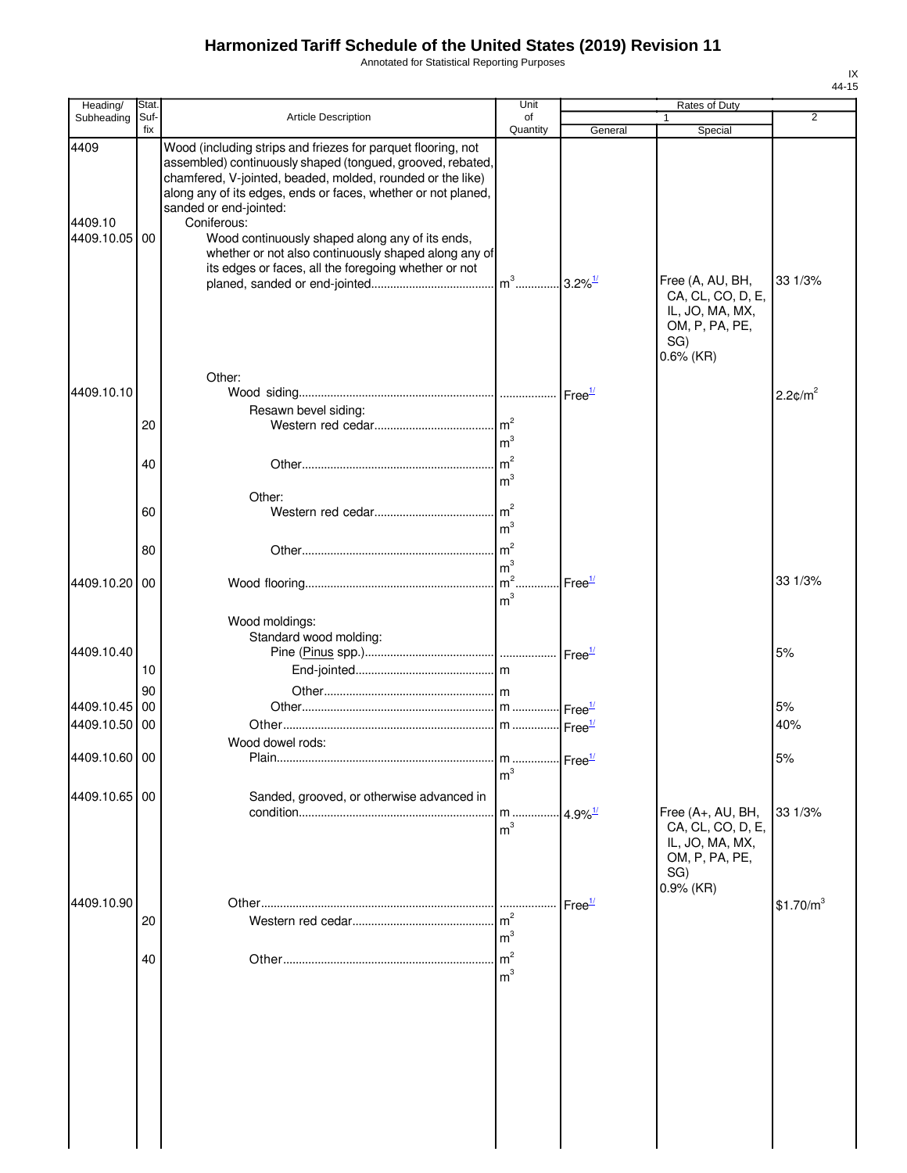Annotated for Statistical Reporting Purposes

| Heading/                      | <b>Stat</b> |                                                                                                                                                                                                                                                                                                                                                                                                                                                                       | Unit                                    |                        | Rates of Duty                                                               |                        |
|-------------------------------|-------------|-----------------------------------------------------------------------------------------------------------------------------------------------------------------------------------------------------------------------------------------------------------------------------------------------------------------------------------------------------------------------------------------------------------------------------------------------------------------------|-----------------------------------------|------------------------|-----------------------------------------------------------------------------|------------------------|
| Subheading                    | Suf-<br>fix | Article Description                                                                                                                                                                                                                                                                                                                                                                                                                                                   | of<br>Quantity                          | General                | 1<br>Special                                                                | $\overline{2}$         |
| 4409<br>4409.10<br>4409.10.05 | 00          | Wood (including strips and friezes for parquet flooring, not<br>assembled) continuously shaped (tongued, grooved, rebated,<br>chamfered, V-jointed, beaded, molded, rounded or the like)<br>along any of its edges, ends or faces, whether or not planed,<br>sanded or end-jointed:<br>Coniferous:<br>Wood continuously shaped along any of its ends,<br>whether or not also continuously shaped along any of<br>its edges or faces, all the foregoing whether or not |                                         |                        | Free (A, AU, BH,<br>CA, CL, CO, D, E,                                       | 33 1/3%                |
|                               |             | Other:                                                                                                                                                                                                                                                                                                                                                                                                                                                                |                                         |                        | IL, JO, MA, MX,<br>OM, P, PA, PE,<br>SG)<br>$0.6\%$ (KR)                    |                        |
| 4409.10.10                    |             |                                                                                                                                                                                                                                                                                                                                                                                                                                                                       |                                         |                        |                                                                             | $2.2$ ¢/m <sup>2</sup> |
|                               |             | Resawn bevel siding:                                                                                                                                                                                                                                                                                                                                                                                                                                                  |                                         |                        |                                                                             |                        |
|                               | 20          |                                                                                                                                                                                                                                                                                                                                                                                                                                                                       | m <sup>3</sup>                          |                        |                                                                             |                        |
|                               | 40          | Other:                                                                                                                                                                                                                                                                                                                                                                                                                                                                | m <sup>3</sup>                          |                        |                                                                             |                        |
|                               | 60          |                                                                                                                                                                                                                                                                                                                                                                                                                                                                       | m <sup>3</sup>                          |                        |                                                                             |                        |
|                               | 80          |                                                                                                                                                                                                                                                                                                                                                                                                                                                                       | m <sup>3</sup>                          |                        |                                                                             |                        |
| 4409.10.20 00                 |             |                                                                                                                                                                                                                                                                                                                                                                                                                                                                       | m <sup>3</sup>                          | Free <sup>1/</sup>     |                                                                             | 33 1/3%                |
| 4409.10.40                    | 10          | Wood moldings:<br>Standard wood molding:                                                                                                                                                                                                                                                                                                                                                                                                                              |                                         |                        |                                                                             | 5%                     |
|                               | 90          |                                                                                                                                                                                                                                                                                                                                                                                                                                                                       |                                         |                        |                                                                             |                        |
| 4409.10.45                    | 00          |                                                                                                                                                                                                                                                                                                                                                                                                                                                                       |                                         |                        |                                                                             | 5%                     |
| 4409.10.50 00                 |             | Wood dowel rods:                                                                                                                                                                                                                                                                                                                                                                                                                                                      |                                         |                        |                                                                             | 40%                    |
| 4409.10.60 00                 |             | Plain                                                                                                                                                                                                                                                                                                                                                                                                                                                                 | m  Free <sup>1/</sup><br>m <sup>3</sup> |                        |                                                                             | 5%                     |
| 4409.10.65 00                 |             | Sanded, grooved, or otherwise advanced in                                                                                                                                                                                                                                                                                                                                                                                                                             | m <sup>3</sup>                          | $.4.9\%$ <sup>1/</sup> | Free (A+, AU, BH,<br>CA, CL, CO, D, E,<br>IL, JO, MA, MX,<br>OM, P, PA, PE, | 33 1/3%                |
|                               |             |                                                                                                                                                                                                                                                                                                                                                                                                                                                                       |                                         |                        | SG)<br>$0.9%$ (KR)                                                          |                        |
| 4409.10.90                    | 20          |                                                                                                                                                                                                                                                                                                                                                                                                                                                                       | m <sup>3</sup>                          | Free <sup>1/</sup>     |                                                                             | \$1.70/m <sup>3</sup>  |
|                               | 40          |                                                                                                                                                                                                                                                                                                                                                                                                                                                                       | m <sup>3</sup>                          |                        |                                                                             |                        |
|                               |             |                                                                                                                                                                                                                                                                                                                                                                                                                                                                       |                                         |                        |                                                                             |                        |
|                               |             |                                                                                                                                                                                                                                                                                                                                                                                                                                                                       |                                         |                        |                                                                             |                        |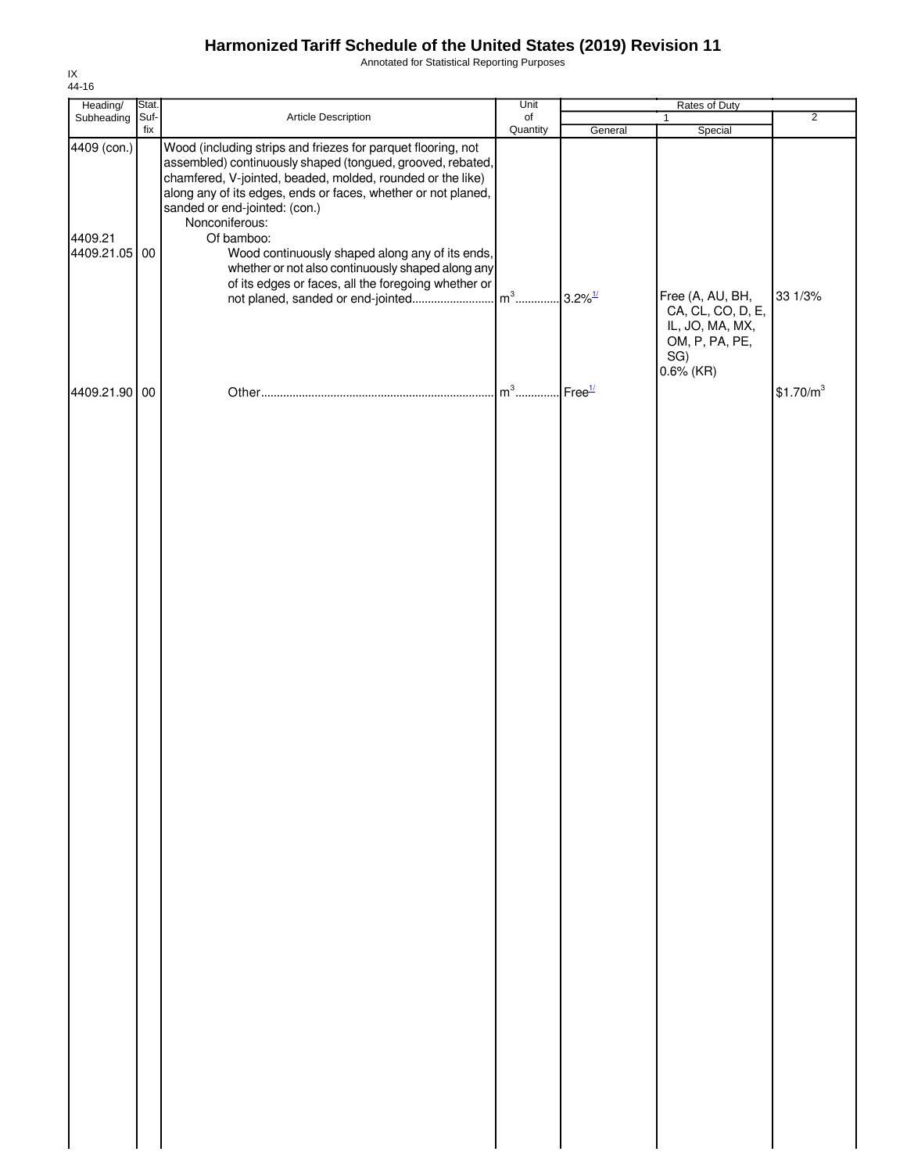Annotated for Statistical Reporting Purposes

| Heading/                                | Stat. |                                                                                                                                                                                                                                                                                                                                                                                                                                                                                           | Unit           |         | Rates of Duty                                            |                       |
|-----------------------------------------|-------|-------------------------------------------------------------------------------------------------------------------------------------------------------------------------------------------------------------------------------------------------------------------------------------------------------------------------------------------------------------------------------------------------------------------------------------------------------------------------------------------|----------------|---------|----------------------------------------------------------|-----------------------|
| Subheading Suf-                         | fix   | Article Description                                                                                                                                                                                                                                                                                                                                                                                                                                                                       | of<br>Quantity | General | $\mathbf{1}$<br>Special                                  | $\overline{2}$        |
| 4409 (con.)<br>4409.21<br>4409.21.05 00 |       | Wood (including strips and friezes for parquet flooring, not<br>assembled) continuously shaped (tongued, grooved, rebated,<br>chamfered, V-jointed, beaded, molded, rounded or the like)<br>along any of its edges, ends or faces, whether or not planed,<br>sanded or end-jointed: (con.)<br>Nonconiferous:<br>Of bamboo:<br>Wood continuously shaped along any of its ends,<br>whether or not also continuously shaped along any<br>of its edges or faces, all the foregoing whether or |                |         | Free (A, AU, BH,<br>CA, CL, CO, D, E,<br>IL, JO, MA, MX, | 33 1/3%               |
| 4409.21.90 00                           |       |                                                                                                                                                                                                                                                                                                                                                                                                                                                                                           |                |         | OM, P, PA, PE,<br>SG)<br>$0.6\%$ (KR)                    | \$1.70/m <sup>3</sup> |
|                                         |       |                                                                                                                                                                                                                                                                                                                                                                                                                                                                                           |                |         |                                                          |                       |
|                                         |       |                                                                                                                                                                                                                                                                                                                                                                                                                                                                                           |                |         |                                                          |                       |
|                                         |       |                                                                                                                                                                                                                                                                                                                                                                                                                                                                                           |                |         |                                                          |                       |
|                                         |       |                                                                                                                                                                                                                                                                                                                                                                                                                                                                                           |                |         |                                                          |                       |
|                                         |       |                                                                                                                                                                                                                                                                                                                                                                                                                                                                                           |                |         |                                                          |                       |
|                                         |       |                                                                                                                                                                                                                                                                                                                                                                                                                                                                                           |                |         |                                                          |                       |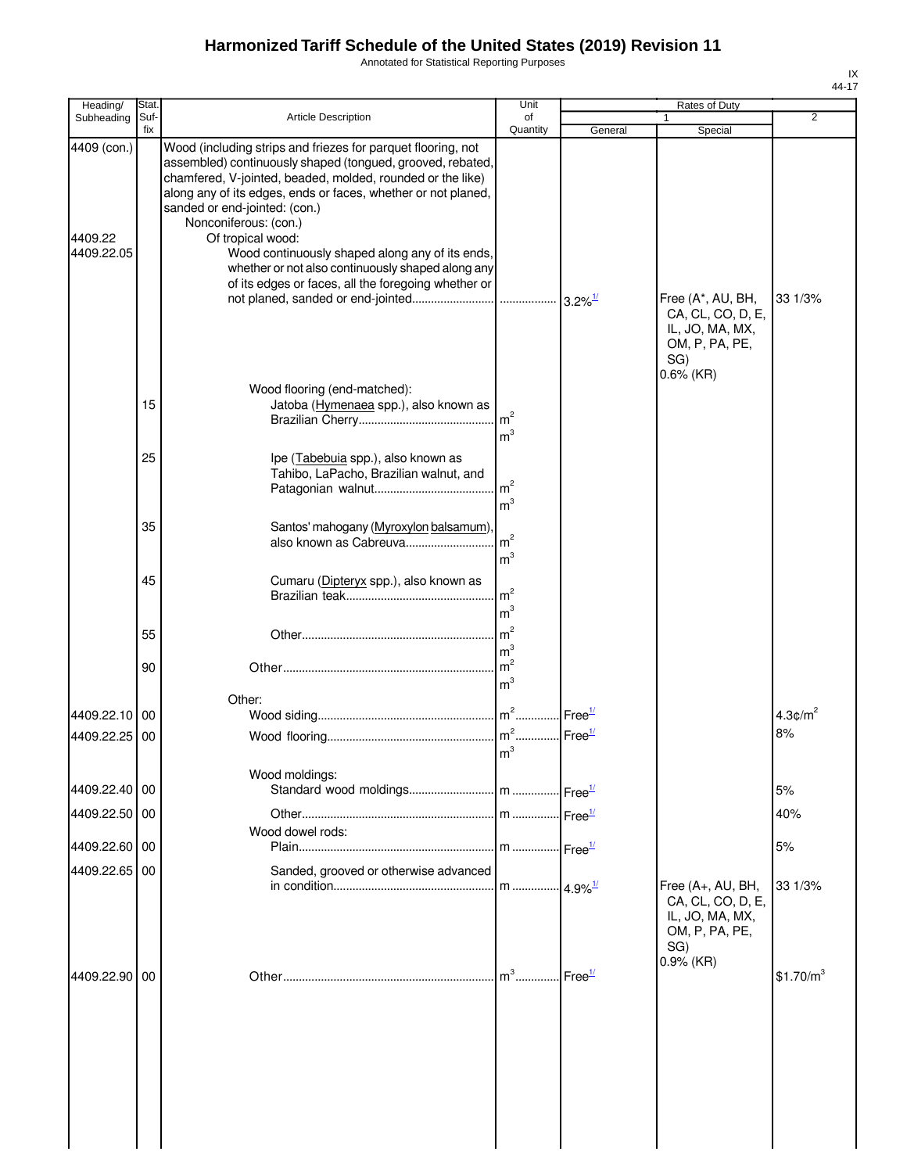Annotated for Statistical Reporting Purposes

| Heading/                             | Stat.       |                                                                                                                                                                                                                                                                                                                                                                                                                                                                                                         | Unit                                               |                    | Rates of Duty                                                                                      |                        |
|--------------------------------------|-------------|---------------------------------------------------------------------------------------------------------------------------------------------------------------------------------------------------------------------------------------------------------------------------------------------------------------------------------------------------------------------------------------------------------------------------------------------------------------------------------------------------------|----------------------------------------------------|--------------------|----------------------------------------------------------------------------------------------------|------------------------|
| Subheading                           | Suf-<br>fix | <b>Article Description</b>                                                                                                                                                                                                                                                                                                                                                                                                                                                                              | of<br>Quantity                                     | General            | Special                                                                                            | $\overline{2}$         |
| 4409 (con.)<br>4409.22<br>4409.22.05 |             | Wood (including strips and friezes for parquet flooring, not<br>assembled) continuously shaped (tongued, grooved, rebated,<br>chamfered, V-jointed, beaded, molded, rounded or the like)<br>along any of its edges, ends or faces, whether or not planed,<br>sanded or end-jointed: (con.)<br>Nonconiferous: (con.)<br>Of tropical wood:<br>Wood continuously shaped along any of its ends,<br>whether or not also continuously shaped along any<br>of its edges or faces, all the foregoing whether or |                                                    |                    |                                                                                                    | 33 1/3%                |
|                                      | 15          | Wood flooring (end-matched):<br>Jatoba (Hymenaea spp.), also known as                                                                                                                                                                                                                                                                                                                                                                                                                                   | $\mathsf{Im}^2$                                    |                    | Free (A*, AU, BH,<br>CA, CL, CO, D, E,<br>IL, JO, MA, MX,<br>OM, P, PA, PE,<br>SG)<br>$0.6\%$ (KR) |                        |
|                                      | 25          | Ipe (Tabebuia spp.), also known as<br>Tahibo, LaPacho, Brazilian walnut, and                                                                                                                                                                                                                                                                                                                                                                                                                            | m <sup>3</sup><br>m <sup>2</sup><br>m <sup>3</sup> |                    |                                                                                                    |                        |
|                                      | 35          | Santos' mahogany (Myroxylon balsamum)<br>also known as Cabreuva                                                                                                                                                                                                                                                                                                                                                                                                                                         | m <sup>2</sup><br>m <sup>3</sup>                   |                    |                                                                                                    |                        |
|                                      | 45          | Cumaru (Dipteryx spp.), also known as                                                                                                                                                                                                                                                                                                                                                                                                                                                                   | m <sup>2</sup><br>m <sup>3</sup>                   |                    |                                                                                                    |                        |
|                                      | 55          |                                                                                                                                                                                                                                                                                                                                                                                                                                                                                                         | m <sup>2</sup><br>m <sup>3</sup>                   |                    |                                                                                                    |                        |
|                                      | 90          |                                                                                                                                                                                                                                                                                                                                                                                                                                                                                                         | m <sup>2</sup><br>m <sup>3</sup>                   |                    |                                                                                                    |                        |
| 4409.22.10                           | 00          | Other:                                                                                                                                                                                                                                                                                                                                                                                                                                                                                                  |                                                    | Free <sup>1/</sup> |                                                                                                    | $4.3$ c/m <sup>2</sup> |
| 4409.22.25                           | 00          |                                                                                                                                                                                                                                                                                                                                                                                                                                                                                                         | m <sup>3</sup>                                     |                    |                                                                                                    | 8%                     |
| 4409.22.40 00                        |             | Wood moldings:                                                                                                                                                                                                                                                                                                                                                                                                                                                                                          |                                                    | Free $\frac{1}{2}$ |                                                                                                    | 5%                     |
| 4409.22.50 00                        |             |                                                                                                                                                                                                                                                                                                                                                                                                                                                                                                         |                                                    | Free <sup>1/</sup> |                                                                                                    | 40%                    |
|                                      |             | Wood dowel rods:                                                                                                                                                                                                                                                                                                                                                                                                                                                                                        |                                                    |                    |                                                                                                    |                        |
| 4409.22.60 00<br>4409.22.65 00       |             | Sanded, grooved or otherwise advanced                                                                                                                                                                                                                                                                                                                                                                                                                                                                   | $\lfloor m \dots \dots \dots \rfloor 4.9\%$        |                    | Free (A+, AU, BH,                                                                                  | 5%<br>33 1/3%          |
|                                      |             |                                                                                                                                                                                                                                                                                                                                                                                                                                                                                                         |                                                    |                    | CA, CL, CO, D, E,<br>IL, JO, MA, MX,<br>OM, P, PA, PE,<br>SG)<br>0.9% (KR)                         |                        |
| 4409.22.90                           | 00          |                                                                                                                                                                                                                                                                                                                                                                                                                                                                                                         | $m^3$                                              | Free <sup>1/</sup> |                                                                                                    | \$1.70/m <sup>3</sup>  |
|                                      |             |                                                                                                                                                                                                                                                                                                                                                                                                                                                                                                         |                                                    |                    |                                                                                                    |                        |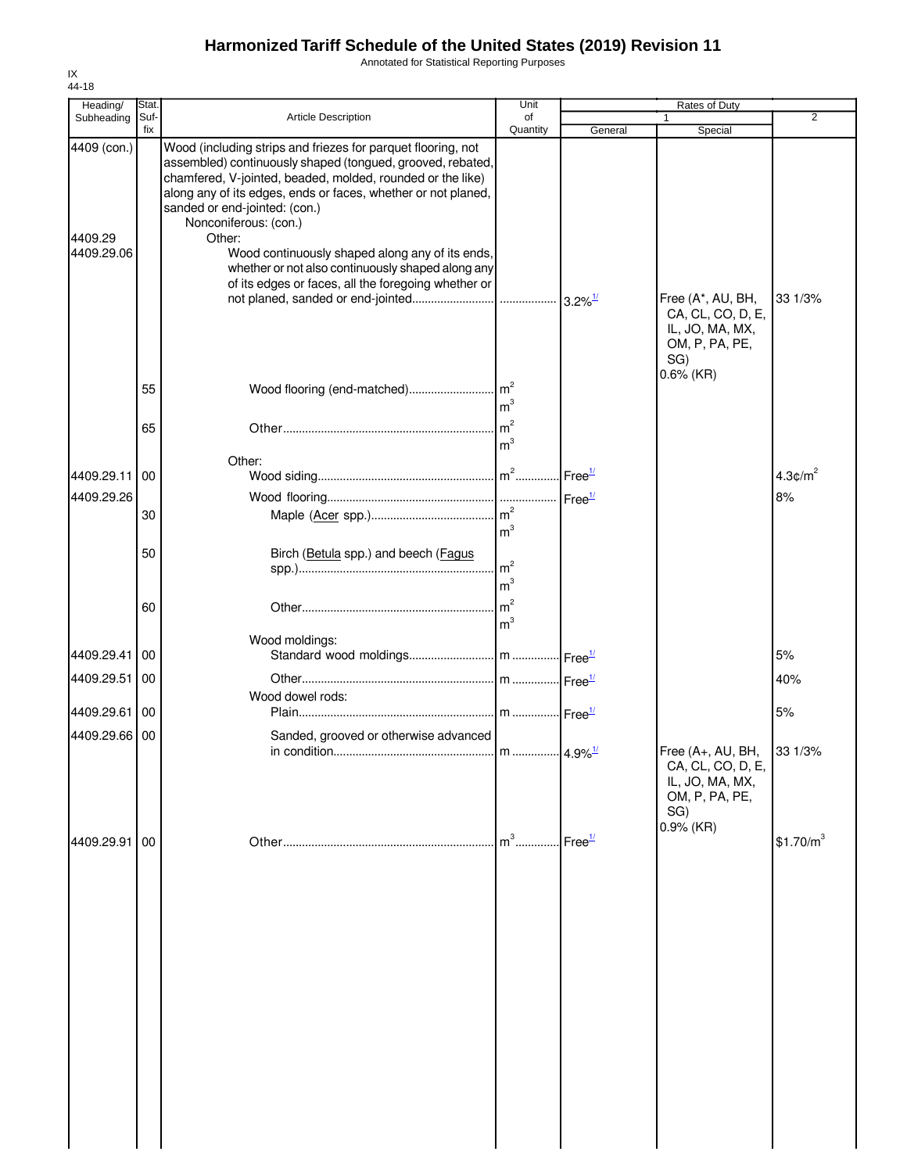Annotated for Statistical Reporting Purposes

| Heading/                             | Stat.       |                                                                                                                                                                                                                                                                                                                                                                                                                                                                                              | Unit           |                    | Rates of Duty                                                                                           |                        |
|--------------------------------------|-------------|----------------------------------------------------------------------------------------------------------------------------------------------------------------------------------------------------------------------------------------------------------------------------------------------------------------------------------------------------------------------------------------------------------------------------------------------------------------------------------------------|----------------|--------------------|---------------------------------------------------------------------------------------------------------|------------------------|
| Subheading                           | Suf-<br>fix | Article Description                                                                                                                                                                                                                                                                                                                                                                                                                                                                          | of<br>Quantity | General            | $\mathbf{1}$<br>Special                                                                                 | $\overline{2}$         |
| 4409 (con.)<br>4409.29<br>4409.29.06 |             | Wood (including strips and friezes for parquet flooring, not<br>assembled) continuously shaped (tongued, grooved, rebated,<br>chamfered, V-jointed, beaded, molded, rounded or the like)<br>along any of its edges, ends or faces, whether or not planed,<br>sanded or end-jointed: (con.)<br>Nonconiferous: (con.)<br>Other:<br>Wood continuously shaped along any of its ends,<br>whether or not also continuously shaped along any<br>of its edges or faces, all the foregoing whether or |                |                    | Free (A*, AU, BH,<br>CA, CL, CO, D, E,<br>IL, JO, MA, MX,<br>OM, P, PA, PE,<br>SG)                      | 33 1/3%                |
|                                      | 55          |                                                                                                                                                                                                                                                                                                                                                                                                                                                                                              | m <sup>3</sup> |                    | $0.6\%$ (KR)                                                                                            |                        |
|                                      | 65          |                                                                                                                                                                                                                                                                                                                                                                                                                                                                                              | m <sup>3</sup> |                    |                                                                                                         |                        |
| 4409.29.11                           | 00          | Other:                                                                                                                                                                                                                                                                                                                                                                                                                                                                                       |                |                    |                                                                                                         | $4.3$ ¢/m <sup>2</sup> |
| 4409.29.26                           |             |                                                                                                                                                                                                                                                                                                                                                                                                                                                                                              |                |                    |                                                                                                         | 8%                     |
|                                      | 30          |                                                                                                                                                                                                                                                                                                                                                                                                                                                                                              | m <sup>3</sup> |                    |                                                                                                         |                        |
|                                      | 50          | Birch (Betula spp.) and beech (Fagus                                                                                                                                                                                                                                                                                                                                                                                                                                                         | m <sup>3</sup> |                    |                                                                                                         |                        |
|                                      | 60          |                                                                                                                                                                                                                                                                                                                                                                                                                                                                                              | m <sup>3</sup> |                    |                                                                                                         |                        |
|                                      |             | Wood moldings:                                                                                                                                                                                                                                                                                                                                                                                                                                                                               |                |                    |                                                                                                         |                        |
| 4409.29.41 00                        |             |                                                                                                                                                                                                                                                                                                                                                                                                                                                                                              |                |                    |                                                                                                         | 5%                     |
| 4409.29.51                           | <b>100</b>  | Wood dowel rods:                                                                                                                                                                                                                                                                                                                                                                                                                                                                             |                |                    |                                                                                                         | 40%                    |
| 4409.29.61 00                        |             |                                                                                                                                                                                                                                                                                                                                                                                                                                                                                              |                |                    |                                                                                                         | 5%                     |
| 4409.29.66 00                        |             | Sanded, grooved or otherwise advanced                                                                                                                                                                                                                                                                                                                                                                                                                                                        |                |                    | Free (A+, AU, BH, 33 1/3%<br>CA, CL, CO, D, E,<br>IL, JO, MA, MX,<br>OM, P, PA, PE,<br>SG)<br>0.9% (KR) |                        |
| 4409.29.91 00                        |             |                                                                                                                                                                                                                                                                                                                                                                                                                                                                                              | $m3$           | Free $\frac{1}{2}$ |                                                                                                         | \$1.70/m <sup>3</sup>  |
|                                      |             |                                                                                                                                                                                                                                                                                                                                                                                                                                                                                              |                |                    |                                                                                                         |                        |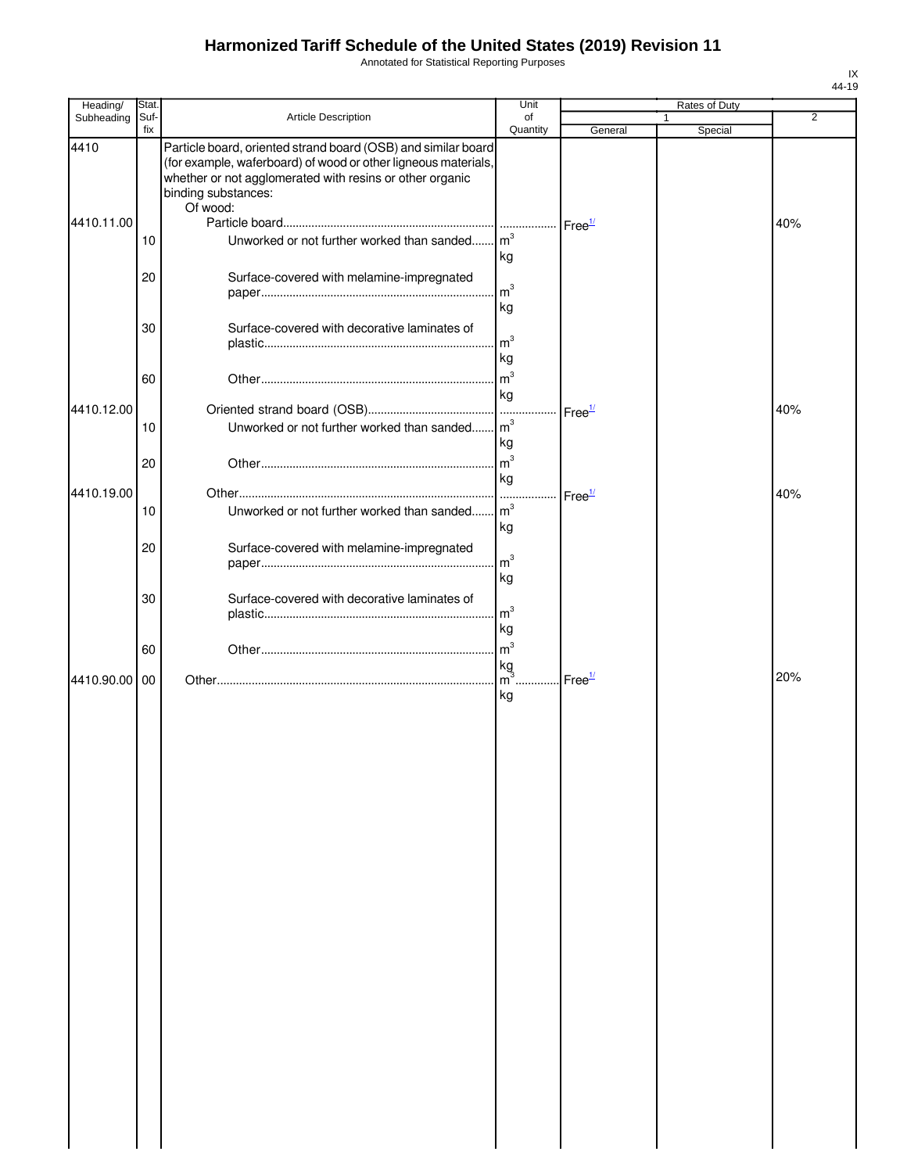Annotated for Statistical Reporting Purposes

| Heading/   | Stat.       |                                                                                                                                                                                                                                | Unit                       |                    | Rates of Duty           |                |
|------------|-------------|--------------------------------------------------------------------------------------------------------------------------------------------------------------------------------------------------------------------------------|----------------------------|--------------------|-------------------------|----------------|
| Subheading | Suf-<br>fix | Article Description                                                                                                                                                                                                            | of<br>Quantity             | General            | $\mathbf{1}$<br>Special | $\overline{2}$ |
| 4410       |             | Particle board, oriented strand board (OSB) and similar board<br>(for example, waferboard) of wood or other ligneous materials,<br>whether or not agglomerated with resins or other organic<br>binding substances:<br>Of wood: |                            |                    |                         |                |
| 4410.11.00 |             |                                                                                                                                                                                                                                |                            | Free <sup>1/</sup> |                         | 40%            |
|            | 10          | Unworked or not further worked than sanded                                                                                                                                                                                     | $\mathsf{Im}^3$<br>kg      |                    |                         |                |
|            | 20          | Surface-covered with melamine-impregnated                                                                                                                                                                                      | m <sup>3</sup>             |                    |                         |                |
|            | 30          | Surface-covered with decorative laminates of                                                                                                                                                                                   | kg<br>$\mathsf{m}^3$<br>kg |                    |                         |                |
|            | 60          |                                                                                                                                                                                                                                | m <sup>3</sup><br>kg       |                    |                         |                |
| 4410.12.00 |             |                                                                                                                                                                                                                                |                            | Free <sup>1/</sup> |                         | 40%            |
|            | 10          | Unworked or not further worked than sanded                                                                                                                                                                                     | $\mathsf{Im}^3$<br>kg      |                    |                         |                |
| 4410.19.00 | 20          |                                                                                                                                                                                                                                | m <sup>3</sup><br>kg       |                    |                         | 40%            |
|            | 10          | Unworked or not further worked than sanded m <sup>3</sup>                                                                                                                                                                      | kg                         | Free <sup>1/</sup> |                         |                |
|            | 20          | Surface-covered with melamine-impregnated                                                                                                                                                                                      | $\mathsf{Im}^3$<br>kg      |                    |                         |                |
|            | 30          | Surface-covered with decorative laminates of                                                                                                                                                                                   | $\mathsf{Im}^3$<br>kg      |                    |                         |                |
|            | 60          |                                                                                                                                                                                                                                | m <sup>3</sup><br>kg       |                    |                         |                |
| 4410.90.00 | 00          |                                                                                                                                                                                                                                | $m3$ .<br>kg               | Free <sup>1/</sup> |                         | 20%            |
|            |             |                                                                                                                                                                                                                                |                            |                    |                         |                |
|            |             |                                                                                                                                                                                                                                |                            |                    |                         |                |
|            |             |                                                                                                                                                                                                                                |                            |                    |                         |                |
|            |             |                                                                                                                                                                                                                                |                            |                    |                         |                |
|            |             |                                                                                                                                                                                                                                |                            |                    |                         |                |
|            |             |                                                                                                                                                                                                                                |                            |                    |                         |                |
|            |             |                                                                                                                                                                                                                                |                            |                    |                         |                |
|            |             |                                                                                                                                                                                                                                |                            |                    |                         |                |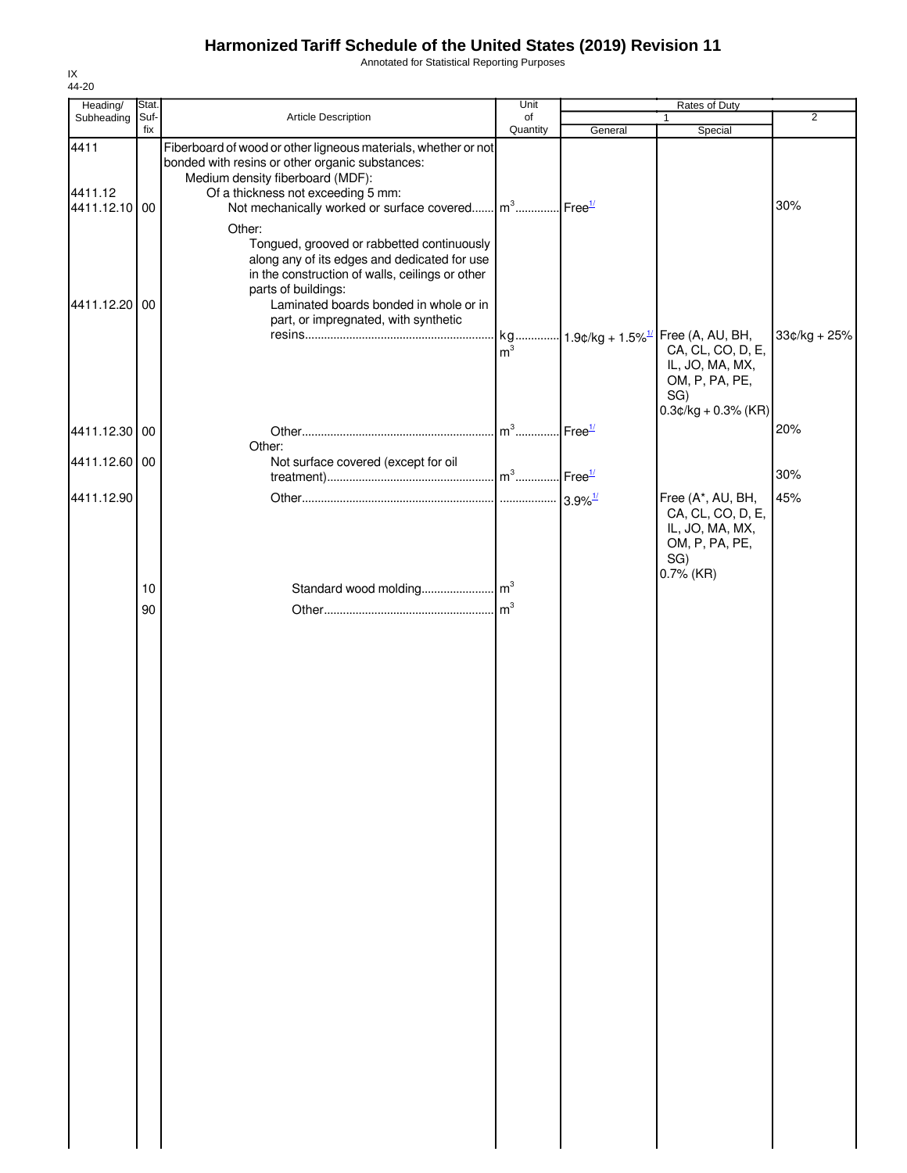Annotated for Statistical Reporting Purposes

| Heading/                      | Stat.       |                                                                                                                                                                                                                                                                                       | Unit                              |         | Rates of Duty                                                                                                                               |                |
|-------------------------------|-------------|---------------------------------------------------------------------------------------------------------------------------------------------------------------------------------------------------------------------------------------------------------------------------------------|-----------------------------------|---------|---------------------------------------------------------------------------------------------------------------------------------------------|----------------|
| Subheading                    | Suf-<br>fix | Article Description                                                                                                                                                                                                                                                                   | of<br>Quantity                    | General | 1<br>Special                                                                                                                                | $\overline{2}$ |
| 4411<br>4411.12<br>4411.12.10 | 00          | Fiberboard of wood or other ligneous materials, whether or not<br>bonded with resins or other organic substances:<br>Medium density fiberboard (MDF):<br>Of a thickness not exceeding 5 mm:<br>Not mechanically worked or surface covered m <sup>3</sup> Free <sup>1/</sup><br>Other: |                                   |         |                                                                                                                                             | 30%            |
| 4411.12.20 00                 |             | Tongued, grooved or rabbetted continuously<br>along any of its edges and dedicated for use<br>in the construction of walls, ceilings or other<br>parts of buildings:<br>Laminated boards bonded in whole or in<br>part, or impregnated, with synthetic                                | m <sup>3</sup>                    |         | kg 1.9¢/kg + 1.5% <sup>1/</sup> Free (A, AU, BH,<br>CA, CL, CO, D, E,<br>IL, JO, MA, MX,<br>OM, P, PA, PE,<br>SG)<br>$0.3$ ¢/kg + 0.3% (KR) | $33¢/kg + 25%$ |
| 4411.12.30 00                 |             | Other:                                                                                                                                                                                                                                                                                | m <sup>3</sup> Free <sup>1/</sup> |         |                                                                                                                                             | 20%            |
| 4411.12.60 00                 |             | Not surface covered (except for oil                                                                                                                                                                                                                                                   |                                   |         |                                                                                                                                             | 30%            |
| 4411.12.90                    |             |                                                                                                                                                                                                                                                                                       |                                   |         | Free (A*, AU, BH,<br>CA, CL, CO, D, E,<br>IL, JO, MA, MX,<br>OM, P, PA, PE,<br>SG)<br>$0.7\%$ (KR)                                          | 45%            |
|                               | 10          |                                                                                                                                                                                                                                                                                       |                                   |         |                                                                                                                                             |                |
|                               |             |                                                                                                                                                                                                                                                                                       |                                   |         |                                                                                                                                             |                |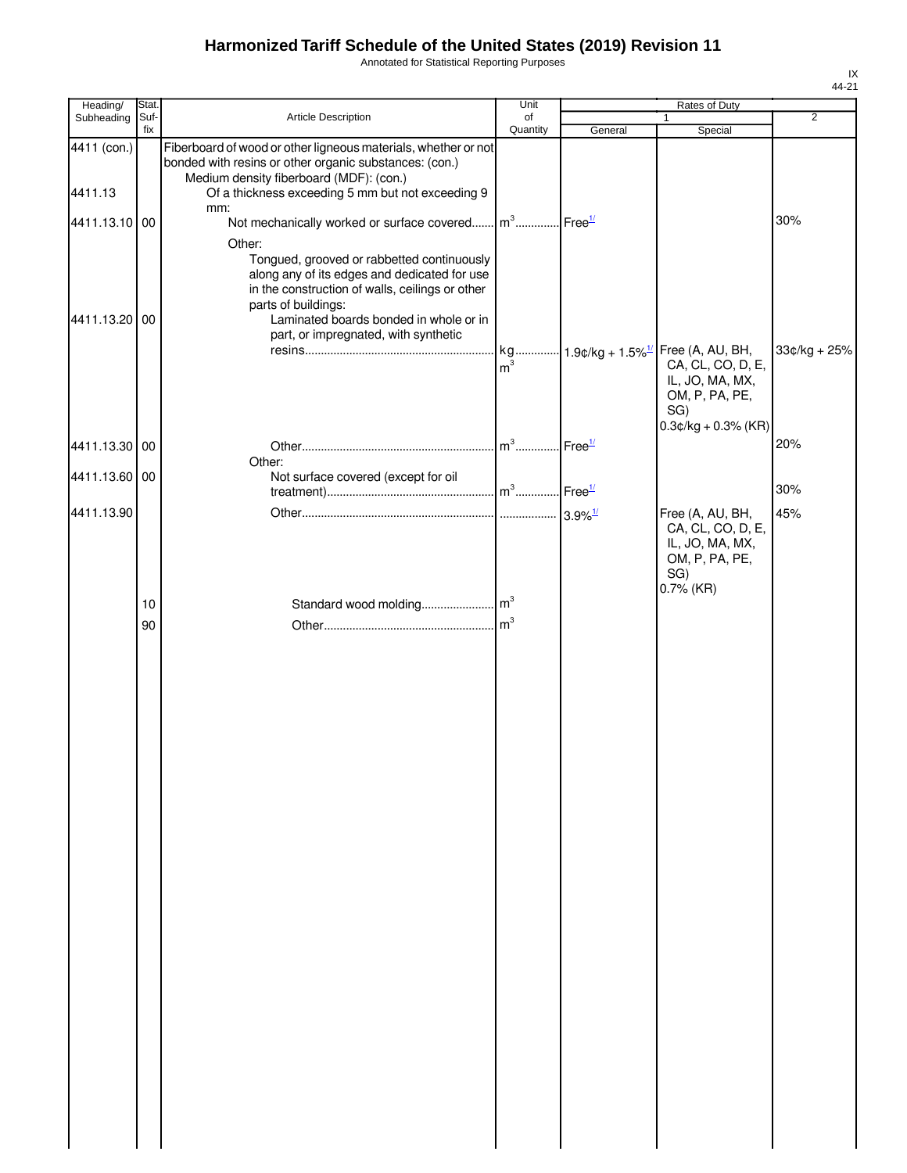Annotated for Statistical Reporting Purposes

| Heading/      | Stat.       |                                                                                                                                                                                                                                                                  | Unit                              |         | Rates of Duty                                                              |                |
|---------------|-------------|------------------------------------------------------------------------------------------------------------------------------------------------------------------------------------------------------------------------------------------------------------------|-----------------------------------|---------|----------------------------------------------------------------------------|----------------|
| Subheading    | Suf-<br>fix | Article Description                                                                                                                                                                                                                                              | of<br>Quantity                    | General | $\mathbf{1}$<br>Special                                                    | $\overline{2}$ |
| 4411 (con.)   |             | Fiberboard of wood or other ligneous materials, whether or not<br>bonded with resins or other organic substances: (con.)<br>Medium density fiberboard (MDF): (con.)                                                                                              |                                   |         |                                                                            |                |
| 4411.13       |             | Of a thickness exceeding 5 mm but not exceeding 9<br>mm:                                                                                                                                                                                                         |                                   |         |                                                                            |                |
| 4411.13.10 00 |             | Not mechanically worked or surface covered m <sup>3</sup> Free <sup>1/</sup>                                                                                                                                                                                     |                                   |         |                                                                            | 30%            |
| 4411.13.20 00 |             | Other:<br>Tongued, grooved or rabbetted continuously<br>along any of its edges and dedicated for use<br>in the construction of walls, ceilings or other<br>parts of buildings:<br>Laminated boards bonded in whole or in<br>part, or impregnated, with synthetic | m <sup>3</sup>                    |         | kg $1.9¢/kg + 1.5\%$ <sup>1/</sup> Free (A, AU, BH,<br>CA, CL, CO, D, E,   | $33¢/kg + 25%$ |
|               |             |                                                                                                                                                                                                                                                                  |                                   |         | IL, JO, MA, MX,<br>OM, P, PA, PE,<br>SG)<br>$0.3$ ¢/kg + 0.3% (KR)         |                |
| 4411.13.30 00 |             |                                                                                                                                                                                                                                                                  | m <sup>3</sup> Free <sup>1/</sup> |         |                                                                            | 20%            |
| 4411.13.60 00 |             | Other:<br>Not surface covered (except for oil                                                                                                                                                                                                                    |                                   |         |                                                                            | 30%            |
| 4411.13.90    |             |                                                                                                                                                                                                                                                                  |                                   |         | Free (A, AU, BH,                                                           | 45%            |
|               |             |                                                                                                                                                                                                                                                                  |                                   |         | CA, CL, CO, D, E,<br>IL, JO, MA, MX,<br>OM, P, PA, PE,<br>SG)<br>0.7% (KR) |                |
|               | 10<br>90    |                                                                                                                                                                                                                                                                  |                                   |         |                                                                            |                |
|               |             |                                                                                                                                                                                                                                                                  |                                   |         |                                                                            |                |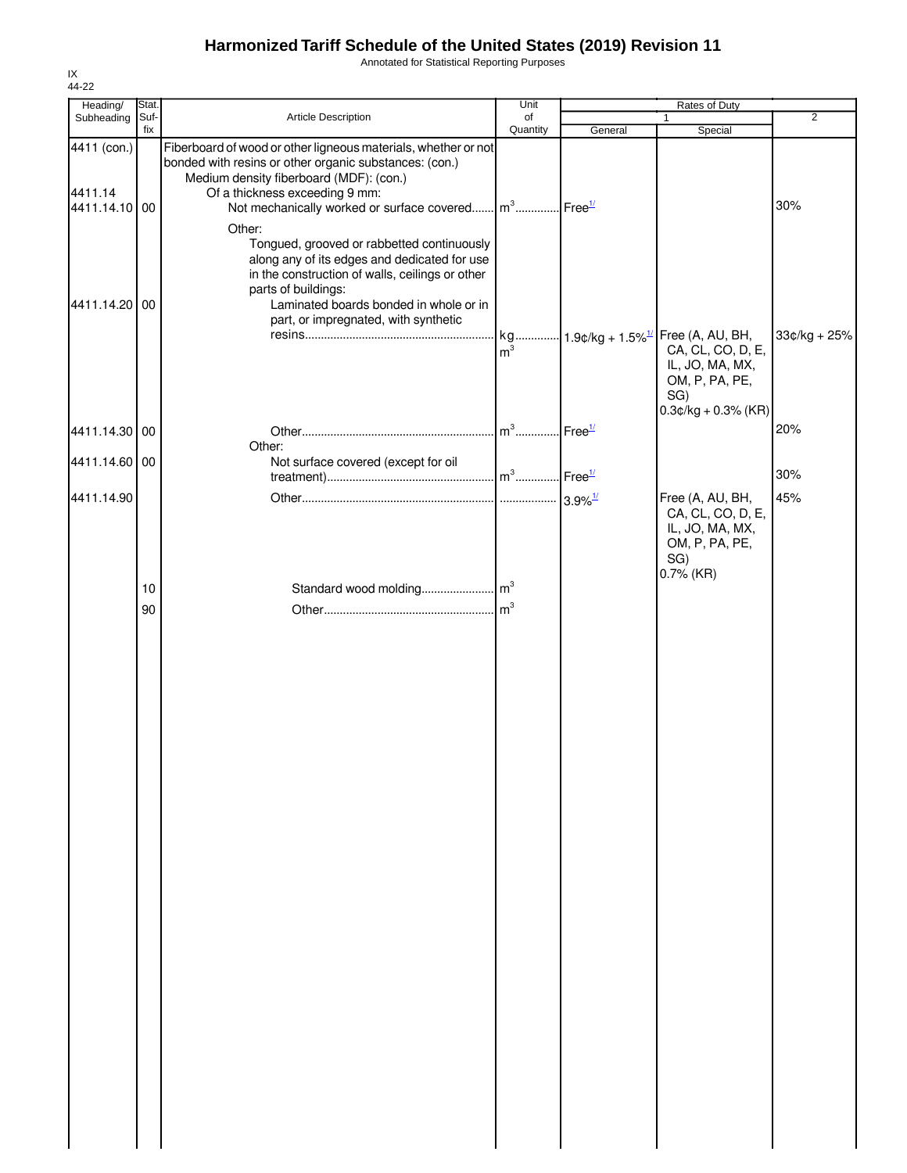Annotated for Statistical Reporting Purposes

| Heading/                                | Stat.       |                                                                                                                                                                                                                                                                                                                  | Unit                    |         | Rates of Duty                                                                                                                              |                |
|-----------------------------------------|-------------|------------------------------------------------------------------------------------------------------------------------------------------------------------------------------------------------------------------------------------------------------------------------------------------------------------------|-------------------------|---------|--------------------------------------------------------------------------------------------------------------------------------------------|----------------|
| Subheading                              | Suf-<br>fix | Article Description                                                                                                                                                                                                                                                                                              | of<br>Quantity          | General | $\mathbf{1}$<br>Special                                                                                                                    | $\overline{2}$ |
| 4411 (con.)<br>4411.14<br>4411.14.10 00 |             | Fiberboard of wood or other ligneous materials, whether or not<br>bonded with resins or other organic substances: (con.)<br>Medium density fiberboard (MDF): (con.)<br>Of a thickness exceeding 9 mm:<br>Not mechanically worked or surface covered $\left  \mathsf{m}^3 \ldots \right $ Free $^{1/2}$<br>Other: |                         |         |                                                                                                                                            | 30%            |
| 4411.14.20                              | 00          | Tongued, grooved or rabbetted continuously<br>along any of its edges and dedicated for use<br>in the construction of walls, ceilings or other<br>parts of buildings:<br>Laminated boards bonded in whole or in<br>part, or impregnated, with synthetic                                                           | m <sup>3</sup>          |         | kg 1.9¢/kg + 1.5% <sup>1/</sup> Free (A, AU, BH,<br>CA, CL, CO, D, E,<br>IL, JO, MA, MX,<br>OM, P, PA, PE,<br>SG)<br>$0.3¢/kg + 0.3%$ (KR) | $33¢/kg + 25%$ |
| 4411.14.30 00                           |             | Other:                                                                                                                                                                                                                                                                                                           | $m3$ Free <sup>1/</sup> |         |                                                                                                                                            | 20%            |
| 4411.14.60 00                           |             | Not surface covered (except for oil                                                                                                                                                                                                                                                                              |                         |         |                                                                                                                                            | 30%            |
| 4411.14.90                              | 10          |                                                                                                                                                                                                                                                                                                                  |                         |         | Free (A, AU, BH,<br>CA, CL, CO, D, E,<br>IL, JO, MA, MX,<br>OM, P, PA, PE,<br>SG)<br>$0.7\%$ (KR)                                          | 45%            |
|                                         | 90          |                                                                                                                                                                                                                                                                                                                  |                         |         |                                                                                                                                            |                |
|                                         |             |                                                                                                                                                                                                                                                                                                                  |                         |         |                                                                                                                                            |                |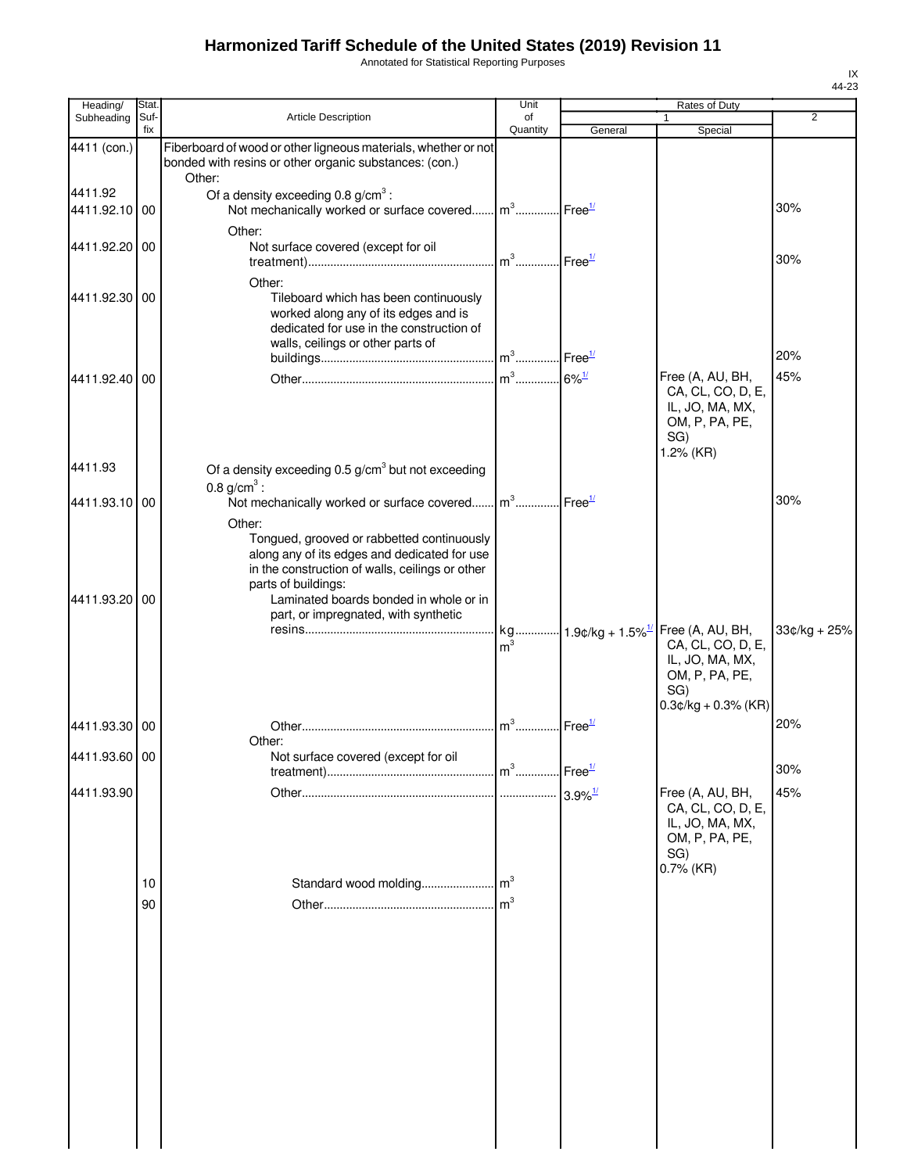Annotated for Statistical Reporting Purposes

| Heading/                 | Stat.       |                                                                                                                                                                                                                                                                  | Unit                              |         | Rates of Duty                                                                                     |                |
|--------------------------|-------------|------------------------------------------------------------------------------------------------------------------------------------------------------------------------------------------------------------------------------------------------------------------|-----------------------------------|---------|---------------------------------------------------------------------------------------------------|----------------|
| Subheading               | Suf-<br>fix | Article Description                                                                                                                                                                                                                                              | of<br>Quantity                    | General | Special                                                                                           | 2              |
| 4411 (con.)              |             | Fiberboard of wood or other ligneous materials, whether or not<br>bonded with resins or other organic substances: (con.)<br>Other:                                                                                                                               |                                   |         |                                                                                                   |                |
| 4411.92<br>4411.92.10 00 |             | Of a density exceeding $0.8$ g/cm <sup>3</sup> :<br>Not mechanically worked or surface covered m <sup>3</sup> Free <sup>1/</sup>                                                                                                                                 |                                   |         |                                                                                                   | 30%            |
| 4411.92.20 00            |             | Other:<br>Not surface covered (except for oil                                                                                                                                                                                                                    | m <sup>3</sup> Free <sup>1/</sup> |         |                                                                                                   | 30%            |
| 4411.92.30 00            |             | Other:<br>Tileboard which has been continuously<br>worked along any of its edges and is<br>dedicated for use in the construction of<br>walls, ceilings or other parts of                                                                                         |                                   |         |                                                                                                   | 20%            |
| 4411.92.40 00            |             |                                                                                                                                                                                                                                                                  |                                   |         | Free (A, AU, BH,                                                                                  | 45%            |
| 4411.93                  |             | Of a density exceeding $0.5$ g/cm <sup>3</sup> but not exceeding                                                                                                                                                                                                 |                                   |         | CA, CL, CO, D, E,<br>IL, JO, MA, MX,<br>OM, P, PA, PE,<br>SG)<br>1.2% (KR)                        |                |
|                          |             | 0.8 $g/cm^{3}$ :                                                                                                                                                                                                                                                 |                                   |         |                                                                                                   |                |
| 4411.93.10 00            |             | Not mechanically worked or surface covered m <sup>3</sup> Free <sup>1/</sup>                                                                                                                                                                                     |                                   |         |                                                                                                   | 30%            |
| 4411.93.20 00            |             | Other:<br>Tongued, grooved or rabbetted continuously<br>along any of its edges and dedicated for use<br>in the construction of walls, ceilings or other<br>parts of buildings:<br>Laminated boards bonded in whole or in<br>part, or impregnated, with synthetic |                                   |         |                                                                                                   |                |
|                          |             |                                                                                                                                                                                                                                                                  | m <sup>3</sup>                    |         | CA, CL, CO, D, E,<br>IL, JO, MA, MX,<br>OM, P, PA, PE,<br>SG)<br>$0.3$ ¢/kg + 0.3% (KR)           | $33¢/kg + 25%$ |
| 4411.93.30 00            |             |                                                                                                                                                                                                                                                                  | m <sup>3</sup> Free <sup>1/</sup> |         |                                                                                                   | 20%            |
| 4411.93.60 00            |             | Other:<br>Not surface covered (except for oil                                                                                                                                                                                                                    |                                   |         |                                                                                                   |                |
|                          |             |                                                                                                                                                                                                                                                                  |                                   |         |                                                                                                   | 30%            |
| 4411.93.90               |             |                                                                                                                                                                                                                                                                  |                                   |         | Free (A, AU, BH,<br>CA, CL, CO, D, E,<br>IL, JO, MA, MX,<br>OM, P, PA, PE,<br>SG)<br>$0.7\%$ (KR) | 45%            |
|                          | 10          |                                                                                                                                                                                                                                                                  |                                   |         |                                                                                                   |                |
|                          | 90          |                                                                                                                                                                                                                                                                  | m <sup>3</sup>                    |         |                                                                                                   |                |
|                          |             |                                                                                                                                                                                                                                                                  |                                   |         |                                                                                                   |                |
|                          |             |                                                                                                                                                                                                                                                                  |                                   |         |                                                                                                   |                |
|                          |             |                                                                                                                                                                                                                                                                  |                                   |         |                                                                                                   |                |
|                          |             |                                                                                                                                                                                                                                                                  |                                   |         |                                                                                                   |                |
|                          |             |                                                                                                                                                                                                                                                                  |                                   |         |                                                                                                   |                |
|                          |             |                                                                                                                                                                                                                                                                  |                                   |         |                                                                                                   |                |
|                          |             |                                                                                                                                                                                                                                                                  |                                   |         |                                                                                                   |                |
|                          |             |                                                                                                                                                                                                                                                                  |                                   |         |                                                                                                   |                |
|                          |             |                                                                                                                                                                                                                                                                  |                                   |         |                                                                                                   |                |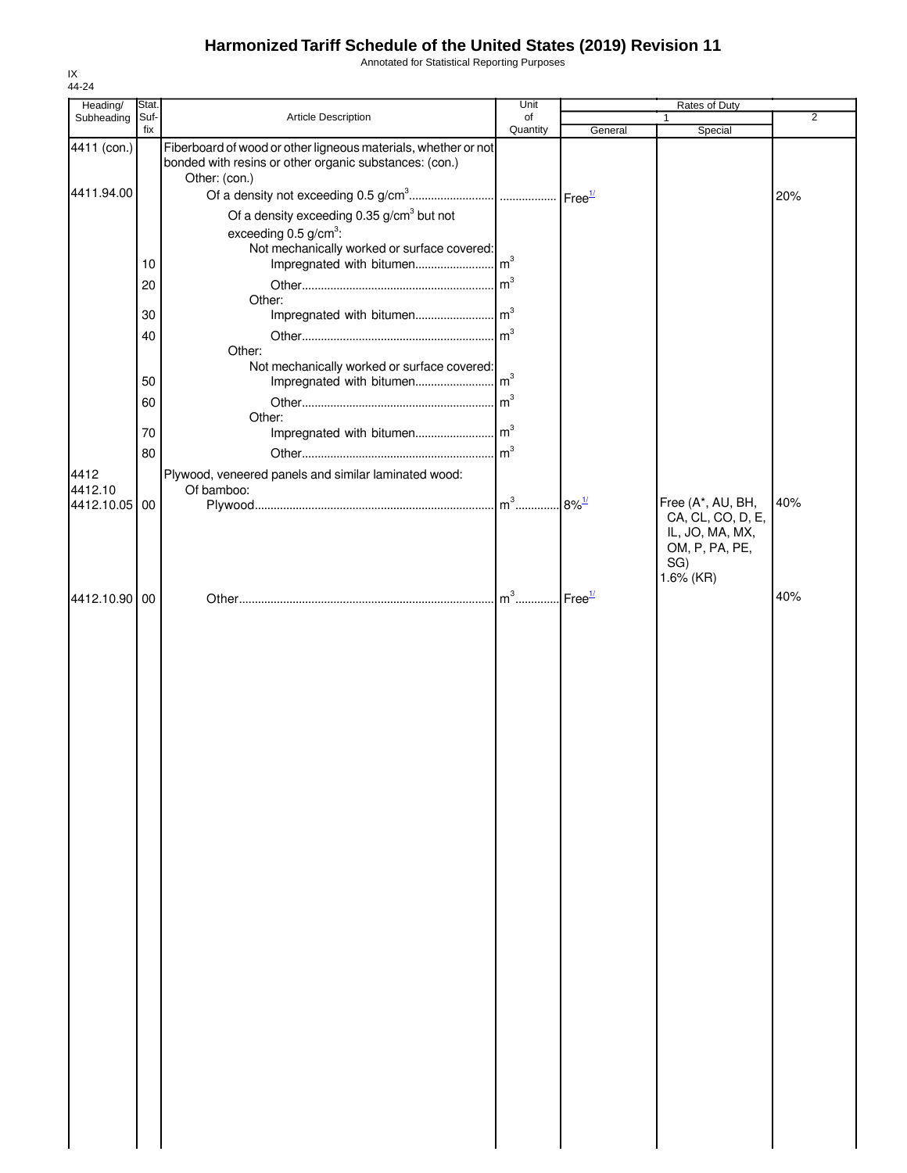Annotated for Statistical Reporting Purposes

|      | Heading/      | Stat.       |                                                                                                                                           | Unit           |         | Rates of Duty                                                              |                |
|------|---------------|-------------|-------------------------------------------------------------------------------------------------------------------------------------------|----------------|---------|----------------------------------------------------------------------------|----------------|
|      | Subheading    | Suf-<br>fix | Article Description                                                                                                                       | of<br>Quantity |         | 1                                                                          | $\overline{2}$ |
|      | 4411 (con.)   |             | Fiberboard of wood or other ligneous materials, whether or not<br>bonded with resins or other organic substances: (con.)<br>Other: (con.) |                | General | Special                                                                    |                |
|      | 4411.94.00    |             |                                                                                                                                           |                |         |                                                                            | 20%            |
|      |               |             | Of a density exceeding $0.35$ g/cm <sup>3</sup> but not                                                                                   |                |         |                                                                            |                |
|      |               |             | exceeding $0.5$ g/cm <sup>3</sup> :                                                                                                       |                |         |                                                                            |                |
|      |               |             | Not mechanically worked or surface covered:                                                                                               |                |         |                                                                            |                |
|      |               | 10          |                                                                                                                                           |                |         |                                                                            |                |
|      |               | 20          |                                                                                                                                           |                |         |                                                                            |                |
|      |               |             | Other:                                                                                                                                    |                |         |                                                                            |                |
|      |               | 30          |                                                                                                                                           |                |         |                                                                            |                |
|      |               | 40          |                                                                                                                                           |                |         |                                                                            |                |
|      |               |             | Other:<br>Not mechanically worked or surface covered:                                                                                     |                |         |                                                                            |                |
|      |               | 50          |                                                                                                                                           |                |         |                                                                            |                |
|      |               | 60          |                                                                                                                                           |                |         |                                                                            |                |
|      |               |             | Other:                                                                                                                                    |                |         |                                                                            |                |
|      |               | 70          |                                                                                                                                           |                |         |                                                                            |                |
|      |               | 80          |                                                                                                                                           | m <sup>3</sup> |         |                                                                            |                |
| 4412 |               |             | Plywood, veneered panels and similar laminated wood:                                                                                      |                |         |                                                                            |                |
|      | 4412.10       |             | Of bamboo:                                                                                                                                |                |         |                                                                            |                |
|      | 4412.10.05 00 |             |                                                                                                                                           |                |         | Free (A*, AU, BH,                                                          | 40%            |
|      |               |             |                                                                                                                                           |                |         | CA, CL, CO, D, E,<br>IL, JO, MA, MX,<br>OM, P, PA, PE,<br>SG)<br>1.6% (KR) |                |
|      | 4412.10.90 00 |             |                                                                                                                                           |                |         |                                                                            | 40%            |
|      |               |             |                                                                                                                                           |                |         |                                                                            |                |
|      |               |             |                                                                                                                                           |                |         |                                                                            |                |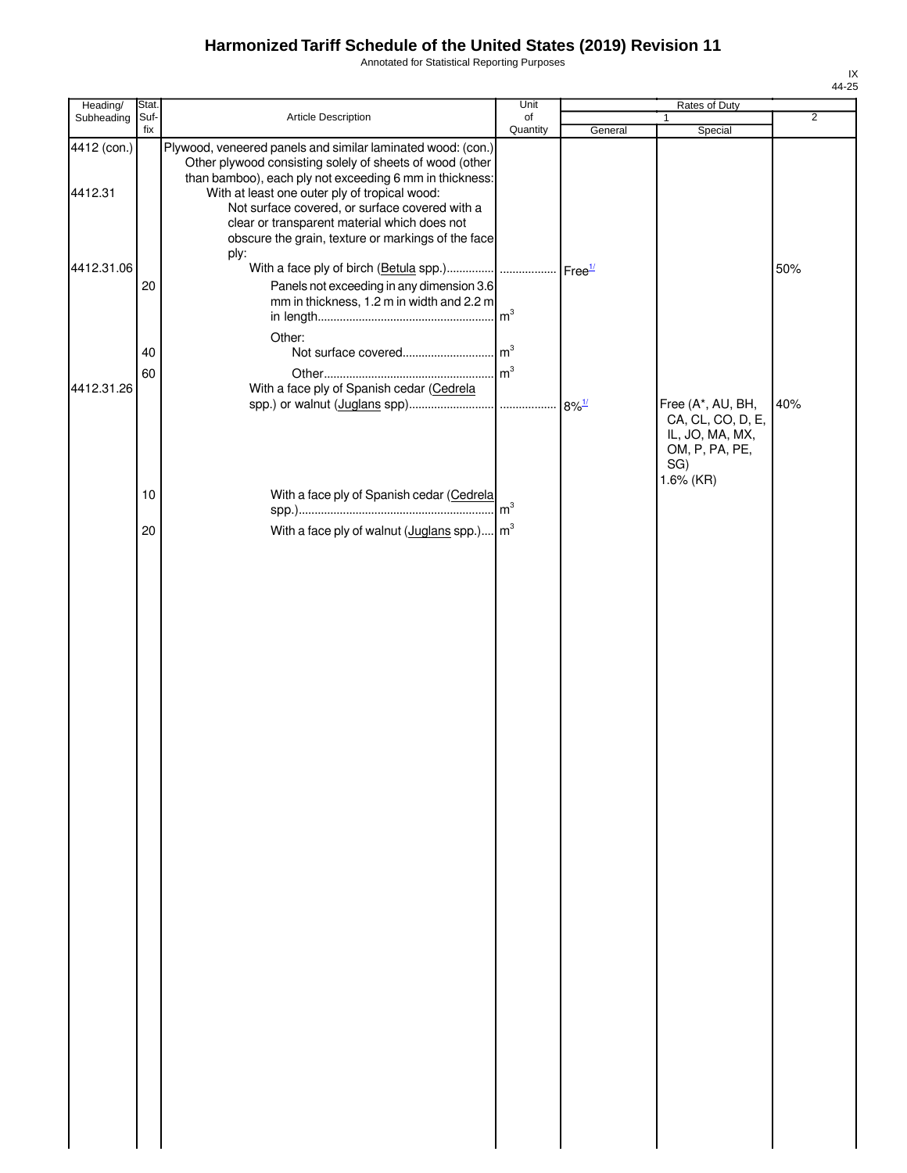Annotated for Statistical Reporting Purposes

| Heading/               | Stat.       |                                                                                                                                                                                                                                                                                                                                                                                             | Unit           |         | Rates of Duty                                         |                |
|------------------------|-------------|---------------------------------------------------------------------------------------------------------------------------------------------------------------------------------------------------------------------------------------------------------------------------------------------------------------------------------------------------------------------------------------------|----------------|---------|-------------------------------------------------------|----------------|
| Subheading             | Suf-<br>fix | Article Description                                                                                                                                                                                                                                                                                                                                                                         | of             |         | $\mathbf{1}$                                          | $\overline{2}$ |
| 4412 (con.)<br>4412.31 |             | Plywood, veneered panels and similar laminated wood: (con.)<br>Other plywood consisting solely of sheets of wood (other<br>than bamboo), each ply not exceeding 6 mm in thickness:<br>With at least one outer ply of tropical wood:<br>Not surface covered, or surface covered with a<br>clear or transparent material which does not<br>obscure the grain, texture or markings of the face | Quantity       | General | Special                                               |                |
| 4412.31.06             | 20          | ply:<br>Panels not exceeding in any dimension 3.6<br>mm in thickness, 1.2 m in width and 2.2 m                                                                                                                                                                                                                                                                                              | m <sup>3</sup> |         |                                                       | 50%            |
| 4412.31.26             | 40<br>60    | Other:<br>With a face ply of Spanish cedar (Cedrela                                                                                                                                                                                                                                                                                                                                         | m <sup>3</sup> |         | Free (A*, AU, BH,<br>CA, CL, CO, D, E,                | 40%            |
|                        | 10          | With a face ply of Spanish cedar (Cedrela                                                                                                                                                                                                                                                                                                                                                   | m <sup>3</sup> |         | IL, JO, MA, MX,<br>OM, P, PA, PE,<br>SG)<br>1.6% (KR) |                |
|                        | 20          | With a face ply of walnut $($ <u>Juglans</u> spp. $)$ m <sup>3</sup>                                                                                                                                                                                                                                                                                                                        |                |         |                                                       |                |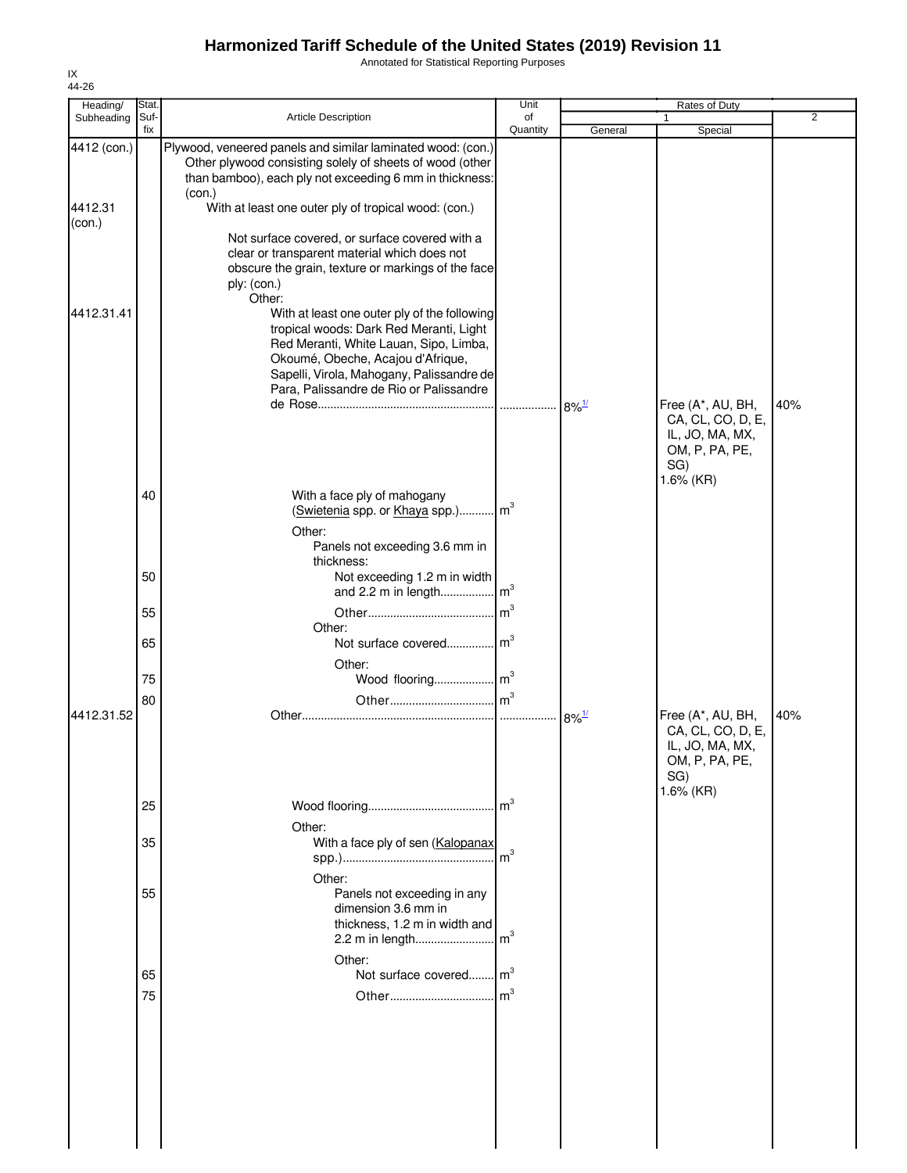Annotated for Statistical Reporting Purposes

| Heading/          | Stat.       |                                                                                                                                                                                                                                                                | Unit            |                     | Rates of Duty                                                                                   |                |
|-------------------|-------------|----------------------------------------------------------------------------------------------------------------------------------------------------------------------------------------------------------------------------------------------------------------|-----------------|---------------------|-------------------------------------------------------------------------------------------------|----------------|
| Subheading        | Suf-<br>fix | <b>Article Description</b>                                                                                                                                                                                                                                     | of<br>Quantity  | General             | Special                                                                                         | $\overline{2}$ |
| 4412 (con.)       |             | Plywood, veneered panels and similar laminated wood: (con.)<br>Other plywood consisting solely of sheets of wood (other<br>than bamboo), each ply not exceeding 6 mm in thickness:                                                                             |                 |                     |                                                                                                 |                |
| 4412.31<br>(con.) |             | (con.)<br>With at least one outer ply of tropical wood: (con.)                                                                                                                                                                                                 |                 |                     |                                                                                                 |                |
|                   |             | Not surface covered, or surface covered with a<br>clear or transparent material which does not<br>obscure the grain, texture or markings of the face<br>ply: (con.)<br>Other:                                                                                  |                 |                     |                                                                                                 |                |
| 4412.31.41        |             | With at least one outer ply of the following<br>tropical woods: Dark Red Meranti, Light<br>Red Meranti, White Lauan, Sipo, Limba,<br>Okoumé, Obeche, Acajou d'Afrique,<br>Sapelli, Virola, Mahogany, Palissandre de<br>Para, Palissandre de Rio or Palissandre |                 |                     |                                                                                                 |                |
|                   |             |                                                                                                                                                                                                                                                                |                 | $8\%$ <sup>1/</sup> | Free (A*, AU, BH,<br>CA, CL, CO, D, E,<br>IL, JO, MA, MX,<br>OM, P, PA, PE,<br>SG)<br>1.6% (KR) | 40%            |
|                   | 40          | With a face ply of mahogany<br>(Swietenia spp. or Khaya spp.) m <sup>3</sup><br>Other:                                                                                                                                                                         |                 |                     |                                                                                                 |                |
|                   | 50          | Panels not exceeding 3.6 mm in<br>thickness:<br>Not exceeding 1.2 m in width                                                                                                                                                                                   |                 |                     |                                                                                                 |                |
|                   | 55          |                                                                                                                                                                                                                                                                | m <sup>3</sup>  |                     |                                                                                                 |                |
|                   | 65          | Other:<br>Not surface covered m <sup>3</sup>                                                                                                                                                                                                                   |                 |                     |                                                                                                 |                |
|                   | 75          | Other:<br>Wood flooring m <sup>3</sup>                                                                                                                                                                                                                         |                 |                     |                                                                                                 |                |
| 4412.31.52        | 80          |                                                                                                                                                                                                                                                                |                 |                     | Free (A*, AU, BH,                                                                               | 40%            |
|                   |             |                                                                                                                                                                                                                                                                |                 | $8\%$ <sup>1/</sup> | CA, CL, CO, D, E,<br>IL, JO, MA, MX,<br>OM, P, PA, PE,<br>SG)<br>1.6% (KR)                      |                |
|                   | 25          |                                                                                                                                                                                                                                                                |                 |                     |                                                                                                 |                |
|                   | 35          | Other:<br>With a face ply of sen (Kalopanax                                                                                                                                                                                                                    | m <sup>3</sup>  |                     |                                                                                                 |                |
|                   | 55          | Other:<br>Panels not exceeding in any<br>dimension 3.6 mm in<br>thickness, 1.2 m in width and<br>2.2 m in length                                                                                                                                               | $\mathsf{Im}^3$ |                     |                                                                                                 |                |
|                   |             | Other:                                                                                                                                                                                                                                                         |                 |                     |                                                                                                 |                |
|                   | 65<br>75    | Not surface covered m <sup>3</sup>                                                                                                                                                                                                                             |                 |                     |                                                                                                 |                |
|                   |             |                                                                                                                                                                                                                                                                |                 |                     |                                                                                                 |                |
|                   |             |                                                                                                                                                                                                                                                                |                 |                     |                                                                                                 |                |
|                   |             |                                                                                                                                                                                                                                                                |                 |                     |                                                                                                 |                |
|                   |             |                                                                                                                                                                                                                                                                |                 |                     |                                                                                                 |                |

IX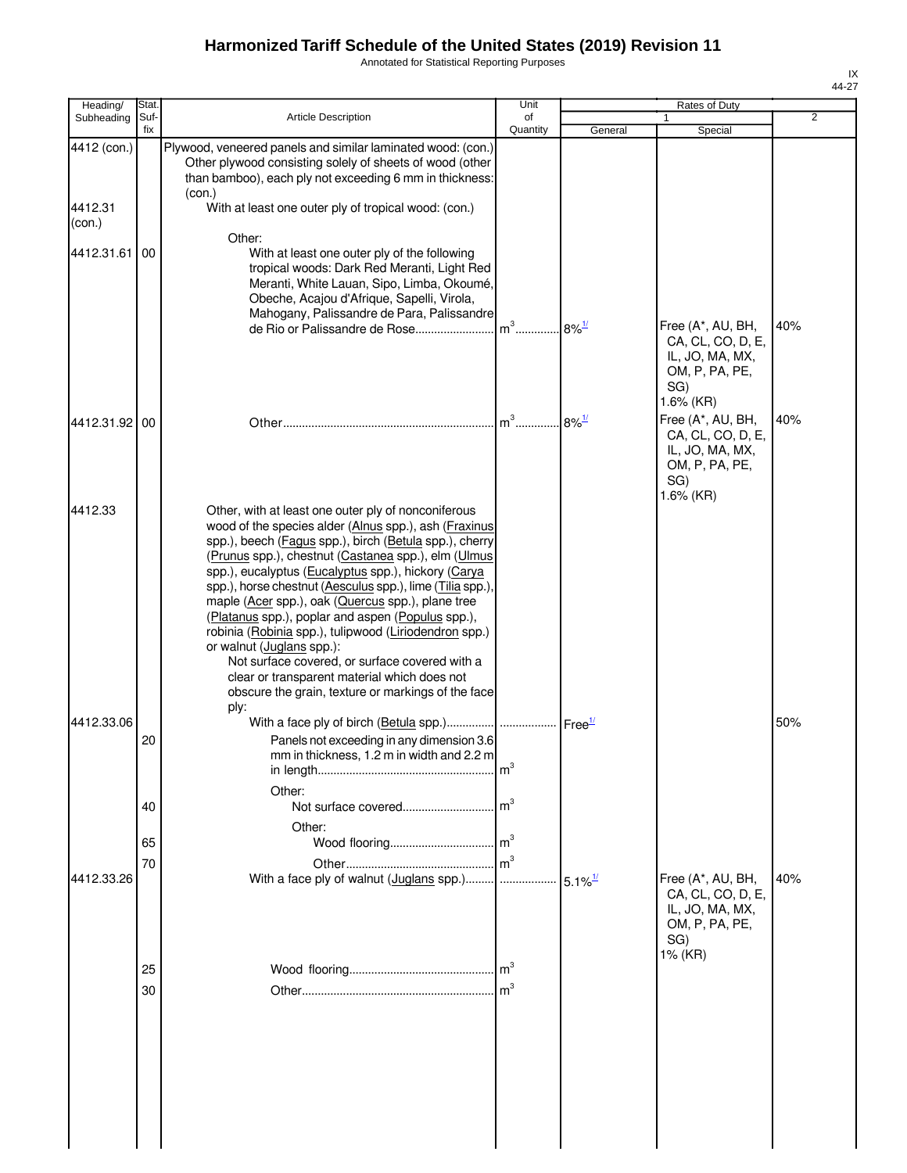Annotated for Statistical Reporting Purposes

| Heading/          | Stat.       |                                                                                                                                                                                                                                                                                                                                                                                                                                                                                                                                                                                                                                                                                                           | Unit               |                       | Rates of Duty                                                                                      |     |
|-------------------|-------------|-----------------------------------------------------------------------------------------------------------------------------------------------------------------------------------------------------------------------------------------------------------------------------------------------------------------------------------------------------------------------------------------------------------------------------------------------------------------------------------------------------------------------------------------------------------------------------------------------------------------------------------------------------------------------------------------------------------|--------------------|-----------------------|----------------------------------------------------------------------------------------------------|-----|
| Subheading        | Suf-<br>fix | <b>Article Description</b>                                                                                                                                                                                                                                                                                                                                                                                                                                                                                                                                                                                                                                                                                | of<br>Quantity     | General               | Special                                                                                            | 2   |
| 4412 (con.)       |             | Plywood, veneered panels and similar laminated wood: (con.)<br>Other plywood consisting solely of sheets of wood (other<br>than bamboo), each ply not exceeding 6 mm in thickness:<br>(con.)                                                                                                                                                                                                                                                                                                                                                                                                                                                                                                              |                    |                       |                                                                                                    |     |
| 4412.31<br>(con.) |             | With at least one outer ply of tropical wood: (con.)                                                                                                                                                                                                                                                                                                                                                                                                                                                                                                                                                                                                                                                      |                    |                       |                                                                                                    |     |
| 4412.31.61 00     |             | Other:<br>With at least one outer ply of the following<br>tropical woods: Dark Red Meranti, Light Red<br>Meranti, White Lauan, Sipo, Limba, Okoumé,<br>Obeche, Acajou d'Afrique, Sapelli, Virola,<br>Mahogany, Palissandre de Para, Palissandre                                                                                                                                                                                                                                                                                                                                                                                                                                                           |                    |                       |                                                                                                    |     |
|                   |             | de Rio or Palissandre de Rose                                                                                                                                                                                                                                                                                                                                                                                                                                                                                                                                                                                                                                                                             | $m^3$              | $8\%$ <sup>1/</sup>   | Free (A*, AU, BH,<br>CA, CL, CO, D, E,<br>IL, JO, MA, MX,<br>OM, P, PA, PE,<br>SG)<br>1.6% (KR)    | 40% |
| 4412.31.92 00     |             |                                                                                                                                                                                                                                                                                                                                                                                                                                                                                                                                                                                                                                                                                                           | $m3$ .             | $8\%$ <sup>1/</sup>   | Free (A*, AU, BH,<br>CA, CL, CO, D, E,<br>IL, JO, MA, MX,<br>OM, P, PA, PE,<br>SG)<br>$1.6\%$ (KR) | 40% |
| 4412.33           |             | Other, with at least one outer ply of nonconiferous<br>wood of the species alder (Alnus spp.), ash (Fraxinus<br>spp.), beech (Fagus spp.), birch (Betula spp.), cherry<br>(Prunus spp.), chestnut (Castanea spp.), elm (Ulmus<br>spp.), eucalyptus (Eucalyptus spp.), hickory (Carya<br>spp.), horse chestnut (Aesculus spp.), lime (Tilia spp.).<br>maple (Acer spp.), oak (Quercus spp.), plane tree<br>(Platanus spp.), poplar and aspen (Populus spp.),<br>robinia (Robinia spp.), tulipwood (Liriodendron spp.)<br>or walnut (Juglans spp.):<br>Not surface covered, or surface covered with a<br>clear or transparent material which does not<br>obscure the grain, texture or markings of the face |                    |                       |                                                                                                    |     |
| 4412.33.06        |             | ply:<br>With a face ply of birch (Betula spp.)                                                                                                                                                                                                                                                                                                                                                                                                                                                                                                                                                                                                                                                            | Free <sup>17</sup> |                       |                                                                                                    | 50% |
|                   | 20          | Panels not exceeding in any dimension 3.6<br>mm in thickness, 1.2 m in width and 2.2 m                                                                                                                                                                                                                                                                                                                                                                                                                                                                                                                                                                                                                    | m <sup>3</sup>     |                       |                                                                                                    |     |
|                   | 40          | Other:                                                                                                                                                                                                                                                                                                                                                                                                                                                                                                                                                                                                                                                                                                    | m <sup>3</sup>     |                       |                                                                                                    |     |
|                   | 65<br>70    | Other:                                                                                                                                                                                                                                                                                                                                                                                                                                                                                                                                                                                                                                                                                                    | m <sup>3</sup>     |                       |                                                                                                    |     |
| 4412.33.26        |             |                                                                                                                                                                                                                                                                                                                                                                                                                                                                                                                                                                                                                                                                                                           |                    | $5.1\%$ <sup>1/</sup> | Free (A*, AU, BH,<br>CA, CL, CO, D, E,<br>IL, JO, MA, MX,<br>OM, P, PA, PE,<br>SG)<br>1% (KR)      | 40% |
|                   | 25          |                                                                                                                                                                                                                                                                                                                                                                                                                                                                                                                                                                                                                                                                                                           | m <sup>3</sup>     |                       |                                                                                                    |     |
|                   | 30          |                                                                                                                                                                                                                                                                                                                                                                                                                                                                                                                                                                                                                                                                                                           | m <sup>3</sup>     |                       |                                                                                                    |     |
|                   |             |                                                                                                                                                                                                                                                                                                                                                                                                                                                                                                                                                                                                                                                                                                           |                    |                       |                                                                                                    |     |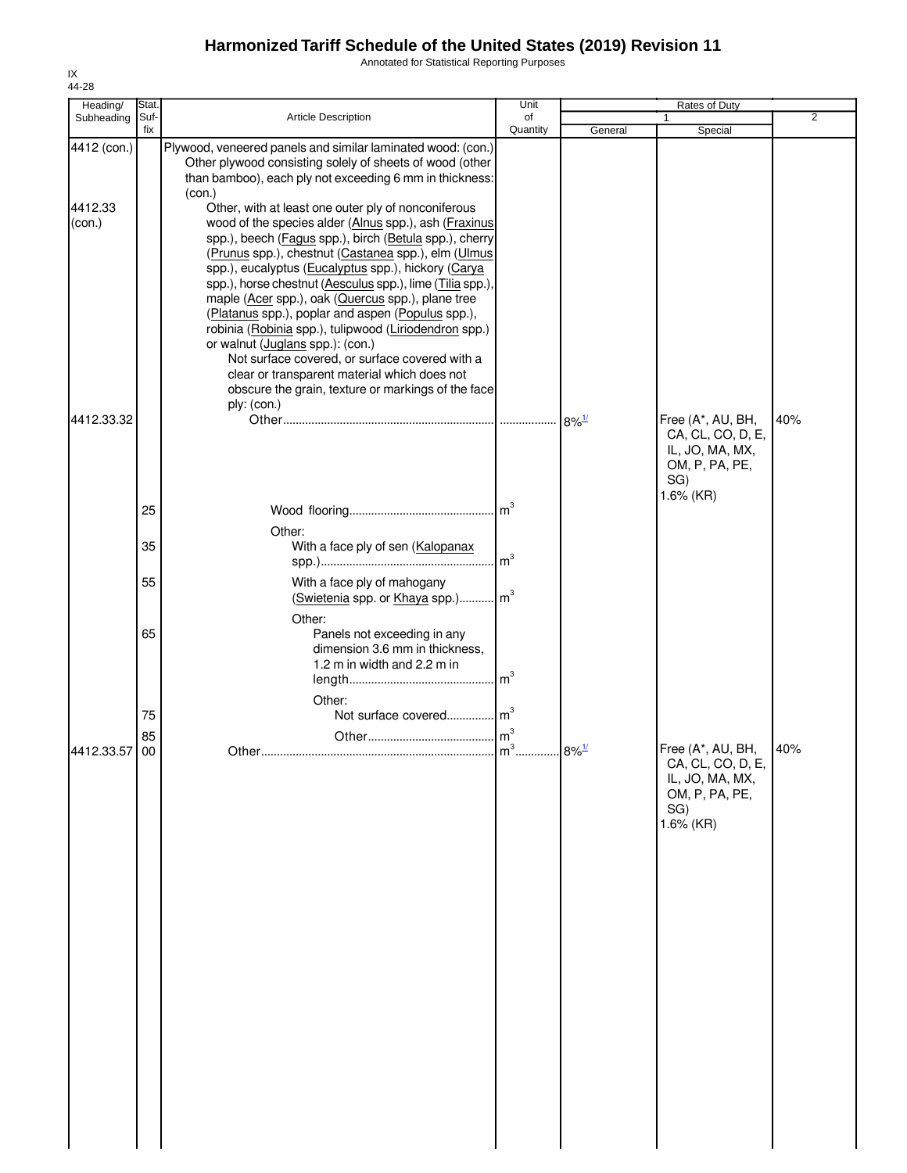Annotated for Statistical Reporting Purposes

| Heading/                         | Stat.       |                                                                                                                                                                                                                                                                                                                                                                                                                                                                                                                                                                                                                 | Unit           |                     | Rates of Duty                                                                                   |                |
|----------------------------------|-------------|-----------------------------------------------------------------------------------------------------------------------------------------------------------------------------------------------------------------------------------------------------------------------------------------------------------------------------------------------------------------------------------------------------------------------------------------------------------------------------------------------------------------------------------------------------------------------------------------------------------------|----------------|---------------------|-------------------------------------------------------------------------------------------------|----------------|
| Subheading                       | Suf-<br>fix | <b>Article Description</b>                                                                                                                                                                                                                                                                                                                                                                                                                                                                                                                                                                                      | of<br>Quantity | General             | Special                                                                                         | $\overline{2}$ |
| 4412 (con.)<br>4412.33<br>(con.) |             | Plywood, veneered panels and similar laminated wood: (con.)<br>Other plywood consisting solely of sheets of wood (other<br>than bamboo), each ply not exceeding 6 mm in thickness:<br>(con.)<br>Other, with at least one outer ply of nonconiferous<br>wood of the species alder (Alnus spp.), ash (Fraxinus                                                                                                                                                                                                                                                                                                    |                |                     |                                                                                                 |                |
| 4412.33.32                       |             | spp.), beech (Fagus spp.), birch (Betula spp.), cherry<br>(Prunus spp.), chestnut (Castanea spp.), elm (Ulmus<br>spp.), eucalyptus (Eucalyptus spp.), hickory (Carya<br>spp.), horse chestnut (Aesculus spp.), lime (Tilia spp.),<br>maple (Acer spp.), oak (Quercus spp.), plane tree<br>(Platanus spp.), poplar and aspen (Populus spp.),<br>robinia (Robinia spp.), tulipwood (Liriodendron spp.)<br>or walnut (Juglans spp.): (con.)<br>Not surface covered, or surface covered with a<br>clear or transparent material which does not<br>obscure the grain, texture or markings of the face<br>ply: (con.) |                |                     | Free (A*, AU, BH,<br>CA, CL, CO, D, E,                                                          | 40%            |
|                                  |             |                                                                                                                                                                                                                                                                                                                                                                                                                                                                                                                                                                                                                 |                |                     | IL, JO, MA, MX,<br>OM, P, PA, PE,<br>SG)<br>1.6% (KR)                                           |                |
|                                  | 25          | Other:                                                                                                                                                                                                                                                                                                                                                                                                                                                                                                                                                                                                          |                |                     |                                                                                                 |                |
|                                  | 35          | With a face ply of sen (Kalopanax                                                                                                                                                                                                                                                                                                                                                                                                                                                                                                                                                                               |                |                     |                                                                                                 |                |
|                                  | 55          | With a face ply of mahogany<br>(Swietenia spp. or Khaya spp.) m <sup>3</sup>                                                                                                                                                                                                                                                                                                                                                                                                                                                                                                                                    |                |                     |                                                                                                 |                |
|                                  | 65<br>75    | Other:<br>Panels not exceeding in any<br>dimension 3.6 mm in thickness,<br>1.2 m in width and 2.2 m in<br>Other:<br>Not surface covered m <sup>3</sup>                                                                                                                                                                                                                                                                                                                                                                                                                                                          |                |                     |                                                                                                 |                |
|                                  | 85          |                                                                                                                                                                                                                                                                                                                                                                                                                                                                                                                                                                                                                 |                |                     |                                                                                                 |                |
| 4412.33.57 00                    |             |                                                                                                                                                                                                                                                                                                                                                                                                                                                                                                                                                                                                                 |                | $8\%$ <sup>1/</sup> | Free (A*, AU, BH,<br>CA, CL, CO, D, E,<br>IL, JO, MA, MX,<br>OM, P, PA, PE,<br>SG)<br>1.6% (KR) | 40%            |
|                                  |             |                                                                                                                                                                                                                                                                                                                                                                                                                                                                                                                                                                                                                 |                |                     |                                                                                                 |                |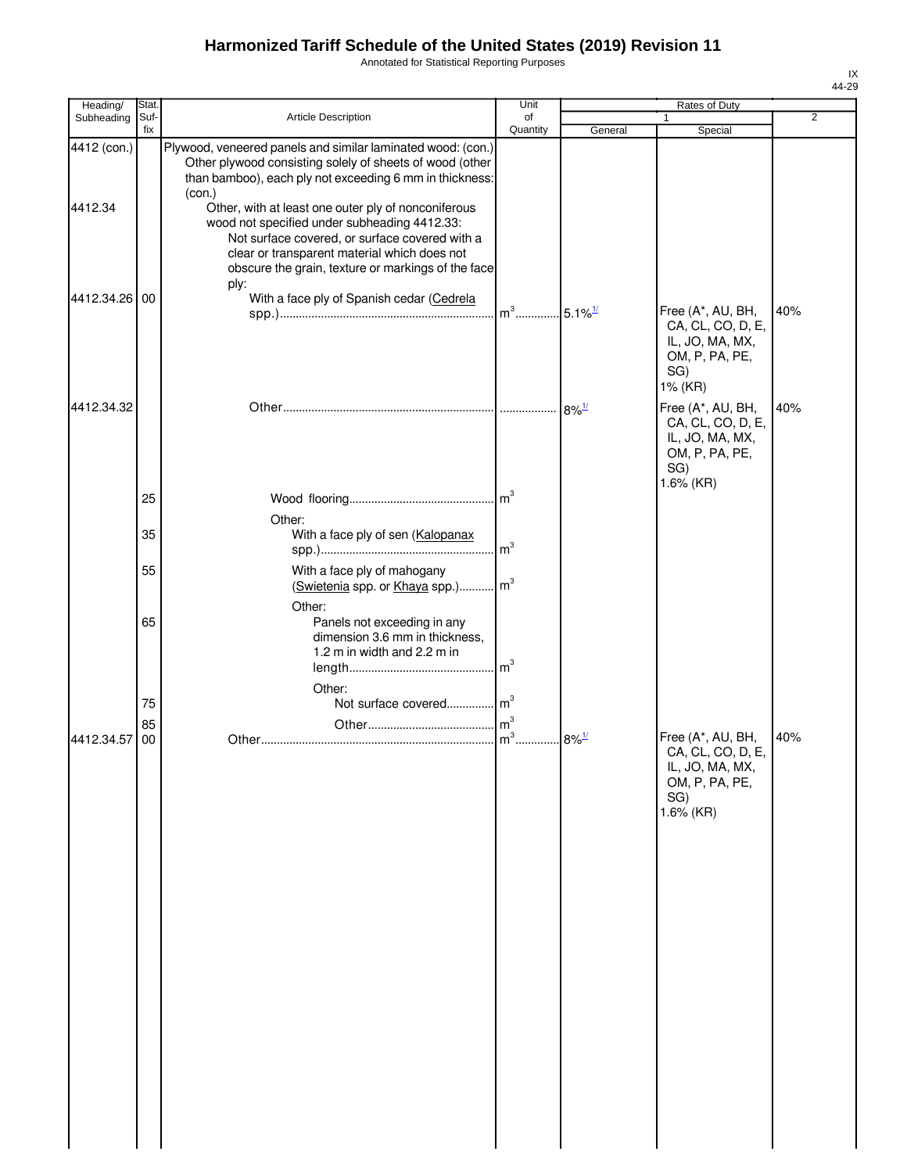Annotated for Statistical Reporting Purposes

| Heading/               | Stat.       |                                                                                                                                                                                                                                                     | Unit                               |                     | Rates of Duty                                                                                   |                |
|------------------------|-------------|-----------------------------------------------------------------------------------------------------------------------------------------------------------------------------------------------------------------------------------------------------|------------------------------------|---------------------|-------------------------------------------------------------------------------------------------|----------------|
| Subheading             | Suf-<br>fix | Article Description                                                                                                                                                                                                                                 | of<br>Quantity                     |                     | 1                                                                                               | $\overline{2}$ |
| 4412 (con.)<br>4412.34 |             | Plywood, veneered panels and similar laminated wood: (con.)<br>Other plywood consisting solely of sheets of wood (other<br>than bamboo), each ply not exceeding 6 mm in thickness:<br>(con.)<br>Other, with at least one outer ply of nonconiferous |                                    | General             | Special                                                                                         |                |
|                        |             | wood not specified under subheading 4412.33:<br>Not surface covered, or surface covered with a<br>clear or transparent material which does not<br>obscure the grain, texture or markings of the face<br>ply:                                        |                                    |                     |                                                                                                 |                |
| 4412.34.26 00          |             | With a face ply of Spanish cedar (Cedrela                                                                                                                                                                                                           | $m^3$ 5.1% <sup>1/</sup>           |                     | Free (A*, AU, BH,<br>CA, CL, CO, D, E,<br>IL, JO, MA, MX,<br>OM, P, PA, PE,<br>SG)<br>1% (KR)   | 40%            |
| 4412.34.32             |             |                                                                                                                                                                                                                                                     |                                    | $8\%$ <sup>1/</sup> | Free (A*, AU, BH,<br>CA, CL, CO, D, E,<br>IL, JO, MA, MX,<br>OM, P, PA, PE,<br>SG)<br>1.6% (KR) | 40%            |
|                        | 25<br>35    | Other:<br>With a face ply of sen (Kalopanax                                                                                                                                                                                                         | $\mathsf{Im}^3$                    |                     |                                                                                                 |                |
|                        | 55          | With a face ply of mahogany<br>(Swietenia spp. or Khaya spp.)                                                                                                                                                                                       | $\mathsf{Im}^3$<br>$\mathsf{Im}^3$ |                     |                                                                                                 |                |
|                        | 65          | Other:<br>Panels not exceeding in any<br>dimension 3.6 mm in thickness,<br>1.2 m in width and 2.2 m in                                                                                                                                              | m <sup>3</sup>                     |                     |                                                                                                 |                |
|                        | 75          | Other:<br>Not surface covered m <sup>3</sup>                                                                                                                                                                                                        |                                    |                     |                                                                                                 |                |
| 4412.34.57             | 85<br>00    |                                                                                                                                                                                                                                                     | $\mathsf{Im}^3$                    | $8\%$ <sup>1/</sup> | Free (A*, AU, BH,<br>CA, CL, CO, D, E,<br>IL, JO, MA, MX,                                       | 40%            |
|                        |             |                                                                                                                                                                                                                                                     |                                    |                     | OM, P, PA, PE,<br>SG)<br>1.6% (KR)                                                              |                |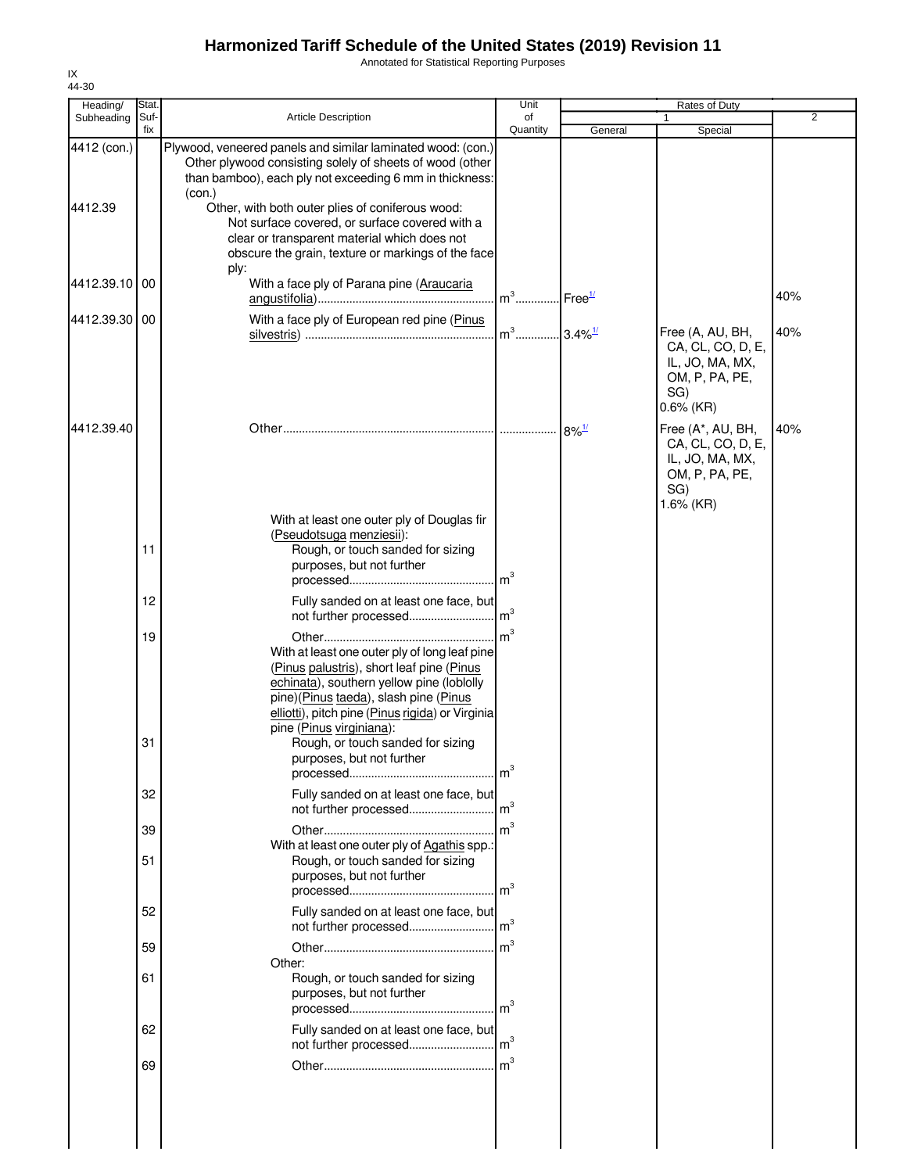Annotated for Statistical Reporting Purposes

| Heading/               | Stat.       |                                                                                                                                                                                                                                                                                                                                                    | Unit                              |                     | Rates of Duty                                                                                   |                |
|------------------------|-------------|----------------------------------------------------------------------------------------------------------------------------------------------------------------------------------------------------------------------------------------------------------------------------------------------------------------------------------------------------|-----------------------------------|---------------------|-------------------------------------------------------------------------------------------------|----------------|
| Subheading             | Suf-<br>fix | <b>Article Description</b>                                                                                                                                                                                                                                                                                                                         | of<br>Quantity                    | General             | Special                                                                                         | $\overline{2}$ |
| 4412 (con.)<br>4412.39 |             | Plywood, veneered panels and similar laminated wood: (con.)<br>Other plywood consisting solely of sheets of wood (other<br>than bamboo), each ply not exceeding 6 mm in thickness:<br>(con.)<br>Other, with both outer plies of coniferous wood:<br>Not surface covered, or surface covered with a<br>clear or transparent material which does not |                                   |                     |                                                                                                 |                |
|                        |             | obscure the grain, texture or markings of the face<br>ply:                                                                                                                                                                                                                                                                                         |                                   |                     |                                                                                                 |                |
| 4412.39.10 00          |             | With a face ply of Parana pine (Araucaria                                                                                                                                                                                                                                                                                                          | m <sup>3</sup> Free <sup>1/</sup> |                     |                                                                                                 | 40%            |
| 4412.39.30 00          |             | With a face ply of European red pine (Pinus                                                                                                                                                                                                                                                                                                        | $m^3$ 3.4% <sup>1/</sup>          |                     | Free (A, AU, BH,<br>CA, CL, CO, D, E,<br>IL, JO, MA, MX,<br>OM, P, PA, PE,                      | 40%            |
|                        |             |                                                                                                                                                                                                                                                                                                                                                    |                                   |                     | SG)<br>$0.6\%$ (KR)                                                                             |                |
| 4412.39.40             |             |                                                                                                                                                                                                                                                                                                                                                    |                                   | $8\%$ <sup>1/</sup> | Free (A*, AU, BH,<br>CA, CL, CO, D, E,<br>IL, JO, MA, MX,<br>OM, P, PA, PE,<br>SG)<br>1.6% (KR) | 40%            |
|                        | 11          | With at least one outer ply of Douglas fir<br>(Pseudotsuga menziesii):<br>Rough, or touch sanded for sizing<br>purposes, but not further                                                                                                                                                                                                           | m <sup>3</sup>                    |                     |                                                                                                 |                |
|                        | 12          | Fully sanded on at least one face, but                                                                                                                                                                                                                                                                                                             | m <sup>3</sup>                    |                     |                                                                                                 |                |
|                        | 19<br>31    | not further processed<br>With at least one outer ply of long leaf pine<br>(Pinus palustris), short leaf pine (Pinus<br>echinata), southern yellow pine (loblolly<br>pine)(Pinus taeda), slash pine (Pinus<br>elliotti), pitch pine (Pinus rigida) or Virginia<br>pine (Pinus virginiana):<br>Rough, or touch sanded for sizing                     | $\mathsf{Im}^3$                   |                     |                                                                                                 |                |
|                        |             | purposes, but not further                                                                                                                                                                                                                                                                                                                          | m <sup>3</sup>                    |                     |                                                                                                 |                |
|                        | 32          | Fully sanded on at least one face, but                                                                                                                                                                                                                                                                                                             |                                   |                     |                                                                                                 |                |
|                        | 39<br>51    | With at least one outer ply of Agathis spp.:<br>Rough, or touch sanded for sizing                                                                                                                                                                                                                                                                  |                                   |                     |                                                                                                 |                |
|                        |             | purposes, but not further                                                                                                                                                                                                                                                                                                                          |                                   |                     |                                                                                                 |                |
|                        | 52          | Fully sanded on at least one face, but<br>not further processed                                                                                                                                                                                                                                                                                    | m <sup>3</sup>                    |                     |                                                                                                 |                |
|                        | 59          |                                                                                                                                                                                                                                                                                                                                                    | m <sup>3</sup>                    |                     |                                                                                                 |                |
|                        | 61          | Other:<br>Rough, or touch sanded for sizing<br>purposes, but not further                                                                                                                                                                                                                                                                           |                                   |                     |                                                                                                 |                |
|                        | 62          | Fully sanded on at least one face, but<br>not further processed                                                                                                                                                                                                                                                                                    | m <sup>3</sup>                    |                     |                                                                                                 |                |
|                        | 69          |                                                                                                                                                                                                                                                                                                                                                    | $\mathsf{Im}^3$                   |                     |                                                                                                 |                |
|                        |             |                                                                                                                                                                                                                                                                                                                                                    |                                   |                     |                                                                                                 |                |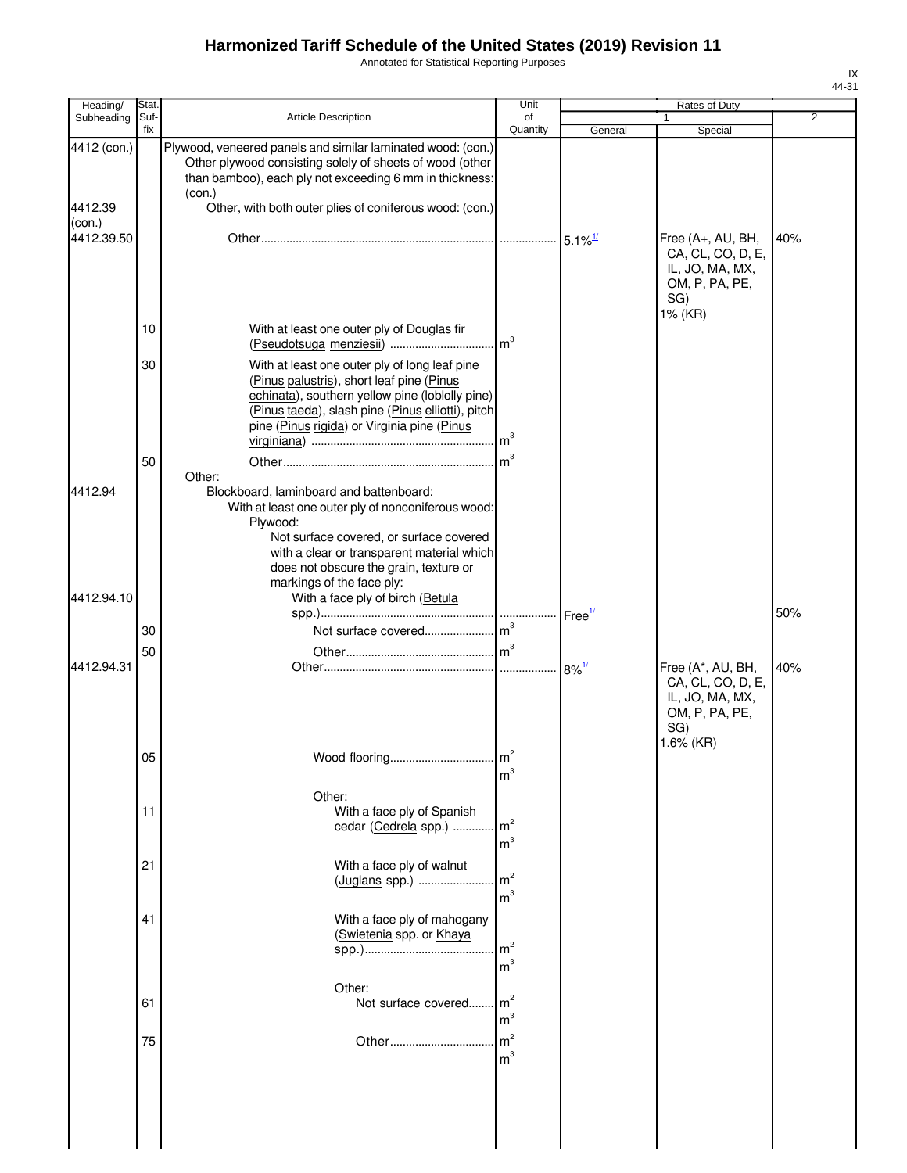Annotated for Statistical Reporting Purposes

| Heading/                         | Stat.       |                                                                                                                                                                                                                                                                                     | Unit                             |         | Rates of Duty                                                                                   |                |
|----------------------------------|-------------|-------------------------------------------------------------------------------------------------------------------------------------------------------------------------------------------------------------------------------------------------------------------------------------|----------------------------------|---------|-------------------------------------------------------------------------------------------------|----------------|
| Subheading                       | Suf-<br>fix | <b>Article Description</b>                                                                                                                                                                                                                                                          | of<br>Quantity                   | General | 1<br>Special                                                                                    | $\overline{2}$ |
| 4412 (con.)<br>4412.39<br>(con.) |             | Plywood, veneered panels and similar laminated wood: (con.)<br>Other plywood consisting solely of sheets of wood (other<br>than bamboo), each ply not exceeding 6 mm in thickness:<br>(con.)<br>Other, with both outer plies of coniferous wood: (con.)                             |                                  |         |                                                                                                 |                |
| 4412.39.50                       |             |                                                                                                                                                                                                                                                                                     |                                  |         | Free (A+, AU, BH,<br>CA, CL, CO, D, E,<br>IL, JO, MA, MX,<br>OM, P, PA, PE,<br>SG)<br>1% (KR)   | 40%            |
|                                  | 10          | With at least one outer ply of Douglas fir<br>(Pseudotsuga menziesii)                                                                                                                                                                                                               | m <sup>3</sup>                   |         |                                                                                                 |                |
|                                  | 30<br>50    | With at least one outer ply of long leaf pine<br>(Pinus palustris), short leaf pine (Pinus<br>echinata), southern yellow pine (loblolly pine)<br>(Pinus taeda), slash pine (Pinus elliotti), pitch<br>pine (Pinus rigida) or Virginia pine (Pinus                                   | m <sup>3</sup>                   |         |                                                                                                 |                |
| 4412.94                          |             | Other:<br>Blockboard, laminboard and battenboard:<br>With at least one outer ply of nonconiferous wood:<br>Plywood:<br>Not surface covered, or surface covered<br>with a clear or transparent material which<br>does not obscure the grain, texture or<br>markings of the face ply: |                                  |         |                                                                                                 |                |
| 4412.94.10                       |             | With a face ply of birch (Betula                                                                                                                                                                                                                                                    |                                  |         |                                                                                                 | 50%            |
|                                  | 30          |                                                                                                                                                                                                                                                                                     |                                  |         |                                                                                                 |                |
|                                  | 50          |                                                                                                                                                                                                                                                                                     |                                  |         |                                                                                                 |                |
| 4412.94.31                       |             |                                                                                                                                                                                                                                                                                     |                                  |         | Free (A*, AU, BH,<br>CA, CL, CO, D, E,<br>IL, JO, MA, MX,<br>OM, P, PA, PE,<br>SG)<br>1.6% (KR) | 40%            |
|                                  | 05          | Wood flooring                                                                                                                                                                                                                                                                       | $n^2$<br>m <sup>3</sup>          |         |                                                                                                 |                |
|                                  | 11          | Other:<br>With a face ply of Spanish<br>cedar (Cedrela spp.)                                                                                                                                                                                                                        | m <sup>2</sup><br>m <sup>3</sup> |         |                                                                                                 |                |
|                                  | 21          | With a face ply of walnut<br>(Juglans spp.)                                                                                                                                                                                                                                         | m <sup>2</sup><br>m <sup>3</sup> |         |                                                                                                 |                |
|                                  | 41          | With a face ply of mahogany<br>(Swietenia spp. or Khaya                                                                                                                                                                                                                             | m <sup>2</sup><br>m <sup>3</sup> |         |                                                                                                 |                |
|                                  | 61          | Other:<br>Not surface covered                                                                                                                                                                                                                                                       | m <sup>2</sup><br>m <sup>3</sup> |         |                                                                                                 |                |
|                                  | 75          | Other                                                                                                                                                                                                                                                                               | m <sup>2</sup><br>m <sup>3</sup> |         |                                                                                                 |                |
|                                  |             |                                                                                                                                                                                                                                                                                     |                                  |         |                                                                                                 |                |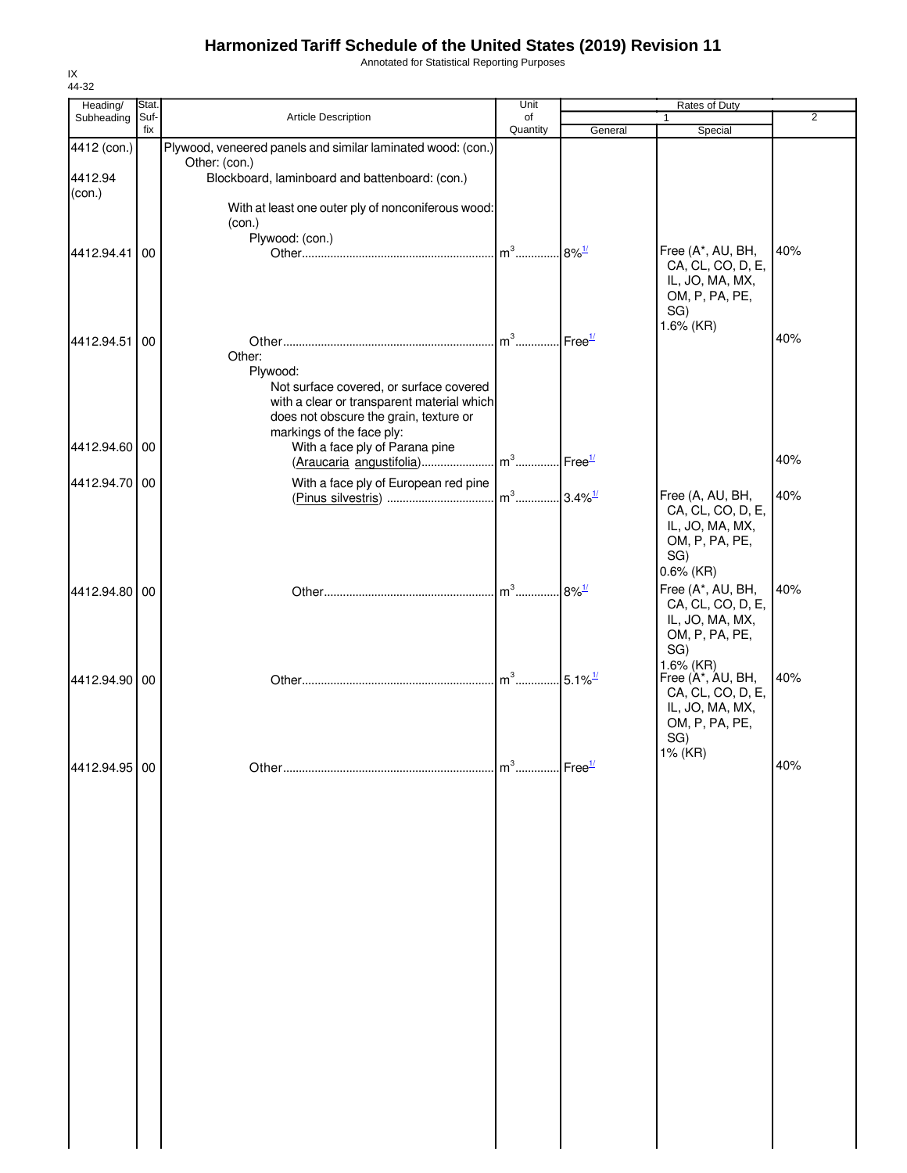Annotated for Statistical Reporting Purposes

| Heading/      | Stat.       |                                                                                       | Unit                     |                        | Rates of Duty                          |     |
|---------------|-------------|---------------------------------------------------------------------------------------|--------------------------|------------------------|----------------------------------------|-----|
| Subheading    | Suf-<br>fix | <b>Article Description</b>                                                            | of<br>Quantity           |                        | $\mathbf{1}$                           | 2   |
| 4412 (con.)   |             | Plywood, veneered panels and similar laminated wood: (con.)                           |                          | General                | Special                                |     |
|               |             | Other: (con.)                                                                         |                          |                        |                                        |     |
| 4412.94       |             | Blockboard, laminboard and battenboard: (con.)                                        |                          |                        |                                        |     |
| (con.)        |             |                                                                                       |                          |                        |                                        |     |
|               |             | With at least one outer ply of nonconiferous wood:                                    |                          |                        |                                        |     |
|               |             | (con.)<br>Plywood: (con.)                                                             |                          |                        |                                        |     |
| 4412.94.41    | 00          |                                                                                       | $m^3$                    | $.8\%$ <sup>1/</sup>   | Free (A*, AU, BH,                      | 40% |
|               |             |                                                                                       |                          |                        | CA, CL, CO, D, E,                      |     |
|               |             |                                                                                       |                          |                        | IL, JO, MA, MX,                        |     |
|               |             |                                                                                       |                          |                        | OM, P, PA, PE,<br>SG)                  |     |
|               |             |                                                                                       |                          |                        | 1.6% (KR)                              |     |
| 4412.94.51    | 00          |                                                                                       | $m^3$                    | $.$ Free $\frac{1}{2}$ |                                        | 40% |
|               |             | Other:                                                                                |                          |                        |                                        |     |
|               |             | Plywood:                                                                              |                          |                        |                                        |     |
|               |             | Not surface covered, or surface covered<br>with a clear or transparent material which |                          |                        |                                        |     |
|               |             | does not obscure the grain, texture or                                                |                          |                        |                                        |     |
|               |             | markings of the face ply:                                                             |                          |                        |                                        |     |
| 4412.94.60 00 |             | With a face ply of Parana pine                                                        |                          |                        |                                        |     |
|               |             | $(Araucaria$ angustifolia) m <sup>3</sup>  Free <sup>1/</sup>                         |                          |                        |                                        | 40% |
| 4412.94.70 00 |             | With a face ply of European red pine                                                  |                          |                        |                                        |     |
|               |             |                                                                                       | $m^3$ 3.4% <sup>1/</sup> |                        | Free (A, AU, BH,<br>CA, CL, CO, D, E,  | 40% |
|               |             |                                                                                       |                          |                        | IL, JO, MA, MX,                        |     |
|               |             |                                                                                       |                          |                        | OM, P, PA, PE,                         |     |
|               |             |                                                                                       |                          |                        | SG)                                    |     |
|               |             |                                                                                       |                          |                        | $0.6\%$ (KR)                           |     |
| 4412.94.80 00 |             |                                                                                       | $m^3$                    | $8\%$ <sup>1/</sup>    | Free (A*, AU, BH,                      | 40% |
|               |             |                                                                                       |                          |                        | CA, CL, CO, D, E,                      |     |
|               |             |                                                                                       |                          |                        | IL, JO, MA, MX,<br>OM, P, PA, PE,      |     |
|               |             |                                                                                       |                          |                        | SG)                                    |     |
|               |             |                                                                                       |                          |                        | 1.6% (KR)                              |     |
| 4412.94.90 00 |             |                                                                                       | $m^3$                    | $.5.1\%$ <sup>1/</sup> | Free (A*, AU, BH,<br>CA, CL, CO, D, E, | 40% |
|               |             |                                                                                       |                          |                        | IL, JO, MA, MX,                        |     |
|               |             |                                                                                       |                          |                        | OM, P, PA, PE,                         |     |
|               |             |                                                                                       |                          |                        | SG)                                    |     |
|               |             |                                                                                       | $m^3$                    |                        | 1% (KR)                                | 40% |
| 4412.94.95 00 |             |                                                                                       |                          | $Free^{\frac{1}{2}}$   |                                        |     |
|               |             |                                                                                       |                          |                        |                                        |     |
|               |             |                                                                                       |                          |                        |                                        |     |
|               |             |                                                                                       |                          |                        |                                        |     |
|               |             |                                                                                       |                          |                        |                                        |     |
|               |             |                                                                                       |                          |                        |                                        |     |
|               |             |                                                                                       |                          |                        |                                        |     |
|               |             |                                                                                       |                          |                        |                                        |     |
|               |             |                                                                                       |                          |                        |                                        |     |
|               |             |                                                                                       |                          |                        |                                        |     |
|               |             |                                                                                       |                          |                        |                                        |     |
|               |             |                                                                                       |                          |                        |                                        |     |
|               |             |                                                                                       |                          |                        |                                        |     |
|               |             |                                                                                       |                          |                        |                                        |     |
|               |             |                                                                                       |                          |                        |                                        |     |
|               |             |                                                                                       |                          |                        |                                        |     |
|               |             |                                                                                       |                          |                        |                                        |     |
|               |             |                                                                                       |                          |                        |                                        |     |
|               |             |                                                                                       |                          |                        |                                        |     |
|               |             |                                                                                       |                          |                        |                                        |     |
|               |             |                                                                                       |                          |                        |                                        |     |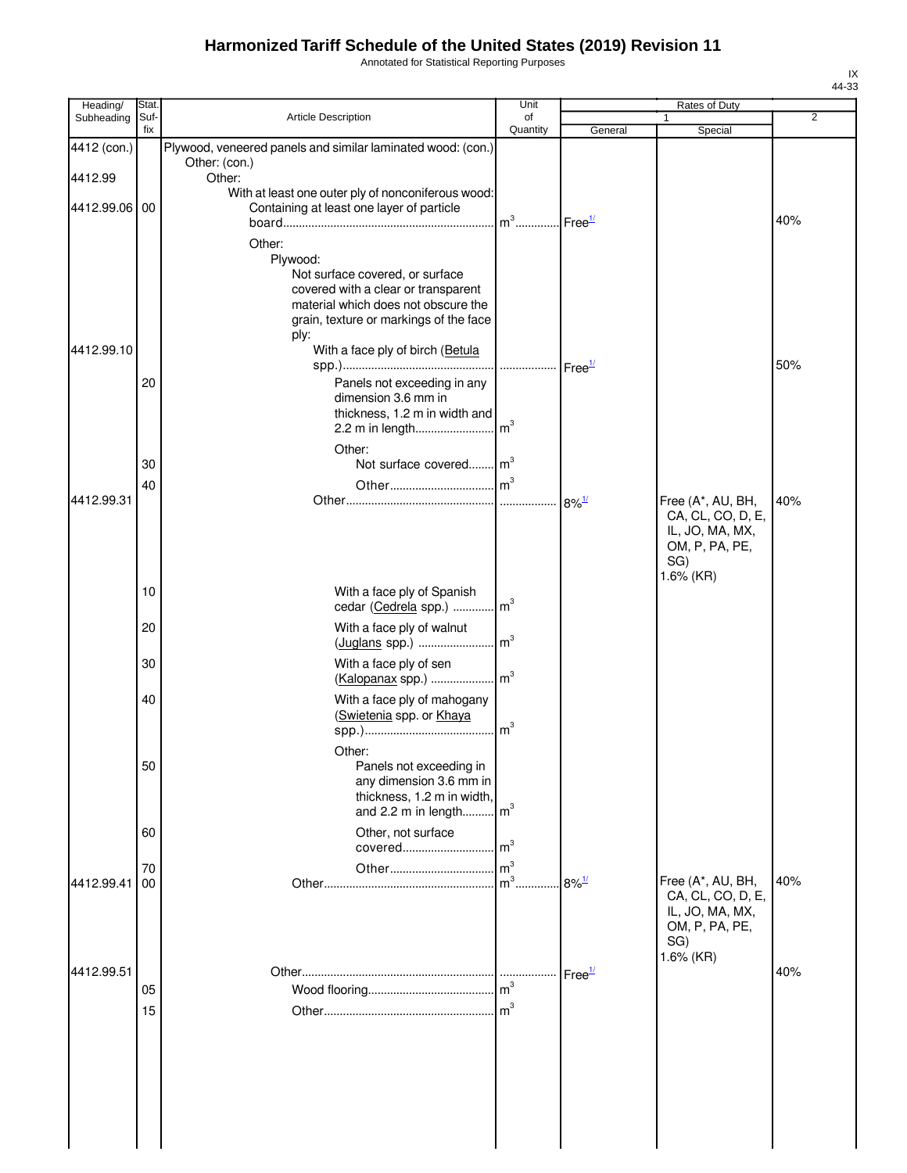Annotated for Statistical Reporting Purposes

| Heading/    | Stat.       |                                                                                                                                                                                       | Unit            |                     | Rates of Duty                                                               |                |
|-------------|-------------|---------------------------------------------------------------------------------------------------------------------------------------------------------------------------------------|-----------------|---------------------|-----------------------------------------------------------------------------|----------------|
| Subheading  | Suf-<br>fix | <b>Article Description</b>                                                                                                                                                            | of<br>Quantity  | General             | 1<br>Special                                                                | $\overline{2}$ |
| 4412 (con.) |             | Plywood, veneered panels and similar laminated wood: (con.)<br>Other: (con.)                                                                                                          |                 |                     |                                                                             |                |
| 4412.99     |             | Other:                                                                                                                                                                                |                 |                     |                                                                             |                |
| 4412.99.06  | 00          | With at least one outer ply of nonconiferous wood:<br>Containing at least one layer of particle                                                                                       | $m^3$           | Free <sup>1/</sup>  |                                                                             | 40%            |
|             |             | Other:<br>Plywood:<br>Not surface covered, or surface<br>covered with a clear or transparent<br>material which does not obscure the<br>grain, texture or markings of the face<br>ply: |                 |                     |                                                                             |                |
| 4412.99.10  |             | With a face ply of birch (Betula                                                                                                                                                      |                 |                     |                                                                             | 50%            |
|             | 20          | Panels not exceeding in any<br>dimension 3.6 mm in<br>thickness, 1.2 m in width and                                                                                                   |                 |                     |                                                                             |                |
|             |             | Other:                                                                                                                                                                                |                 |                     |                                                                             |                |
|             | 30          | Not surface covered m <sup>3</sup>                                                                                                                                                    |                 |                     |                                                                             |                |
| 4412.99.31  | 40          |                                                                                                                                                                                       |                 |                     | Free (A*, AU, BH,                                                           | 40%            |
|             |             |                                                                                                                                                                                       |                 |                     | CA, CL, CO, D, E,<br>IL, JO, MA, MX,<br>OM, P, PA, PE,<br>SG)<br>1.6% (KR)  |                |
|             | 10          | With a face ply of Spanish<br>cedar (Cedrela spp.)  m <sup>3</sup>                                                                                                                    |                 |                     |                                                                             |                |
|             | 20          | With a face ply of walnut<br>(Juglans spp.)  m <sup>3</sup>                                                                                                                           |                 |                     |                                                                             |                |
|             | 30          | With a face ply of sen<br>(Kalopanax spp.)  m <sup>3</sup>                                                                                                                            |                 |                     |                                                                             |                |
|             | 40          | With a face ply of mahogany<br>(Swietenia spp. or Khaya                                                                                                                               | $\mathsf{Im}^3$ |                     |                                                                             |                |
|             | 50          | Other:<br>Panels not exceeding in<br>any dimension 3.6 mm in<br>thickness, 1.2 m in width,<br>and 2.2 m in length m <sup>3</sup>                                                      |                 |                     |                                                                             |                |
|             | 60          | Other, not surface                                                                                                                                                                    |                 |                     |                                                                             |                |
| 4412.99.41  | 70<br>00    |                                                                                                                                                                                       |                 | $8\%$ <sup>1/</sup> | Free (A*, AU, BH,<br>CA, CL, CO, D, E,<br>IL, JO, MA, MX,<br>OM, P, PA, PE, | 40%            |
| 4412.99.51  | 05          |                                                                                                                                                                                       | $\mathsf{Im}^3$ | Free <sup>1/</sup>  | SG)<br>1.6% (KR)                                                            | 40%            |
|             | 15          |                                                                                                                                                                                       |                 |                     |                                                                             |                |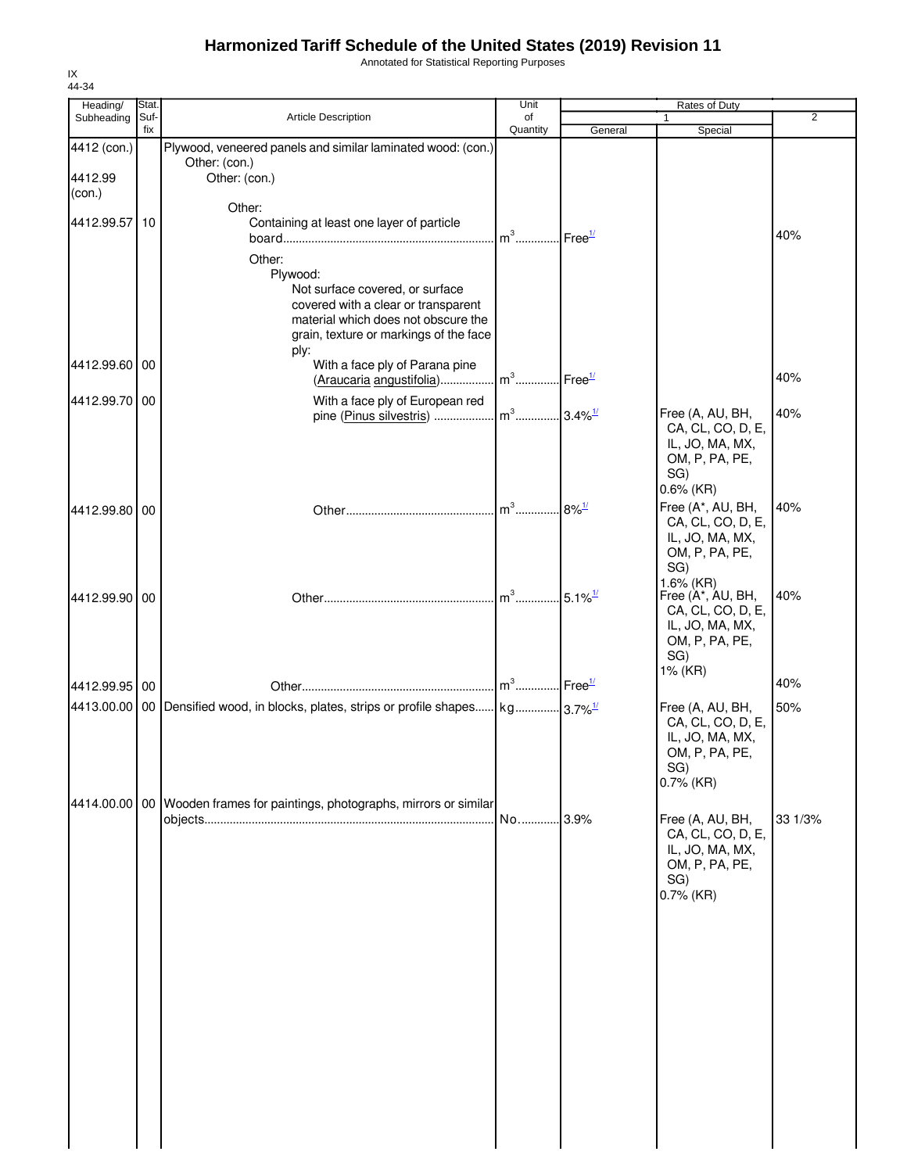Annotated for Statistical Reporting Purposes

| Heading/                         | Stat.       |                                                                                                                                                                | Unit                              |                        | Rates of Duty                                                                                     |                |
|----------------------------------|-------------|----------------------------------------------------------------------------------------------------------------------------------------------------------------|-----------------------------------|------------------------|---------------------------------------------------------------------------------------------------|----------------|
| Subheading                       | Suf-<br>fix | Article Description                                                                                                                                            | of<br>Quantity                    | General                | 1<br>Special                                                                                      | $\overline{2}$ |
| 4412 (con.)<br>4412.99<br>(con.) |             | Plywood, veneered panels and similar laminated wood: (con.)<br>Other: (con.)<br>Other: (con.)                                                                  |                                   |                        |                                                                                                   |                |
| 4412.99.57 10                    |             | Other:<br>Containing at least one layer of particle<br>Other:<br>Plywood:<br>Not surface covered, or surface                                                   | $m^3$                             | $.$ Free $1/$          |                                                                                                   | 40%            |
| 4412.99.60 00                    |             | covered with a clear or transparent<br>material which does not obscure the<br>grain, texture or markings of the face<br>ply:<br>With a face ply of Parana pine |                                   |                        |                                                                                                   |                |
|                                  |             | (Araucaria angustifolia)                                                                                                                                       | m <sup>3</sup> Free <sup>1/</sup> |                        |                                                                                                   | 40%            |
| 4412.99.70 00                    |             | With a face ply of European red<br>pine (Pinus silvestris)                                                                                                     | $m^3$                             | $3.4\%$ <sup>1/</sup>  | Free (A, AU, BH,<br>CA, CL, CO, D, E,<br>IL, JO, MA, MX,<br>OM, P, PA, PE,<br>SG)<br>$0.6\%$ (KR) | 40%            |
| 4412.99.80 00                    |             |                                                                                                                                                                | $\mathsf{Im}^3$                   | $8\%$ <sup>1/</sup>    | Free (A*, AU, BH,<br>CA, CL, CO, D, E,<br>IL, JO, MA, MX,<br>OM, P, PA, PE,<br>SG)<br>1.6% (KR)   | 40%            |
| 4412.99.90 00                    |             |                                                                                                                                                                |                                   | $.5.1\%$ <sup>1/</sup> | Free (A*, AU, BH,<br>CA, CL, CO, D, E,<br>IL, JO, MA, MX,<br>OM, P, PA, PE,<br>SG)<br>1% (KR)     | 40%            |
| 4412.99.95 00                    |             |                                                                                                                                                                |                                   |                        |                                                                                                   | 40%            |
|                                  |             | 4413.00.00 00 Densified wood, in blocks, plates, strips or profile shapes $\vert$ kg] 3.7% <sup>1/</sup>                                                       |                                   |                        | Free (A, AU, BH,<br>CA, CL, CO, D, E,<br>IL, JO, MA, MX,<br>OM, P, PA, PE,<br>SG)<br>$0.7\%$ (KR) | 50%            |
|                                  |             | 4414.00.00   00   Wooden frames for paintings, photographs, mirrors or similar                                                                                 | No 3.9%                           |                        | Free (A, AU, BH,<br>CA, CL, CO, D, E,<br>IL, JO, MA, MX,<br>OM, P, PA, PE,<br>SG)<br>0.7% (KR)    | 33 1/3%        |
|                                  |             |                                                                                                                                                                |                                   |                        |                                                                                                   |                |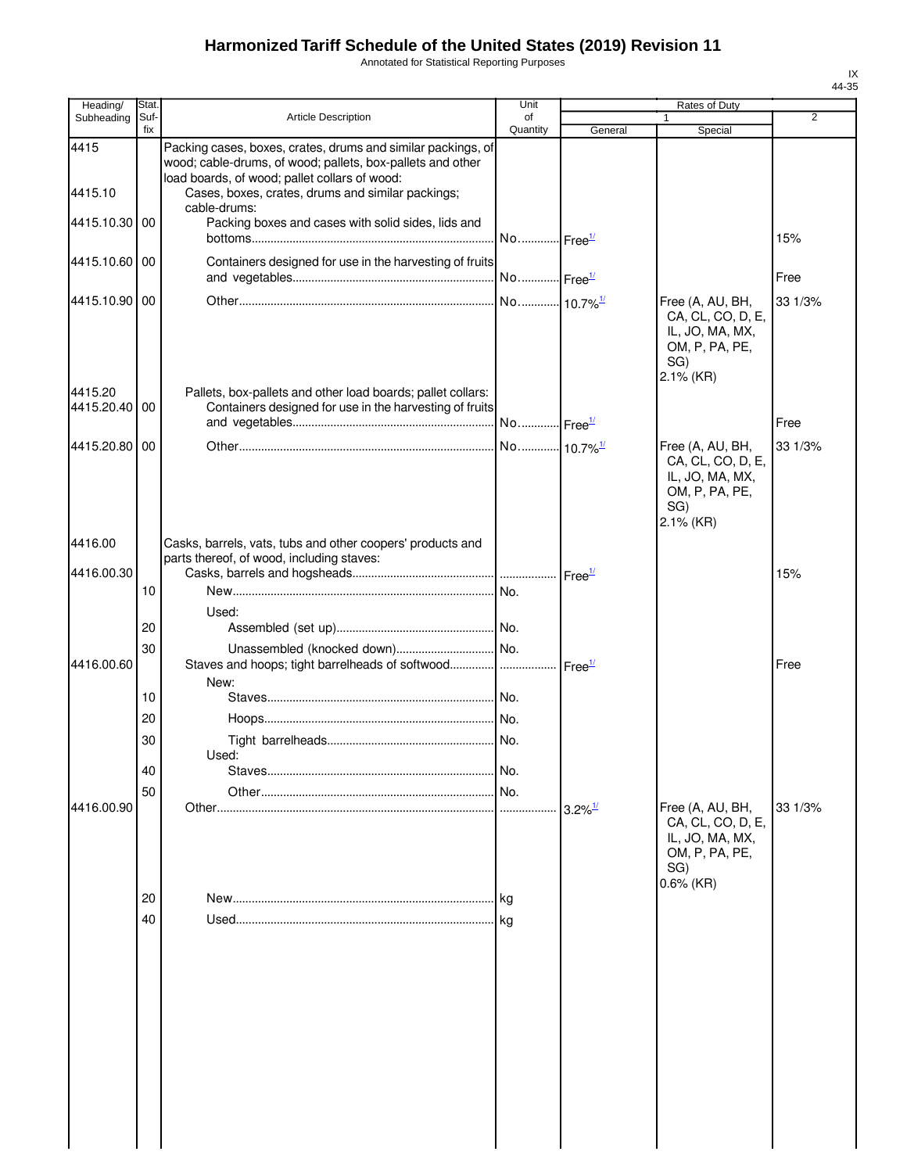Annotated for Statistical Reporting Purposes

| Suf-<br>fix      | <b>Article Description</b><br>Packing cases, boxes, crates, drums and similar packings, of                  | of<br>Quantity                                                      | General                                                                                                                   | 1<br>Special                                                                                  | 2                                             |
|------------------|-------------------------------------------------------------------------------------------------------------|---------------------------------------------------------------------|---------------------------------------------------------------------------------------------------------------------------|-----------------------------------------------------------------------------------------------|-----------------------------------------------|
|                  |                                                                                                             |                                                                     |                                                                                                                           |                                                                                               |                                               |
|                  | wood; cable-drums, of wood; pallets, box-pallets and other<br>load boards, of wood; pallet collars of wood: |                                                                     |                                                                                                                           |                                                                                               |                                               |
|                  | Cases, boxes, crates, drums and similar packings;<br>cable-drums:                                           |                                                                     |                                                                                                                           |                                                                                               |                                               |
| 4415.10.30<br>00 | Packing boxes and cases with solid sides, lids and                                                          |                                                                     |                                                                                                                           |                                                                                               | 15%                                           |
| 4415.10.60 00    |                                                                                                             |                                                                     |                                                                                                                           |                                                                                               | Free                                          |
| 4415.10.90 00    |                                                                                                             |                                                                     |                                                                                                                           | Free (A, AU, BH,<br>CA, CL, CO, D, E,<br>IL, JO, MA, MX,<br>OM, P, PA, PE,<br>SG)             | 33 1/3%                                       |
| 4415.20.40 00    | Pallets, box-pallets and other load boards; pallet collars:                                                 |                                                                     |                                                                                                                           |                                                                                               | Free                                          |
| 4415.20.80 00    |                                                                                                             |                                                                     |                                                                                                                           | Free (A, AU, BH,<br>CA, CL, CO, D, E,<br>IL, JO, MA, MX,<br>OM, P, PA, PE,<br>SG)             | 33 1/3%                                       |
|                  | Casks, barrels, vats, tubs and other coopers' products and                                                  |                                                                     |                                                                                                                           |                                                                                               |                                               |
|                  |                                                                                                             |                                                                     | Free <sup>1/</sup>                                                                                                        |                                                                                               | 15%                                           |
|                  |                                                                                                             |                                                                     |                                                                                                                           |                                                                                               |                                               |
| 20               |                                                                                                             |                                                                     |                                                                                                                           |                                                                                               |                                               |
| 4416.00.60       |                                                                                                             |                                                                     |                                                                                                                           |                                                                                               | Free                                          |
| 10               |                                                                                                             |                                                                     |                                                                                                                           |                                                                                               |                                               |
| 20               |                                                                                                             |                                                                     |                                                                                                                           |                                                                                               |                                               |
| 30               |                                                                                                             |                                                                     |                                                                                                                           |                                                                                               |                                               |
| 40               |                                                                                                             | No.                                                                 |                                                                                                                           |                                                                                               |                                               |
| 50               |                                                                                                             | No.                                                                 |                                                                                                                           |                                                                                               |                                               |
|                  |                                                                                                             |                                                                     |                                                                                                                           | CA, CL, CO, D, E,<br>IL, JO, MA, MX,<br>OM, P, PA, PE,<br>SG)<br>0.6% (KR)                    | 33 1/3%                                       |
|                  |                                                                                                             | l kg                                                                |                                                                                                                           |                                                                                               |                                               |
| 40               |                                                                                                             | kg                                                                  |                                                                                                                           |                                                                                               |                                               |
| 4416.00.90       | 10<br>30<br>20                                                                                              | parts thereof, of wood, including staves:<br>Used:<br>New:<br>Used: | Containers designed for use in the harvesting of fruits<br>Containers designed for use in the harvesting of fruits<br>No. | Staves and hoops; tight barrelheads of softwood   Free <sup>1/</sup><br>$3.2\%$ <sup>1/</sup> | $2.1\%$ (KR)<br>2.1% (KR)<br>Free (A, AU, BH, |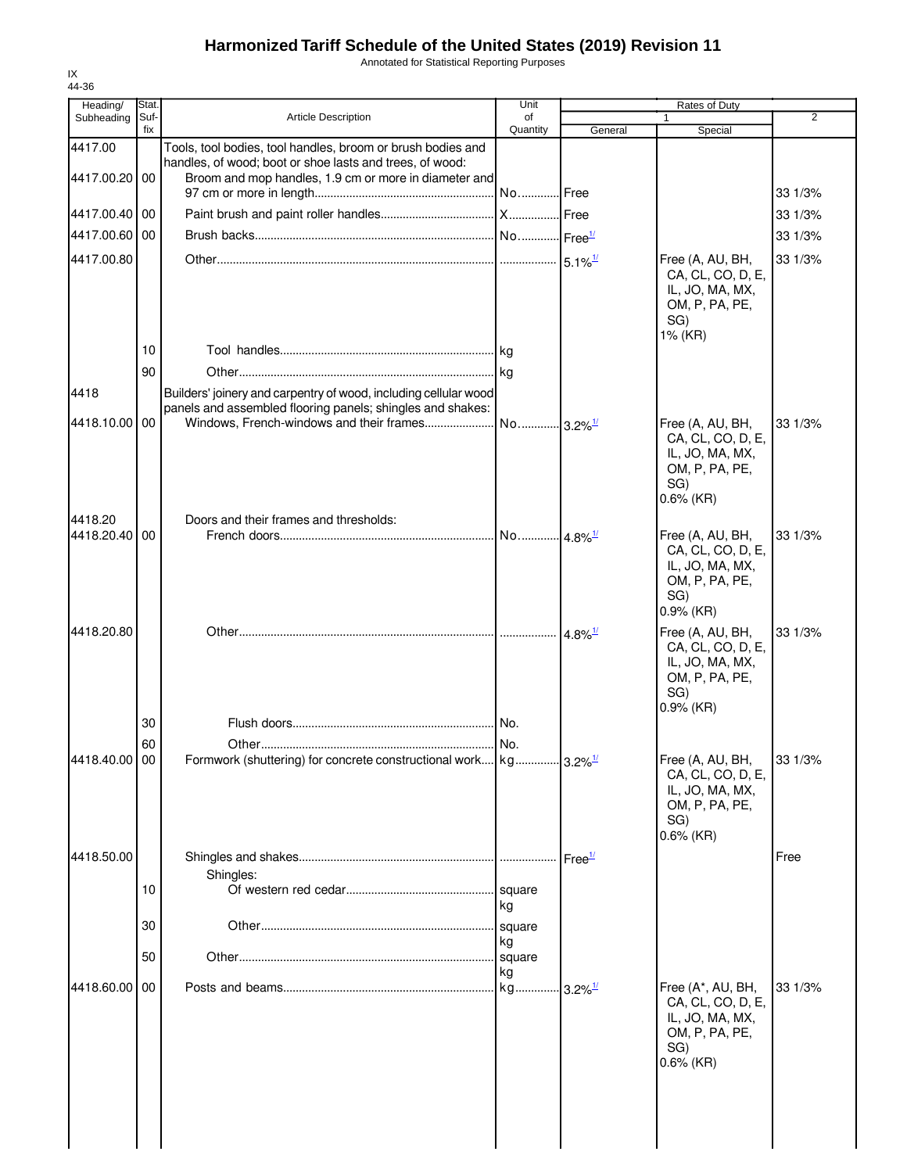Annotated for Statistical Reporting Purposes

| 44-36                  |               |                                                                                                                                |                       |                       |                                                                                                    |         |
|------------------------|---------------|--------------------------------------------------------------------------------------------------------------------------------|-----------------------|-----------------------|----------------------------------------------------------------------------------------------------|---------|
| Heading/<br>Subheading | Stat.<br>Suf- | <b>Article Description</b>                                                                                                     | Unit<br>of            |                       | Rates of Duty<br>1                                                                                 | 2       |
|                        | fix           |                                                                                                                                | Quantity              | General               | Special                                                                                            |         |
| 4417.00                |               | Tools, tool bodies, tool handles, broom or brush bodies and<br>handles, of wood; boot or shoe lasts and trees, of wood:        |                       |                       |                                                                                                    |         |
| 4417.00.20             | 00            | Broom and mop handles, 1.9 cm or more in diameter and                                                                          |                       |                       |                                                                                                    | 33 1/3% |
| 4417.00.40             | 00            |                                                                                                                                |                       |                       |                                                                                                    | 33 1/3% |
| 4417.00.60             | 00            |                                                                                                                                |                       |                       |                                                                                                    |         |
|                        |               |                                                                                                                                |                       |                       |                                                                                                    | 33 1/3% |
| 4417.00.80             |               |                                                                                                                                |                       |                       | Free (A, AU, BH,<br>CA, CL, CO, D, E,<br>IL, JO, MA, MX,<br>OM, P, PA, PE,<br>SG)<br>1% (KR)       | 33 1/3% |
|                        | 10            |                                                                                                                                |                       |                       |                                                                                                    |         |
|                        | 90            |                                                                                                                                |                       |                       |                                                                                                    |         |
| 4418                   |               | Builders' joinery and carpentry of wood, including cellular wood<br>panels and assembled flooring panels; shingles and shakes: |                       |                       |                                                                                                    |         |
| 4418.10.00             | 00            | Windows, French-windows and their frames                                                                                       | No 3.2% <sup>1/</sup> |                       | Free (A, AU, BH,<br>CA, CL, CO, D, E,<br>IL, JO, MA, MX,<br>OM, P, PA, PE,<br>SG)<br>$0.6\%$ (KR)  | 33 1/3% |
| 4418.20                |               | Doors and their frames and thresholds:                                                                                         |                       |                       |                                                                                                    |         |
| 4418.20.40             | 00            |                                                                                                                                |                       |                       | Free (A, AU, BH,<br>CA, CL, CO, D, E,<br>IL, JO, MA, MX,<br>OM, P, PA, PE,<br>SG)<br>$0.9%$ (KR)   | 33 1/3% |
| 4418.20.80             |               |                                                                                                                                |                       | $4.8\%$ <sup>1/</sup> | Free (A, AU, BH,<br>CA, CL, CO, D, E,<br>IL, JO, MA, MX,<br>OM, P, PA, PE,<br>SG)<br>$0.9%$ (KR)   | 33 1/3% |
|                        | 30            |                                                                                                                                |                       |                       |                                                                                                    |         |
|                        | 60            |                                                                                                                                |                       |                       |                                                                                                    |         |
| 4418.40.00 00          |               | Formwork (shuttering) for concrete constructional work kg 3.2% <sup>1/</sup>                                                   |                       |                       | Free (A, AU, BH,<br>CA, CL, CO, D, E,<br>IL, JO, MA, MX,<br>OM, P, PA, PE,<br>SG)<br>$0.6\%$ (KR)  | 33 1/3% |
| 4418.50.00             |               |                                                                                                                                |                       | Free <sup>1/</sup>    |                                                                                                    | Free    |
|                        | 10            | Shingles:                                                                                                                      | square                |                       |                                                                                                    |         |
|                        | 30            |                                                                                                                                | kg<br>square          |                       |                                                                                                    |         |
|                        | 50            |                                                                                                                                | kg<br>square          |                       |                                                                                                    |         |
|                        |               |                                                                                                                                | kg                    |                       |                                                                                                    |         |
| 4418.60.00             | 00            |                                                                                                                                | kg                    | $3.2\%$ <sup>1/</sup> | Free (A*, AU, BH,<br>CA, CL, CO, D, E,<br>IL, JO, MA, MX,<br>OM, P, PA, PE,<br>SG)<br>$0.6\%$ (KR) | 33 1/3% |
|                        |               |                                                                                                                                |                       |                       |                                                                                                    |         |

IX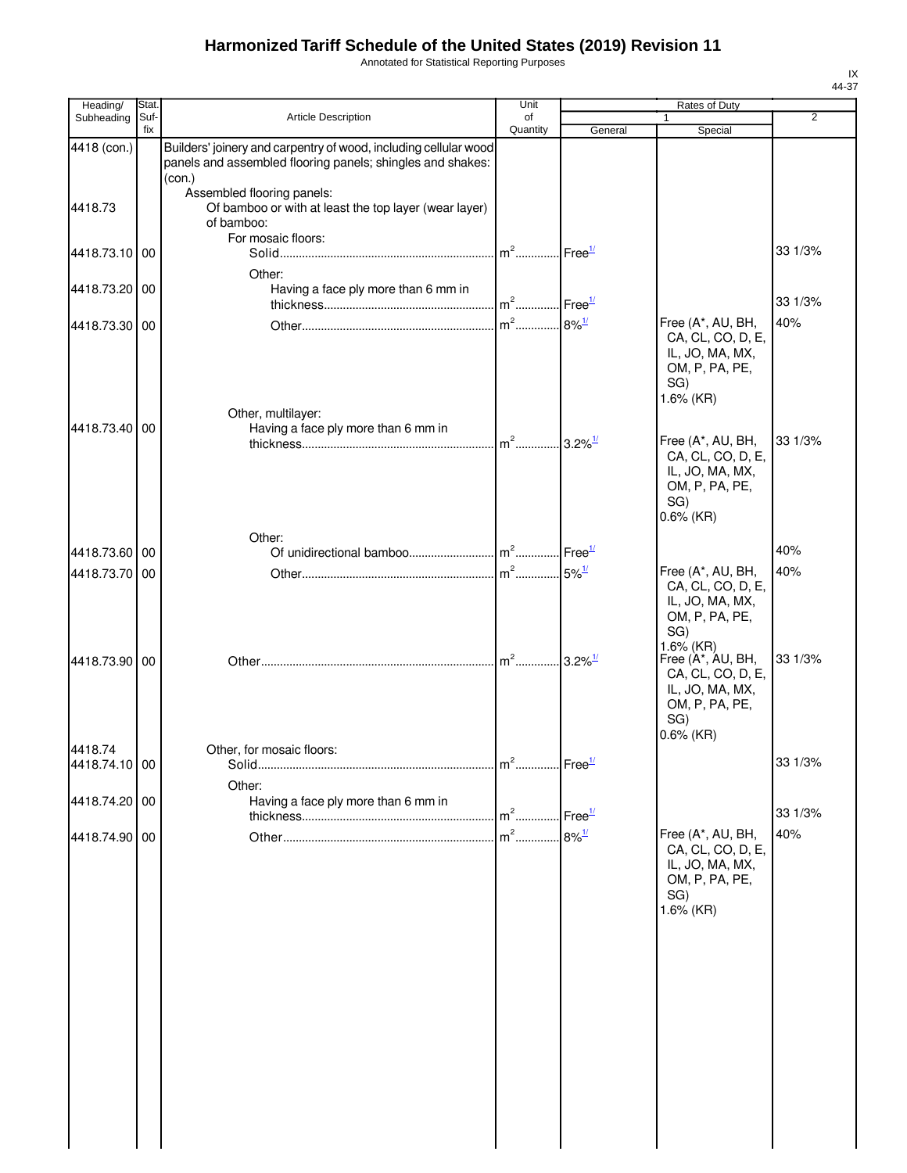Annotated for Statistical Reporting Purposes

| Heading/      | Stat.       |                                                                  | Unit                              |                                           | Rates of Duty                        |                |
|---------------|-------------|------------------------------------------------------------------|-----------------------------------|-------------------------------------------|--------------------------------------|----------------|
| Subheading    | Suf-<br>fix | Article Description                                              | of<br>Quantity                    | General                                   | 1<br>Special                         | $\overline{2}$ |
| 4418 (con.)   |             | Builders' joinery and carpentry of wood, including cellular wood |                                   |                                           |                                      |                |
|               |             | panels and assembled flooring panels; shingles and shakes:       |                                   |                                           |                                      |                |
|               |             | (con.)                                                           |                                   |                                           |                                      |                |
|               |             | Assembled flooring panels:                                       |                                   |                                           |                                      |                |
| 4418.73       |             | Of bamboo or with at least the top layer (wear layer)            |                                   |                                           |                                      |                |
|               |             | of bamboo:                                                       |                                   |                                           |                                      |                |
|               |             | For mosaic floors:                                               | m <sup>2</sup> Free <sup>1/</sup> |                                           |                                      | 33 1/3%        |
| 4418.73.10 00 |             |                                                                  |                                   |                                           |                                      |                |
|               |             | Other:                                                           |                                   |                                           |                                      |                |
| 4418.73.20 00 |             | Having a face ply more than 6 mm in                              | $m2$                              |                                           |                                      | 33 1/3%        |
|               |             |                                                                  |                                   | $Free^1$                                  |                                      |                |
| 4418.73.30 00 |             |                                                                  | $m2$                              | $8\%$ <sup>1/</sup>                       | Free (A*, AU, BH,                    | 40%            |
|               |             |                                                                  |                                   |                                           | CA, CL, CO, D, E,                    |                |
|               |             |                                                                  |                                   |                                           | IL, JO, MA, MX,<br>OM, P, PA, PE,    |                |
|               |             |                                                                  |                                   |                                           | SG)                                  |                |
|               |             |                                                                  |                                   |                                           | 1.6% (KR)                            |                |
|               |             | Other, multilayer:                                               |                                   |                                           |                                      |                |
| 4418.73.40 00 |             | Having a face ply more than 6 mm in                              |                                   |                                           |                                      |                |
|               |             |                                                                  | $m2$                              | $.3.2\%$ <sup>1/</sup>                    | Free (A*, AU, BH,                    | 33 1/3%        |
|               |             |                                                                  |                                   |                                           | CA, CL, CO, D, E,                    |                |
|               |             |                                                                  |                                   |                                           | IL, JO, MA, MX,<br>OM, P, PA, PE,    |                |
|               |             |                                                                  |                                   |                                           | SG)                                  |                |
|               |             |                                                                  |                                   |                                           | $0.6\%$ (KR)                         |                |
|               |             | Other:                                                           |                                   |                                           |                                      |                |
| 4418.73.60 00 |             |                                                                  |                                   | Free <sup>1/</sup>                        |                                      | 40%            |
|               |             |                                                                  |                                   |                                           | Free (A*, AU, BH,                    | 40%            |
| 4418.73.70 00 |             |                                                                  |                                   | $5\%$ <sup><math>\frac{1}{2}</math></sup> | CA, CL, CO, D, E,                    |                |
|               |             |                                                                  |                                   |                                           | IL, JO, MA, MX,                      |                |
|               |             |                                                                  |                                   |                                           | OM, P, PA, PE,                       |                |
|               |             |                                                                  |                                   |                                           | SG)                                  |                |
|               |             |                                                                  |                                   |                                           | 1.6% (KR)                            |                |
| 4418.73.90 00 |             |                                                                  | $\ln^2$ 3.2% <sup>1/1</sup>       |                                           | Free (A*, AU, BH,                    | 33 1/3%        |
|               |             |                                                                  |                                   |                                           | CA, CL, CO, D, E,<br>IL, JO, MA, MX, |                |
|               |             |                                                                  |                                   |                                           | OM, P, PA, PE,                       |                |
|               |             |                                                                  |                                   |                                           | SG)                                  |                |
|               |             |                                                                  |                                   |                                           | $0.6\%$ (KR)                         |                |
| 4418.74       |             | Other, for mosaic floors:                                        |                                   |                                           |                                      |                |
| 4418.74.10 00 |             |                                                                  |                                   |                                           |                                      | 33 1/3%        |
|               |             | Other:                                                           |                                   |                                           |                                      |                |
| 4418.74.20 00 |             | Having a face ply more than 6 mm in                              |                                   |                                           |                                      |                |
|               |             |                                                                  | $m2$                              | Free <sup>1/</sup>                        |                                      | 33 1/3%        |
| 4418.74.90 00 |             |                                                                  |                                   |                                           | Free (A*, AU, BH,                    | 40%            |
|               |             |                                                                  |                                   |                                           | CA, CL, CO, D, E,                    |                |
|               |             |                                                                  |                                   |                                           | IL, JO, MA, MX,                      |                |
|               |             |                                                                  |                                   |                                           | OM, P, PA, PE,                       |                |
|               |             |                                                                  |                                   |                                           | SG)                                  |                |
|               |             |                                                                  |                                   |                                           | 1.6% (KR)                            |                |
|               |             |                                                                  |                                   |                                           |                                      |                |
|               |             |                                                                  |                                   |                                           |                                      |                |
|               |             |                                                                  |                                   |                                           |                                      |                |
|               |             |                                                                  |                                   |                                           |                                      |                |
|               |             |                                                                  |                                   |                                           |                                      |                |
|               |             |                                                                  |                                   |                                           |                                      |                |
|               |             |                                                                  |                                   |                                           |                                      |                |
|               |             |                                                                  |                                   |                                           |                                      |                |
|               |             |                                                                  |                                   |                                           |                                      |                |
|               |             |                                                                  |                                   |                                           |                                      |                |
|               |             |                                                                  |                                   |                                           |                                      |                |
|               |             |                                                                  |                                   |                                           |                                      |                |
|               |             |                                                                  |                                   |                                           |                                      |                |
|               |             |                                                                  |                                   |                                           |                                      |                |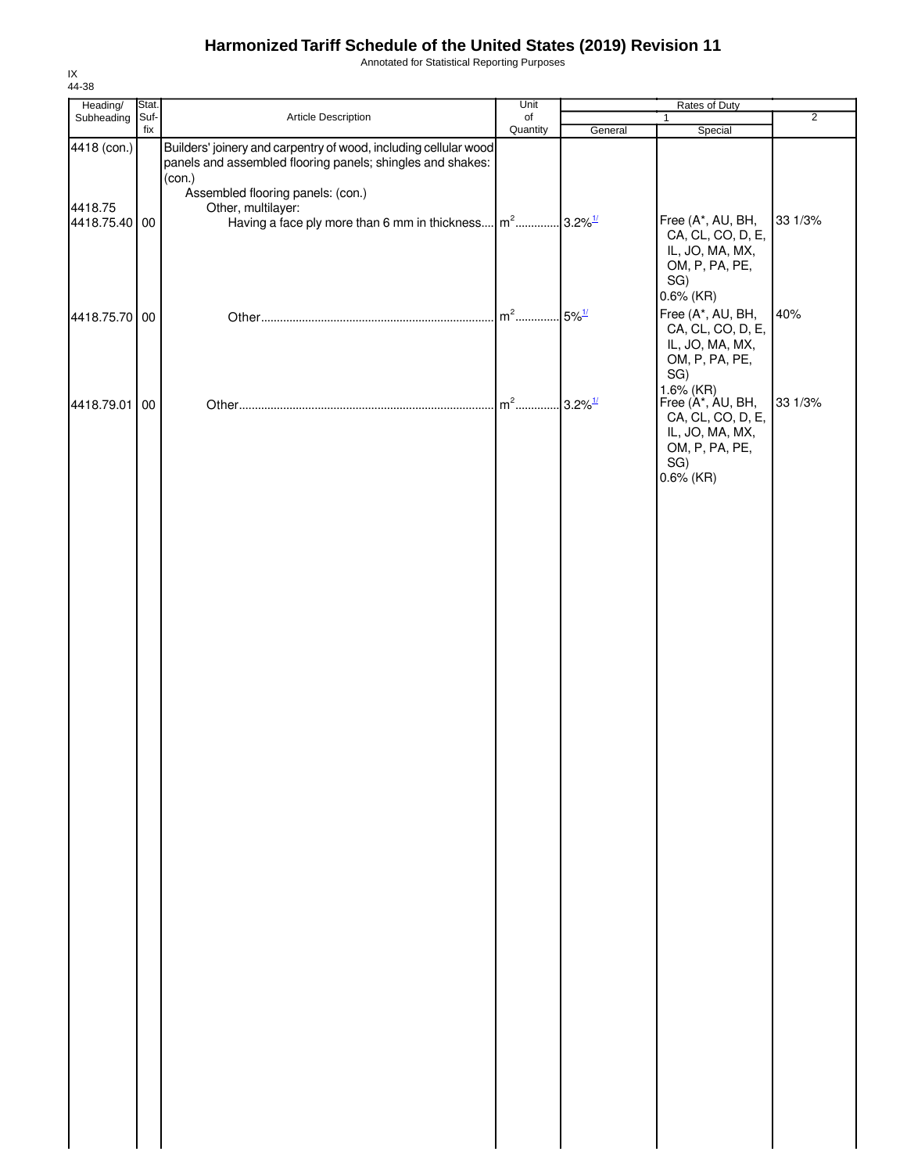Annotated for Statistical Reporting Purposes

| Heading/                 | Stat. |                                                                                                                                | Unit     |                                           |                                                                                                    |                |
|--------------------------|-------|--------------------------------------------------------------------------------------------------------------------------------|----------|-------------------------------------------|----------------------------------------------------------------------------------------------------|----------------|
| Subheading               | Suf-  | Article Description                                                                                                            | of       |                                           | $\mathbf{1}$                                                                                       | $\overline{2}$ |
| 4418 (con.)              | fix   | Builders' joinery and carpentry of wood, including cellular wood<br>panels and assembled flooring panels; shingles and shakes: | Quantity | General                                   | Special                                                                                            |                |
| 4418.75<br>4418.75.40 00 |       | (con.)<br>Assembled flooring panels: (con.)<br>Other, multilayer:<br>Having a face ply more than 6 mm in thickness             | $m2$     | $3.2\%$ <sup>1/</sup>                     | Free (A*, AU, BH,<br>CA, CL, CO, D, E,                                                             | 33 1/3%        |
|                          |       |                                                                                                                                |          |                                           | IL, JO, MA, MX,<br>OM, P, PA, PE,<br>SG)<br>$0.6\%$ (KR)                                           |                |
| 4418.75.70 00            |       |                                                                                                                                | $m2$     | $5\%$ <sup><math>\frac{1}{2}</math></sup> | Free (A*, AU, BH,<br>CA, CL, CO, D, E,<br>IL, JO, MA, MX,<br>OM, P, PA, PE,<br>SG)                 | 40%            |
| 4418.79.01               | 00    |                                                                                                                                | $m2$     | $.3.2\%$ <sup>1/</sup>                    | $1.6\%$ (KR)<br>Free (A*, AU, BH,<br>CA, CL, CO, D, E,<br>IL, JO, MA, MX,<br>OM, P, PA, PE,<br>SG) | 33 1/3%        |
|                          |       |                                                                                                                                |          |                                           | $0.6\%$ (KR)                                                                                       |                |
|                          |       |                                                                                                                                |          |                                           |                                                                                                    |                |
|                          |       |                                                                                                                                |          |                                           |                                                                                                    |                |
|                          |       |                                                                                                                                |          |                                           |                                                                                                    |                |
|                          |       |                                                                                                                                |          |                                           |                                                                                                    |                |
|                          |       |                                                                                                                                |          |                                           |                                                                                                    |                |
|                          |       |                                                                                                                                |          |                                           |                                                                                                    |                |
|                          |       |                                                                                                                                |          |                                           |                                                                                                    |                |
|                          |       |                                                                                                                                |          |                                           |                                                                                                    |                |
|                          |       |                                                                                                                                |          |                                           |                                                                                                    |                |
|                          |       |                                                                                                                                |          |                                           |                                                                                                    |                |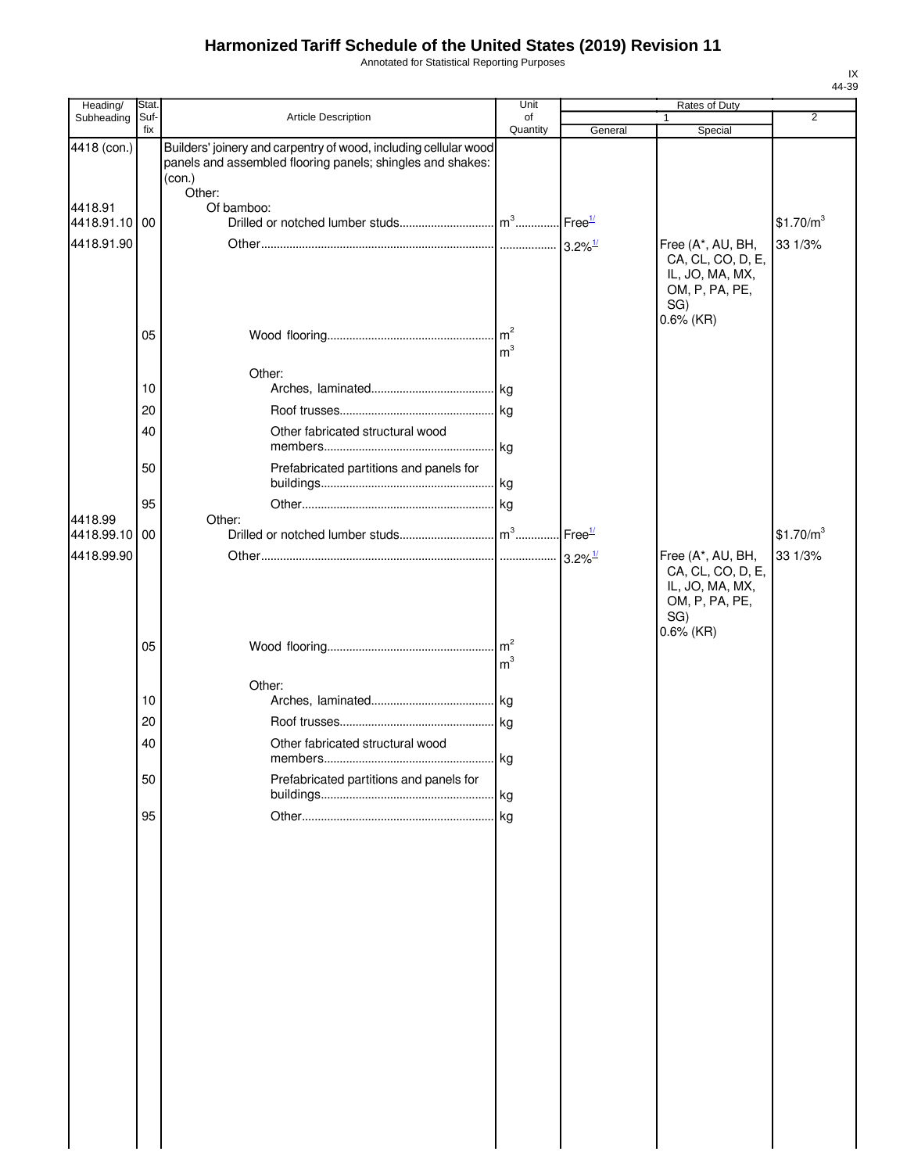Annotated for Statistical Reporting Purposes

| Heading/                 | Stat.       |                                                                                                                                                    | Unit                              |         | <b>Rates of Duty</b>                                                                               |                       |
|--------------------------|-------------|----------------------------------------------------------------------------------------------------------------------------------------------------|-----------------------------------|---------|----------------------------------------------------------------------------------------------------|-----------------------|
| Subheading               | Suf-<br>fix | Article Description                                                                                                                                | of<br>Quantity                    | General | 1<br>Special                                                                                       | $\overline{2}$        |
| 4418 (con.)              |             | Builders' joinery and carpentry of wood, including cellular wood<br>panels and assembled flooring panels; shingles and shakes:<br>(con.)<br>Other: |                                   |         |                                                                                                    |                       |
| 4418.91<br>4418.91.10 00 |             | Of bamboo:                                                                                                                                         |                                   |         |                                                                                                    | \$1.70/m <sup>3</sup> |
| 4418.91.90               |             |                                                                                                                                                    |                                   |         | Free (A*, AU, BH,<br>CA, CL, CO, D, E,<br>IL, JO, MA, MX,<br>OM, P, PA, PE,<br>SG)                 | 33 1/3%               |
|                          | 05          |                                                                                                                                                    | m <sup>3</sup>                    |         | $0.6\%$ (KR)                                                                                       |                       |
|                          | 10          | Other:                                                                                                                                             |                                   |         |                                                                                                    |                       |
|                          | 20          |                                                                                                                                                    |                                   |         |                                                                                                    |                       |
|                          | 40          | Other fabricated structural wood                                                                                                                   |                                   |         |                                                                                                    |                       |
|                          | 50          | Prefabricated partitions and panels for                                                                                                            |                                   |         |                                                                                                    |                       |
|                          | 95          |                                                                                                                                                    |                                   |         |                                                                                                    |                       |
| 4418.99<br>4418.99.10 00 |             | Other:                                                                                                                                             |                                   |         |                                                                                                    | \$1.70/m <sup>3</sup> |
| 4418.99.90               |             |                                                                                                                                                    |                                   |         | Free (A*, AU, BH,<br>CA, CL, CO, D, E,<br>IL, JO, MA, MX,<br>OM, P, PA, PE,<br>SG)<br>$0.6\%$ (KR) | 33 1/3%               |
|                          | 05          |                                                                                                                                                    | $\mathsf{Im}^2$<br>m <sup>3</sup> |         |                                                                                                    |                       |
|                          |             | Other:                                                                                                                                             |                                   |         |                                                                                                    |                       |
|                          | 10          |                                                                                                                                                    |                                   |         |                                                                                                    |                       |
|                          | 20          |                                                                                                                                                    |                                   |         |                                                                                                    |                       |
|                          | 40          | Other fabricated structural wood                                                                                                                   |                                   |         |                                                                                                    |                       |
|                          | 50          | Prefabricated partitions and panels for                                                                                                            |                                   |         |                                                                                                    |                       |
|                          | 95          |                                                                                                                                                    |                                   |         |                                                                                                    |                       |
|                          |             |                                                                                                                                                    |                                   |         |                                                                                                    |                       |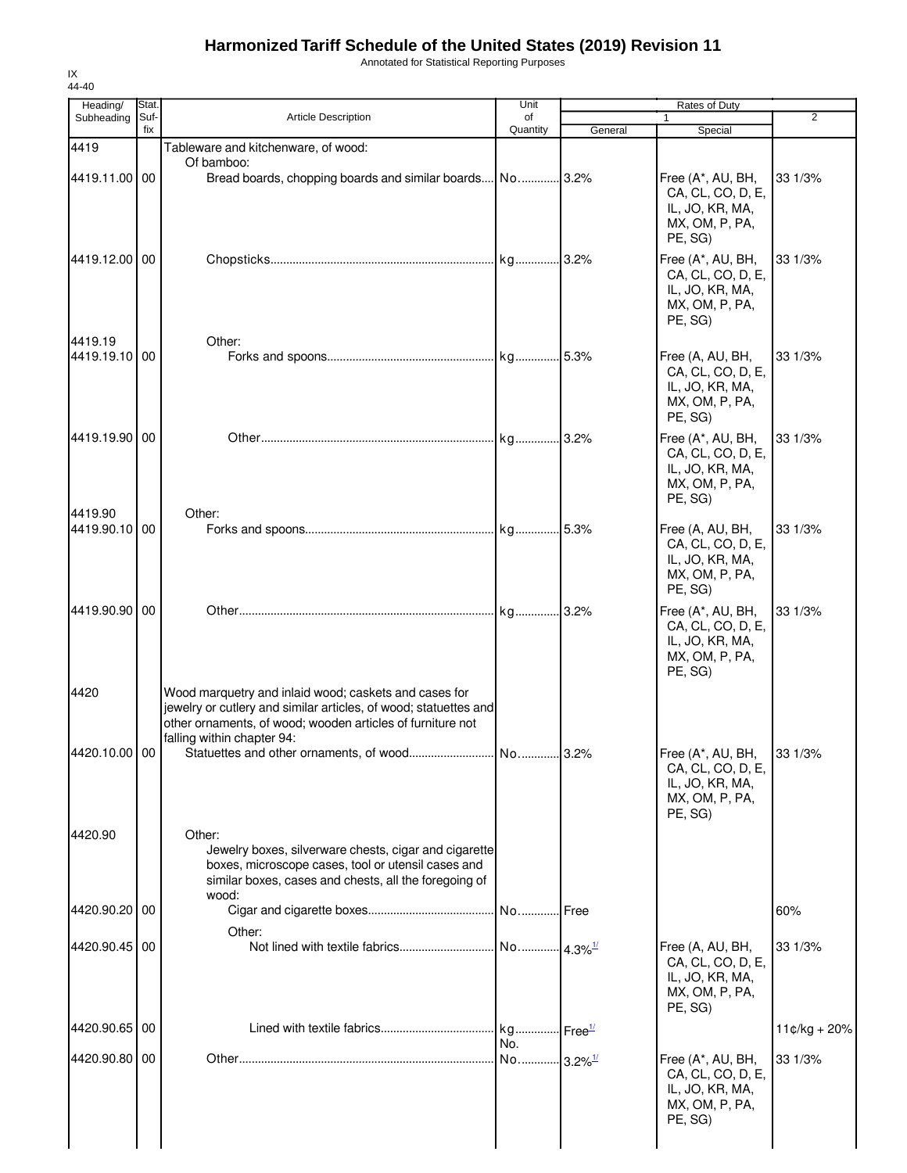Annotated for Statistical Reporting Purposes

| Heading/                 | Stat.       |                                                                                                                                                                                                                       | Unit                         |         | Rates of Duty                                                                          |                |
|--------------------------|-------------|-----------------------------------------------------------------------------------------------------------------------------------------------------------------------------------------------------------------------|------------------------------|---------|----------------------------------------------------------------------------------------|----------------|
| Subheading               | Suf-<br>fix | <b>Article Description</b>                                                                                                                                                                                            | of<br>Quantity               | General | $\mathbf{1}$<br>Special                                                                | 2              |
| 4419                     |             | Tableware and kitchenware, of wood:                                                                                                                                                                                   |                              |         |                                                                                        |                |
| 4419.11.00 00            |             | Of bamboo:<br>Bread boards, chopping boards and similar boards No 3.2%                                                                                                                                                |                              |         | Free (A*, AU, BH,<br>CA, CL, CO, D, E,<br>IL, JO, KR, MA,<br>MX, OM, P, PA,<br>PE, SG) | 33 1/3%        |
| 4419.12.00 00            |             |                                                                                                                                                                                                                       |                              |         | Free (A*, AU, BH,<br>CA, CL, CO, D, E,<br>IL, JO, KR, MA,<br>MX, OM, P, PA,<br>PE, SG) | 33 1/3%        |
| 4419.19<br>4419.19.10 00 |             | Other:                                                                                                                                                                                                                |                              |         | Free (A, AU, BH,<br>CA, CL, CO, D, E,<br>IL, JO, KR, MA,<br>MX, OM, P, PA,<br>PE, SG)  | 33 1/3%        |
| 4419.19.90 00<br>4419.90 |             | Other:                                                                                                                                                                                                                |                              |         | Free (A*, AU, BH,<br>CA, CL, CO, D, E,<br>IL, JO, KR, MA,<br>MX, OM, P, PA,<br>PE, SG) | 33 1/3%        |
| 4419.90.10 00            |             |                                                                                                                                                                                                                       |                              |         | Free (A, AU, BH,<br>CA, CL, CO, D, E,<br>IL, JO, KR, MA,<br>MX, OM, P, PA,<br>PE, SG)  | 33 1/3%        |
| 4419.90.90 00            |             |                                                                                                                                                                                                                       |                              |         | Free (A*, AU, BH,<br>CA, CL, CO, D, E,<br>IL, JO, KR, MA,<br>MX, OM, P, PA,<br>PE, SG) | 33 1/3%        |
| 4420<br>4420.10.00 00    |             | Wood marquetry and inlaid wood; caskets and cases for<br>jewelry or cutlery and similar articles, of wood; statuettes and<br>other ornaments, of wood; wooden articles of furniture not<br>falling within chapter 94: |                              | .3.2%   | Free (A*, AU, BH,<br>CA, CL, CO, D, E,<br>IL, JO, KR, MA,                              | 33 1/3%        |
| 4420.90                  |             | Other:<br>Jewelry boxes, silverware chests, cigar and cigarette<br>boxes, microscope cases, tool or utensil cases and<br>similar boxes, cases and chests, all the foregoing of                                        |                              |         | MX, OM, P, PA,<br>PE, SG)                                                              |                |
| 4420.90.20 00            |             | wood:<br>Other:                                                                                                                                                                                                       |                              |         |                                                                                        | 60%            |
| 4420.90.45 00            |             |                                                                                                                                                                                                                       |                              |         | Free (A, AU, BH,<br>CA, CL, CO, D, E,<br>IL, JO, KR, MA,<br>MX, OM, P, PA,<br>PE, SG)  | 33 1/3%        |
| 4420.90.65 00            |             |                                                                                                                                                                                                                       | kg Free <sup>11</sup><br>No. |         |                                                                                        | $11¢/kg + 20%$ |
| 4420.90.80 00            |             |                                                                                                                                                                                                                       |                              |         | Free (A*, AU, BH,<br>CA, CL, CO, D, E,<br>IL, JO, KR, MA,<br>MX, OM, P, PA,<br>PE, SG) | 33 1/3%        |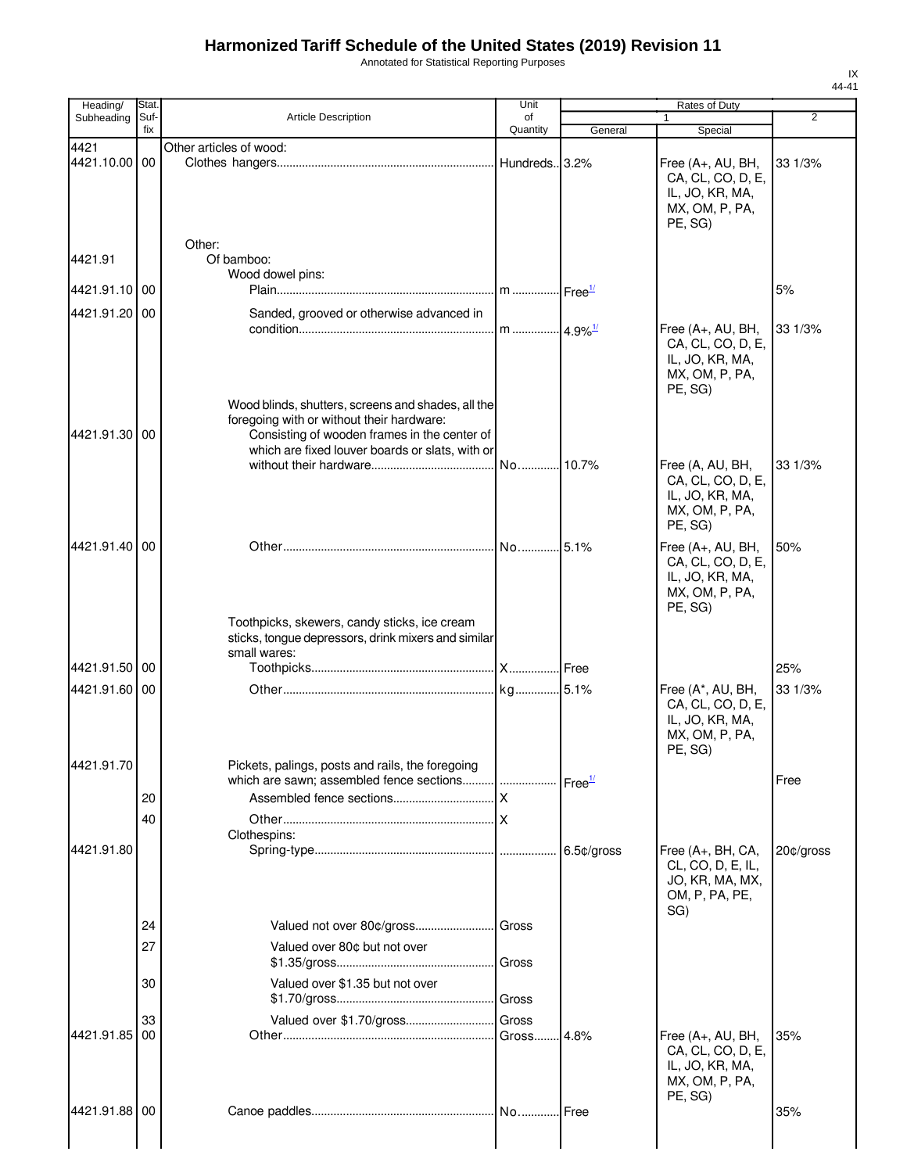Annotated for Statistical Reporting Purposes

| Heading/                    | Stat.       |                                                                                                                                              | Unit                    |                    | Rates of Duty                                                                          |                |
|-----------------------------|-------------|----------------------------------------------------------------------------------------------------------------------------------------------|-------------------------|--------------------|----------------------------------------------------------------------------------------|----------------|
| Subheading                  | Suf-<br>fix | <b>Article Description</b>                                                                                                                   | of<br>Quantity          | General            | 1<br>Special                                                                           | $\overline{2}$ |
| 4421<br>4421.10.00          | 00          | Other articles of wood:                                                                                                                      | Hundreds. 3.2%          |                    | Free (A+, AU, BH,<br>CA, CL, CO, D, E,<br>IL, JO, KR, MA,<br>MX, OM, P, PA,<br>PE, SG) | 33 1/3%        |
| 4421.91                     |             | Other:<br>Of bamboo:                                                                                                                         |                         |                    |                                                                                        |                |
| 4421.91.10 00               |             | Wood dowel pins:                                                                                                                             | m  Free <sup>1/</sup>   |                    |                                                                                        | 5%             |
| 4421.91.20                  | 00          | Sanded, grooved or otherwise advanced in                                                                                                     |                         |                    |                                                                                        |                |
|                             |             | Wood blinds, shutters, screens and shades, all the                                                                                           | m 4.9% <sup>1/</sup>    |                    | Free (A+, AU, BH,<br>CA, CL, CO, D, E,<br>IL, JO, KR, MA,<br>MX, OM, P, PA,<br>PE, SG) | 33 1/3%        |
| 4421.91.30                  | 00          | foregoing with or without their hardware:<br>Consisting of wooden frames in the center of<br>which are fixed louver boards or slats, with or |                         |                    |                                                                                        |                |
|                             |             |                                                                                                                                              | .l No…………l 10.7%        |                    | Free (A, AU, BH,<br>CA, CL, CO, D, E,<br>IL, JO, KR, MA,<br>MX, OM, P, PA,<br>PE, SG)  | 33 1/3%        |
| 4421.91.40 00               |             |                                                                                                                                              |                         |                    | Free (A+, AU, BH,<br>CA, CL, CO, D, E,<br>IL, JO, KR, MA,<br>MX, OM, P, PA,<br>PE, SG) | 50%            |
|                             |             | Toothpicks, skewers, candy sticks, ice cream<br>sticks, tongue depressors, drink mixers and similar<br>small wares:                          |                         |                    |                                                                                        |                |
| 4421.91.50                  | 00          |                                                                                                                                              |                         |                    |                                                                                        | 25%            |
| 4421.91.60 00<br>4421.91.70 |             |                                                                                                                                              |                         |                    | Free (A*, AU, BH,<br>CA, CL, CO, D, E,<br>IL, JO, KR, MA,<br>MX, OM, P, PA,<br>PE, SG) | 33 1/3%        |
|                             |             | Pickets, palings, posts and rails, the foregoing                                                                                             |                         | Free <sup>1/</sup> |                                                                                        | Free           |
|                             | 20          |                                                                                                                                              | $\overline{\mathsf{x}}$ |                    |                                                                                        |                |
|                             | 40          |                                                                                                                                              |                         |                    |                                                                                        |                |
| 4421.91.80                  |             | Clothespins:                                                                                                                                 |                         | 6.5¢/gross         | Free (A+, BH, CA,<br>CL, CO, D, E, IL,<br>JO, KR, MA, MX,<br>OM, P, PA, PE,<br>SG)     | 20¢/gross      |
|                             | 24          |                                                                                                                                              |                         |                    |                                                                                        |                |
|                             | 27          | Valued over 80¢ but not over                                                                                                                 | Gross                   |                    |                                                                                        |                |
|                             | 30          | Valued over \$1.35 but not over                                                                                                              | Gross                   |                    |                                                                                        |                |
| 4421.91.85                  | 33<br>00    | Valued over \$1.70/gross                                                                                                                     | Gross<br>Gross          | .4.8%              | Free (A+, AU, BH,<br>CA, CL, CO, D, E,<br>IL, JO, KR, MA,<br>MX, OM, P, PA,            | 35%            |
| 4421.91.88 00               |             |                                                                                                                                              |                         |                    | PE, SG)                                                                                | 35%            |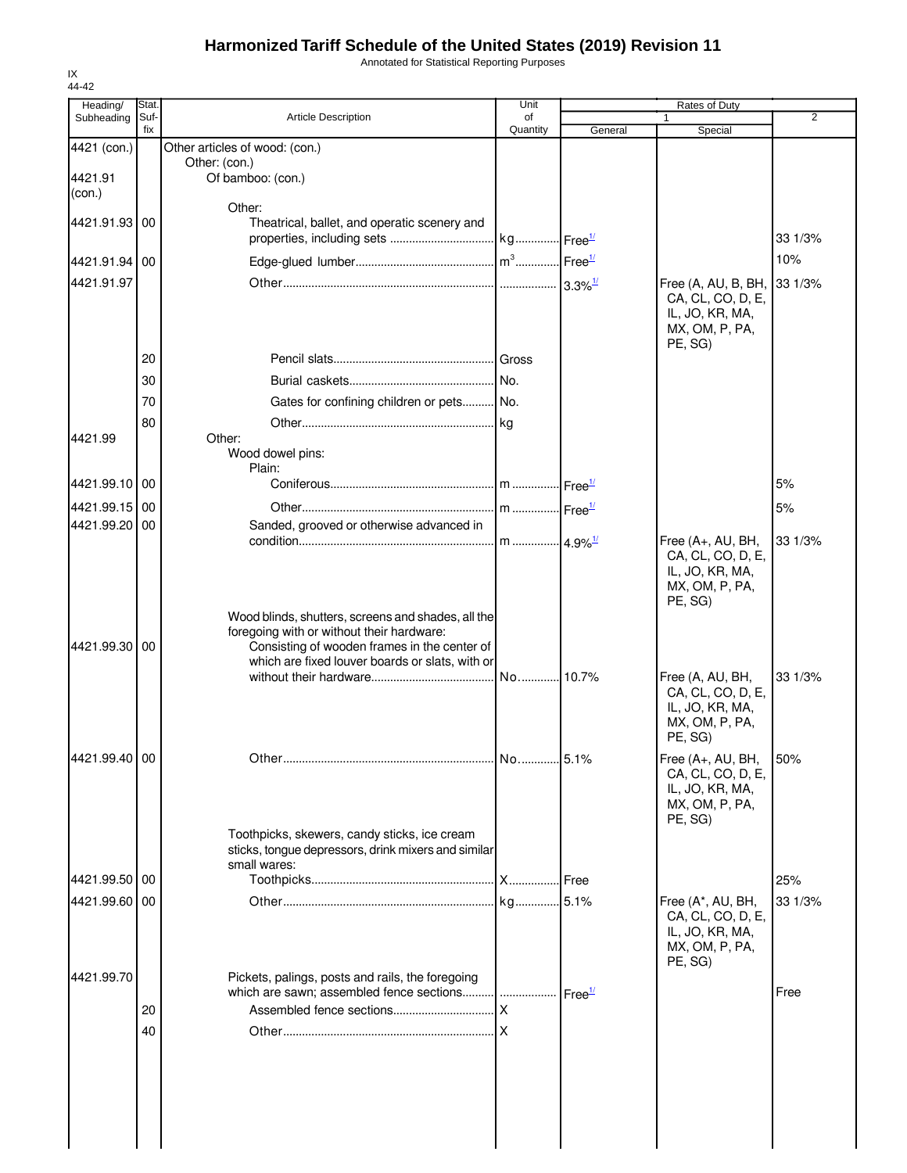Annotated for Statistical Reporting Purposes

| Heading/<br>Subheading | Stat<br>Suf- | <b>Article Description</b>                                                                | Unit<br>of |                    | <b>Rates of Duty</b>                 | 2       |
|------------------------|--------------|-------------------------------------------------------------------------------------------|------------|--------------------|--------------------------------------|---------|
|                        | fix          |                                                                                           | Quantity   | General            | Special                              |         |
| 4421 (con.)            |              | Other articles of wood: (con.)                                                            |            |                    |                                      |         |
| 4421.91                |              | Other: (con.)<br>Of bamboo: (con.)                                                        |            |                    |                                      |         |
| (con.)                 |              |                                                                                           |            |                    |                                      |         |
|                        |              | Other:                                                                                    |            |                    |                                      |         |
| 4421.91.93 00          |              | Theatrical, ballet, and operatic scenery and                                              |            |                    |                                      |         |
|                        |              |                                                                                           |            |                    |                                      | 33 1/3% |
| 4421.91.94 00          |              |                                                                                           |            |                    |                                      | 10%     |
| 4421.91.97             |              |                                                                                           |            |                    | Free (A, AU, B, BH, 33 1/3%          |         |
|                        |              |                                                                                           |            |                    | CA, CL, CO, D, E,<br>IL, JO, KR, MA, |         |
|                        |              |                                                                                           |            |                    | MX, OM, P, PA,                       |         |
|                        |              |                                                                                           |            |                    | PE, SG)                              |         |
|                        | 20           |                                                                                           |            |                    |                                      |         |
|                        | 30           |                                                                                           |            |                    |                                      |         |
|                        | 70           | Gates for confining children or pets No.                                                  |            |                    |                                      |         |
|                        | 80           |                                                                                           |            |                    |                                      |         |
| 4421.99                |              | Other:<br>Wood dowel pins:                                                                |            |                    |                                      |         |
|                        |              | Plain:                                                                                    |            |                    |                                      |         |
| 4421.99.10 00          |              |                                                                                           |            |                    |                                      | 5%      |
| 4421.99.15 00          |              |                                                                                           |            |                    |                                      | 5%      |
| 4421.99.20 00          |              | Sanded, grooved or otherwise advanced in                                                  |            |                    |                                      |         |
|                        |              |                                                                                           |            |                    | Free (A+, AU, BH,                    | 33 1/3% |
|                        |              |                                                                                           |            |                    | CA, CL, CO, D, E,<br>IL, JO, KR, MA, |         |
|                        |              |                                                                                           |            |                    | MX, OM, P, PA,                       |         |
|                        |              |                                                                                           |            |                    | PE, SG)                              |         |
|                        |              | Wood blinds, shutters, screens and shades, all the                                        |            |                    |                                      |         |
| 4421.99.30 00          |              | foregoing with or without their hardware:<br>Consisting of wooden frames in the center of |            |                    |                                      |         |
|                        |              | which are fixed louver boards or slats, with or                                           |            |                    |                                      |         |
|                        |              |                                                                                           |            |                    | Free (A, AU, BH,                     | 33 1/3% |
|                        |              |                                                                                           |            |                    | CA, CL, CO, D, E,<br>IL, JO, KR, MA, |         |
|                        |              |                                                                                           |            |                    | MX, OM, P, PA,                       |         |
|                        |              |                                                                                           |            |                    | PE, SG)                              |         |
| 4421.99.40 00          |              |                                                                                           | No 5.1%    |                    | Free (A+, AU, BH,                    | 50%     |
|                        |              |                                                                                           |            |                    | CA, CL, CO, D, E,                    |         |
|                        |              |                                                                                           |            |                    | IL, JO, KR, MA,<br>MX, OM, P, PA,    |         |
|                        |              |                                                                                           |            |                    | PE, SG)                              |         |
|                        |              | Toothpicks, skewers, candy sticks, ice cream                                              |            |                    |                                      |         |
|                        |              | sticks, tongue depressors, drink mixers and similar<br>small wares:                       |            |                    |                                      |         |
| 4421.99.50 00          |              |                                                                                           |            | <b>.I</b> Free     |                                      | 25%     |
| 4421.99.60 00          |              |                                                                                           |            |                    | Free (A*, AU, BH,                    | 33 1/3% |
|                        |              |                                                                                           |            |                    | CA, CL, CO, D, E,                    |         |
|                        |              |                                                                                           |            |                    | IL, JO, KR, MA,<br>MX, OM, P, PA,    |         |
|                        |              |                                                                                           |            |                    | PE, SG)                              |         |
| 4421.99.70             |              | Pickets, palings, posts and rails, the foregoing                                          |            |                    |                                      |         |
|                        |              |                                                                                           |            | Free <sup>1/</sup> |                                      | Free    |
|                        | 20           |                                                                                           |            |                    |                                      |         |
|                        | 40           |                                                                                           |            |                    |                                      |         |
|                        |              |                                                                                           |            |                    |                                      |         |
|                        |              |                                                                                           |            |                    |                                      |         |
|                        |              |                                                                                           |            |                    |                                      |         |
|                        |              |                                                                                           |            |                    |                                      |         |
|                        |              |                                                                                           |            |                    |                                      |         |
|                        |              |                                                                                           |            |                    |                                      |         |

IX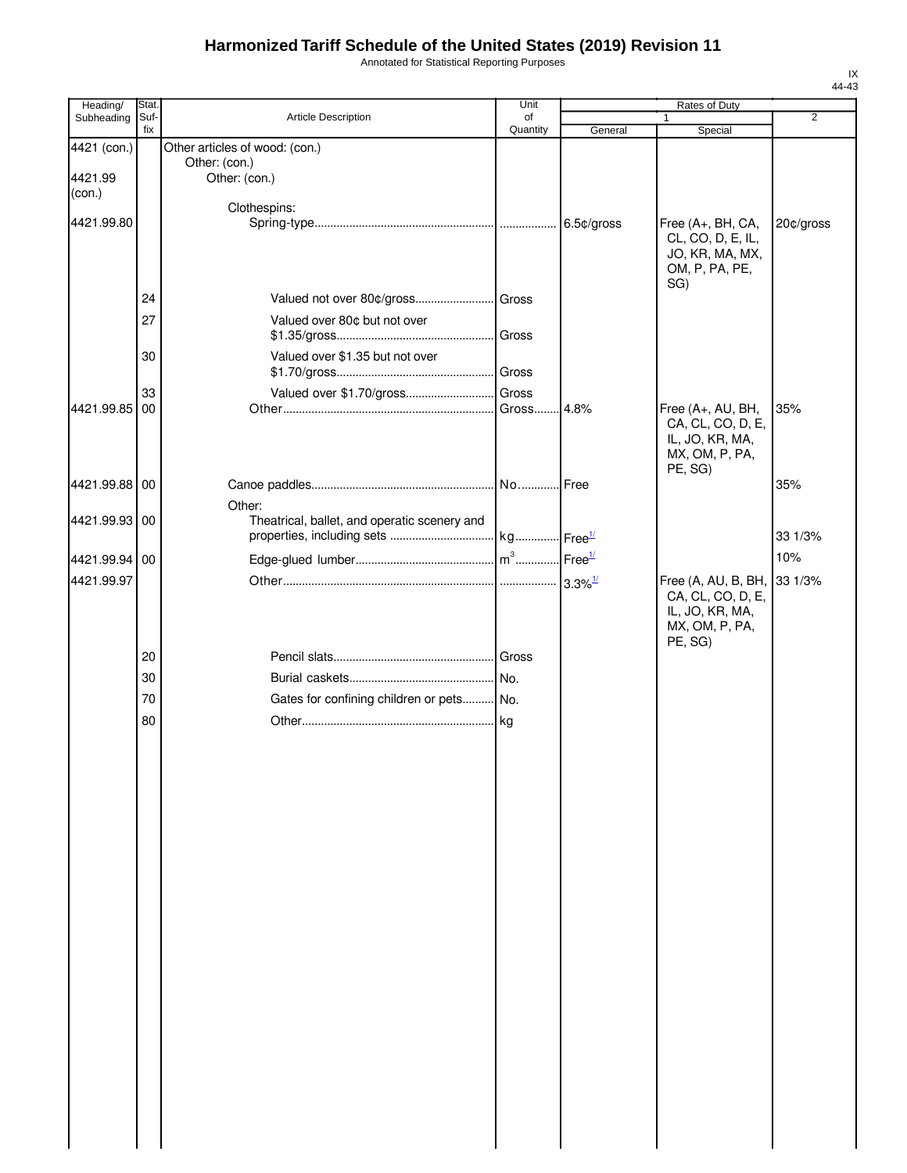Annotated for Statistical Reporting Purposes

| Heading/          | Stat.       |                                                        | Unit           | Rates of Duty              |                                      |                |
|-------------------|-------------|--------------------------------------------------------|----------------|----------------------------|--------------------------------------|----------------|
| Subheading        | Suf-<br>fix | Article Description                                    | of<br>Quantity | General                    | 1<br>Special                         | $\overline{2}$ |
| 4421 (con.)       |             | Other articles of wood: (con.)                         |                |                            |                                      |                |
|                   |             | Other: (con.)                                          |                |                            |                                      |                |
| 4421.99<br>(con.) |             | Other: (con.)                                          |                |                            |                                      |                |
|                   |             | Clothespins:                                           |                |                            |                                      |                |
| 4421.99.80        |             |                                                        |                |                            | Free (A+, BH, CA,                    | 20¢/gross      |
|                   |             |                                                        |                |                            | CL, CO, D, E, IL,<br>JO, KR, MA, MX, |                |
|                   |             |                                                        |                |                            | OM, P, PA, PE,                       |                |
|                   |             |                                                        |                |                            | SG)                                  |                |
|                   | 24          |                                                        |                |                            |                                      |                |
|                   | 27          | Valued over 80¢ but not over                           |                |                            |                                      |                |
|                   |             |                                                        | Gross          |                            |                                      |                |
|                   | 30          | Valued over \$1.35 but not over                        |                |                            |                                      |                |
|                   |             |                                                        | Gross          |                            |                                      |                |
| 4421.99.85 00     | 33          | Valued over \$1.70/gross                               | Gross<br>Gross | 4.8%                       | Free (A+, AU, BH,                    | 35%            |
|                   |             |                                                        |                |                            | CA, CL, CO, D, E,                    |                |
|                   |             |                                                        |                |                            | IL, JO, KR, MA,                      |                |
|                   |             |                                                        |                |                            | MX, OM, P, PA,                       |                |
| 4421.99.88 00     |             |                                                        |                | .Free                      | PE, SG)                              | 35%            |
|                   |             |                                                        |                |                            |                                      |                |
| 4421.99.93 00     |             | Other:<br>Theatrical, ballet, and operatic scenery and |                |                            |                                      |                |
|                   |             |                                                        |                | $\cdot$ Free $\frac{1}{2}$ |                                      | 33 1/3%        |
| 4421.99.94 00     |             |                                                        |                |                            |                                      | 10%            |
| 4421.99.97        |             |                                                        |                |                            | Free (A, AU, B, BH, 33 1/3%          |                |
|                   |             |                                                        |                |                            | CA, CL, CO, D, E,                    |                |
|                   |             |                                                        |                |                            | IL, JO, KR, MA,                      |                |
|                   |             |                                                        |                |                            | MX, OM, P, PA,                       |                |
|                   | 20          |                                                        | Gross          |                            | PE, SG)                              |                |
|                   | 30          |                                                        | No.            |                            |                                      |                |
|                   | 70          | Gates for confining children or pets No.               |                |                            |                                      |                |
|                   |             |                                                        |                |                            |                                      |                |
|                   | 80          |                                                        | . kg           |                            |                                      |                |
|                   |             |                                                        |                |                            |                                      |                |
|                   |             |                                                        |                |                            |                                      |                |
|                   |             |                                                        |                |                            |                                      |                |
|                   |             |                                                        |                |                            |                                      |                |
|                   |             |                                                        |                |                            |                                      |                |
|                   |             |                                                        |                |                            |                                      |                |
|                   |             |                                                        |                |                            |                                      |                |
|                   |             |                                                        |                |                            |                                      |                |
|                   |             |                                                        |                |                            |                                      |                |
|                   |             |                                                        |                |                            |                                      |                |
|                   |             |                                                        |                |                            |                                      |                |
|                   |             |                                                        |                |                            |                                      |                |
|                   |             |                                                        |                |                            |                                      |                |
|                   |             |                                                        |                |                            |                                      |                |
|                   |             |                                                        |                |                            |                                      |                |
|                   |             |                                                        |                |                            |                                      |                |
|                   |             |                                                        |                |                            |                                      |                |
|                   |             |                                                        |                |                            |                                      |                |
|                   |             |                                                        |                |                            |                                      |                |
|                   |             |                                                        |                |                            |                                      |                |
|                   |             |                                                        |                |                            |                                      |                |
|                   |             |                                                        |                |                            |                                      |                |